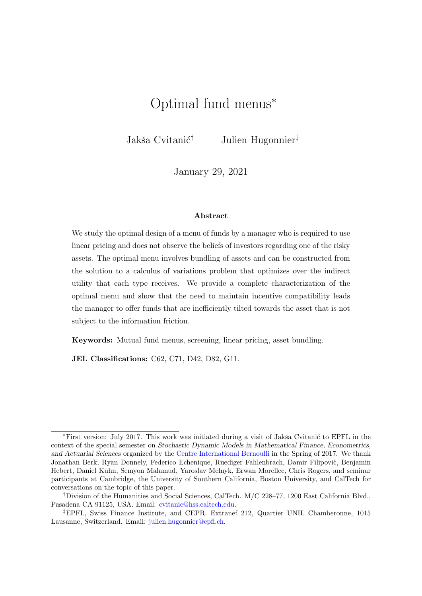# <span id="page-0-0"></span>Optimal fund menus<sup>∗</sup>

Jakša Cvitanić<sup>†</sup> Julien Hugonnier<sup>‡</sup>

January 29, 2021

#### Abstract

We study the optimal design of a menu of funds by a manager who is required to use linear pricing and does not observe the beliefs of investors regarding one of the risky assets. The optimal menu involves bundling of assets and can be constructed from the solution to a calculus of variations problem that optimizes over the indirect utility that each type receives. We provide a complete characterization of the optimal menu and show that the need to maintain incentive compatibility leads the manager to offer funds that are inefficiently tilted towards the asset that is not subject to the information friction.

Keywords: Mutual fund menus, screening, linear pricing, asset bundling.

JEL Classifications: C62, C71, D42, D82, G11.

<sup>\*</sup>First version: July 2017. This work was initiated during a visit of Jakša Cvitanić to EPFL in the context of the special semester on Stochastic Dynamic Models in Mathematical Finance, Econometrics, and Actuarial Sciences organized by the [Centre International Bernoulli](http://bernoulli.epfl.ch) in the Spring of 2017. We thank Jonathan Berk, Ryan Donnely, Federico Echenique, Ruediger Fahlenbrach, Damir Filipovic, Benjamin Hebert, Daniel Kuhn, Semyon Malamud, Yaroslav Melnyk, Erwan Morellec, Chris Rogers, and seminar participants at Cambridge, the University of Southern California, Boston University, and CalTech for conversations on the topic of this paper.

<sup>†</sup>Division of the Humanities and Social Sciences, CalTech. M/C 228–77, 1200 East California Blvd., Pasadena CA 91125, USA. Email: [cvitanic@hss.caltech.edu.](mailto:cvitanic@hss.caltech.edu)

<sup>‡</sup>EPFL, Swiss Finance Institute, and CEPR. Extranef 212, Quartier UNIL Chamberonne, 1015 Lausanne, Switzerland. Email: [julien.hugonnier@epfl.ch.](mailto:julien.hugonnier@epfl.ch)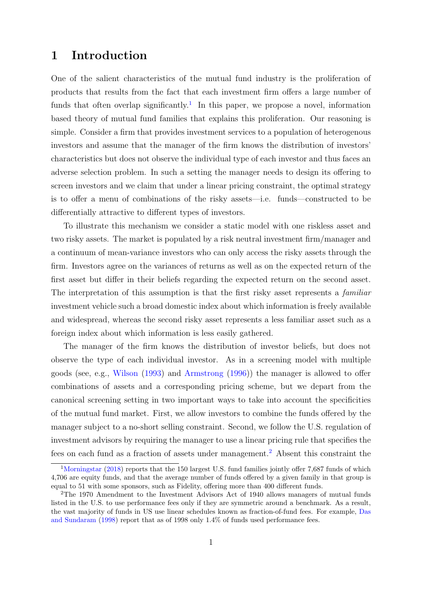# 1 Introduction

One of the salient characteristics of the mutual fund industry is the proliferation of products that results from the fact that each investment firm offers a large number of funds that often overlap significantly.<sup>[1](#page-1-0)</sup> In this paper, we propose a novel, information based theory of mutual fund families that explains this proliferation. Our reasoning is simple. Consider a firm that provides investment services to a population of heterogenous investors and assume that the manager of the firm knows the distribution of investors' characteristics but does not observe the individual type of each investor and thus faces an adverse selection problem. In such a setting the manager needs to design its offering to screen investors and we claim that under a linear pricing constraint, the optimal strategy is to offer a menu of combinations of the risky assets—i.e. funds—constructed to be differentially attractive to different types of investors.

To illustrate this mechanism we consider a static model with one riskless asset and two risky assets. The market is populated by a risk neutral investment firm/manager and a continuum of mean-variance investors who can only access the risky assets through the firm. Investors agree on the variances of returns as well as on the expected return of the first asset but differ in their beliefs regarding the expected return on the second asset. The interpretation of this assumption is that the first risky asset represents a *familiar* investment vehicle such a broad domestic index about which information is freely available and widespread, whereas the second risky asset represents a less familiar asset such as a foreign index about which information is less easily gathered.

The manager of the firm knows the distribution of investor beliefs, but does not observe the type of each individual investor. As in a screening model with multiple goods (see, e.g., [Wilson](#page-69-0) [\(1993\)](#page-69-0) and [Armstrong](#page-66-0) [\(1996\)](#page-66-0)) the manager is allowed to offer combinations of assets and a corresponding pricing scheme, but we depart from the canonical screening setting in two important ways to take into account the specificities of the mutual fund market. First, we allow investors to combine the funds offered by the manager subject to a no-short selling constraint. Second, we follow the U.S. regulation of investment advisors by requiring the manager to use a linear pricing rule that specifies the fees on each fund as a fraction of assets under management.[2](#page-1-1) Absent this constraint the

<span id="page-1-0"></span><sup>&</sup>lt;sup>1</sup>[Morningstar](#page-68-0) [\(2018\)](#page-68-0) reports that the 150 largest U.S. fund families jointly offer 7,687 funds of which 4,706 are equity funds, and that the average number of funds offered by a given family in that group is equal to 51 with some sponsors, such as Fidelity, offering more than 400 different funds.

<span id="page-1-1"></span><sup>2</sup>The 1970 Amendment to the Investment Advisors Act of 1940 allows managers of mutual funds listed in the U.S. to use performance fees only if they are symmetric around a benchmark. As a result, the vast majority of funds in US use linear schedules known as fraction-of-fund fees. For example, [Das](#page-67-0) [and Sundaram](#page-67-0) [\(1998\)](#page-67-0) report that as of 1998 only 1.4% of funds used performance fees.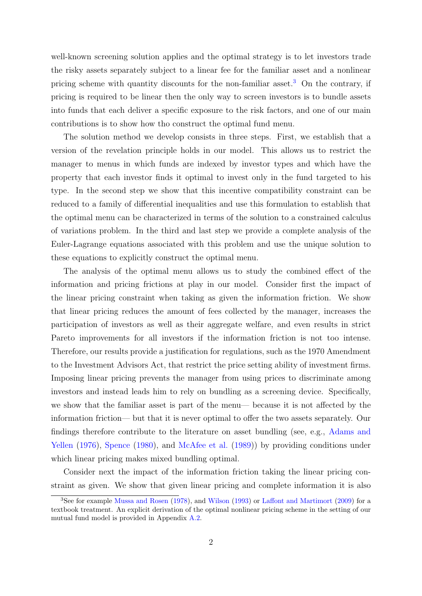<span id="page-2-1"></span>well-known screening solution applies and the optimal strategy is to let investors trade the risky assets separately subject to a linear fee for the familiar asset and a nonlinear pricing scheme with quantity discounts for the non-familiar asset.<sup>[3](#page-2-0)</sup> On the contrary, if pricing is required to be linear then the only way to screen investors is to bundle assets into funds that each deliver a specific exposure to the risk factors, and one of our main contributions is to show how tho construct the optimal fund menu.

The solution method we develop consists in three steps. First, we establish that a version of the revelation principle holds in our model. This allows us to restrict the manager to menus in which funds are indexed by investor types and which have the property that each investor finds it optimal to invest only in the fund targeted to his type. In the second step we show that this incentive compatibility constraint can be reduced to a family of differential inequalities and use this formulation to establish that the optimal menu can be characterized in terms of the solution to a constrained calculus of variations problem. In the third and last step we provide a complete analysis of the Euler-Lagrange equations associated with this problem and use the unique solution to these equations to explicitly construct the optimal menu.

The analysis of the optimal menu allows us to study the combined effect of the information and pricing frictions at play in our model. Consider first the impact of the linear pricing constraint when taking as given the information friction. We show that linear pricing reduces the amount of fees collected by the manager, increases the participation of investors as well as their aggregate welfare, and even results in strict Pareto improvements for all investors if the information friction is not too intense. Therefore, our results provide a justification for regulations, such as the 1970 Amendment to the Investment Advisors Act, that restrict the price setting ability of investment firms. Imposing linear pricing prevents the manager from using prices to discriminate among investors and instead leads him to rely on bundling as a screening device. Specifically, we show that the familiar asset is part of the menu— because it is not affected by the information friction— but that it is never optimal to offer the two assets separately. Our findings therefore contribute to the literature on asset bundling (see, e.g., [Adams and](#page-66-1) [Yellen](#page-66-1) [\(1976\)](#page-66-1), [Spence](#page-68-1) [\(1980\)](#page-68-1), and [McAfee et al.](#page-68-2) [\(1989\)](#page-68-2)) by providing conditions under which linear pricing makes mixed bundling optimal.

Consider next the impact of the information friction taking the linear pricing constraint as given. We show that given linear pricing and complete information it is also

<span id="page-2-0"></span><sup>3</sup>See for example [Mussa and Rosen](#page-68-3) [\(1978\)](#page-68-3), and [Wilson](#page-69-0) [\(1993\)](#page-69-0) or [Laffont and Martimort](#page-68-4) [\(2009\)](#page-68-4) for a textbook treatment. An explicit derivation of the optimal nonlinear pricing scheme in the setting of our mutual fund model is provided in Appendix [A.2.](#page-31-0)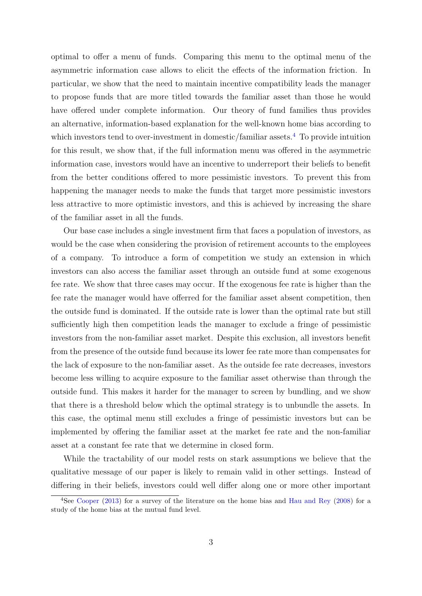<span id="page-3-1"></span>optimal to offer a menu of funds. Comparing this menu to the optimal menu of the asymmetric information case allows to elicit the effects of the information friction. In particular, we show that the need to maintain incentive compatibility leads the manager to propose funds that are more titled towards the familiar asset than those he would have offered under complete information. Our theory of fund families thus provides an alternative, information-based explanation for the well-known home bias according to which investors tend to over-investment in domestic/familiar assets.<sup>[4](#page-3-0)</sup> To provide intuition for this result, we show that, if the full information menu was offered in the asymmetric information case, investors would have an incentive to underreport their beliefs to benefit from the better conditions offered to more pessimistic investors. To prevent this from happening the manager needs to make the funds that target more pessimistic investors less attractive to more optimistic investors, and this is achieved by increasing the share of the familiar asset in all the funds.

Our base case includes a single investment firm that faces a population of investors, as would be the case when considering the provision of retirement accounts to the employees of a company. To introduce a form of competition we study an extension in which investors can also access the familiar asset through an outside fund at some exogenous fee rate. We show that three cases may occur. If the exogenous fee rate is higher than the fee rate the manager would have offerred for the familiar asset absent competition, then the outside fund is dominated. If the outside rate is lower than the optimal rate but still sufficiently high then competition leads the manager to exclude a fringe of pessimistic investors from the non-familiar asset market. Despite this exclusion, all investors benefit from the presence of the outside fund because its lower fee rate more than compensates for the lack of exposure to the non-familiar asset. As the outside fee rate decreases, investors become less willing to acquire exposure to the familiar asset otherwise than through the outside fund. This makes it harder for the manager to screen by bundling, and we show that there is a threshold below which the optimal strategy is to unbundle the assets. In this case, the optimal menu still excludes a fringe of pessimistic investors but can be implemented by offering the familiar asset at the market fee rate and the non-familiar asset at a constant fee rate that we determine in closed form.

While the tractability of our model rests on stark assumptions we believe that the qualitative message of our paper is likely to remain valid in other settings. Instead of differing in their beliefs, investors could well differ along one or more other important

<span id="page-3-0"></span><sup>&</sup>lt;sup>4</sup>See [Cooper](#page-67-1) [\(2013\)](#page-67-1) for a survey of the literature on the home bias and [Hau and Rey](#page-67-2) [\(2008\)](#page-67-2) for a study of the home bias at the mutual fund level.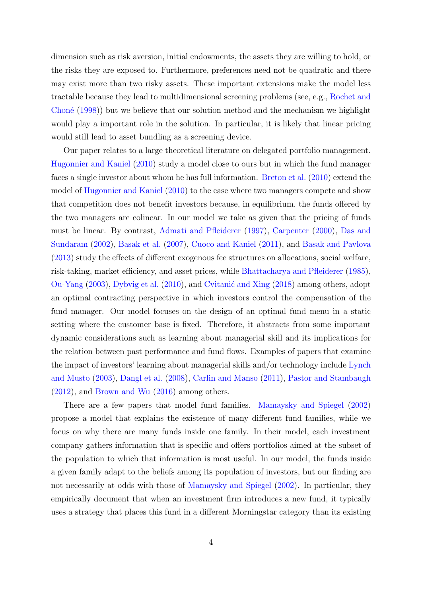<span id="page-4-0"></span>dimension such as risk aversion, initial endowments, the assets they are willing to hold, or the risks they are exposed to. Furthermore, preferences need not be quadratic and there may exist more than two risky assets. These important extensions make the model less tractable because they lead to multidimensional screening problems (see, e.g., [Rochet and](#page-68-5) Choné  $(1998)$ ) but we believe that our solution method and the mechanism we highlight would play a important role in the solution. In particular, it is likely that linear pricing would still lead to asset bundling as a screening device.

Our paper relates to a large theoretical literature on delegated portfolio management. [Hugonnier and Kaniel](#page-67-3) [\(2010\)](#page-67-3) study a model close to ours but in which the fund manager faces a single investor about whom he has full information. [Breton et al.](#page-67-4) [\(2010\)](#page-67-4) extend the model of [Hugonnier and Kaniel](#page-67-3) [\(2010\)](#page-67-3) to the case where two managers compete and show that competition does not benefit investors because, in equilibrium, the funds offered by the two managers are colinear. In our model we take as given that the pricing of funds must be linear. By contrast, [Admati and Pfleiderer](#page-66-2) [\(1997\)](#page-66-2), [Carpenter](#page-67-5) [\(2000\)](#page-67-5), [Das and](#page-67-6) [Sundaram](#page-67-6) [\(2002\)](#page-67-6), [Basak et al.](#page-67-7) [\(2007\)](#page-67-7), [Cuoco and Kaniel](#page-67-8) [\(2011\)](#page-67-8), and [Basak and Pavlova](#page-66-3) [\(2013\)](#page-66-3) study the effects of different exogenous fee structures on allocations, social welfare, risk-taking, market efficiency, and asset prices, while [Bhattacharya and Pfleiderer](#page-67-9) [\(1985\)](#page-67-9), [Ou-Yang](#page-68-6) [\(2003\)](#page-68-6), [Dybvig et al.](#page-67-10) [\(2010\)](#page-67-10), and Cvitanić and Xing [\(2018\)](#page-67-11) among others, adopt an optimal contracting perspective in which investors control the compensation of the fund manager. Our model focuses on the design of an optimal fund menu in a static setting where the customer base is fixed. Therefore, it abstracts from some important dynamic considerations such as learning about managerial skill and its implications for the relation between past performance and fund flows. Examples of papers that examine the impact of investors' learning about managerial skills and/or technology include [Lynch](#page-68-7) [and Musto](#page-68-7) [\(2003\)](#page-68-7), [Dangl et al.](#page-67-12) [\(2008\)](#page-67-12), [Carlin and Manso](#page-67-13) [\(2011\)](#page-67-13), [Pastor and Stambaugh](#page-68-8) [\(2012\)](#page-68-8), and [Brown and Wu](#page-67-14) [\(2016\)](#page-67-14) among others.

There are a few papers that model fund families. [Mamaysky and Spiegel](#page-68-9) [\(2002\)](#page-68-9) propose a model that explains the existence of many different fund families, while we focus on why there are many funds inside one family. In their model, each investment company gathers information that is specific and offers portfolios aimed at the subset of the population to which that information is most useful. In our model, the funds inside a given family adapt to the beliefs among its population of investors, but our finding are not necessarily at odds with those of [Mamaysky and Spiegel](#page-68-9) [\(2002\)](#page-68-9). In particular, they empirically document that when an investment firm introduces a new fund, it typically uses a strategy that places this fund in a different Morningstar category than its existing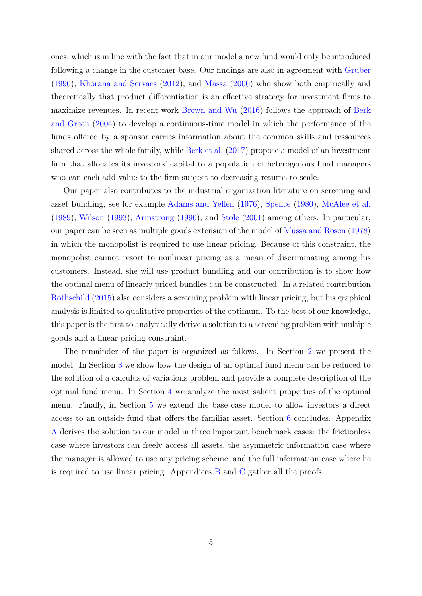<span id="page-5-0"></span>ones, which is in line with the fact that in our model a new fund would only be introduced following a change in the customer base. Our findings are also in agreement with [Gruber](#page-67-15) [\(1996\)](#page-67-15), [Khorana and Servaes](#page-67-16) [\(2012\)](#page-67-16), and [Massa](#page-68-10) [\(2000\)](#page-68-10) who show both empirically and theoretically that product differentiation is an effective strategy for investment firms to maximize revenues. In recent work [Brown and Wu](#page-67-14) [\(2016\)](#page-67-14) follows the approach of [Berk](#page-67-17) [and Green](#page-67-17) [\(2004\)](#page-67-17) to develop a continuous-time model in which the performance of the funds offered by a sponsor carries information about the common skills and ressources shared across the whole family, while [Berk et al.](#page-67-18) [\(2017\)](#page-67-18) propose a model of an investment firm that allocates its investors' capital to a population of heterogenous fund managers who can each add value to the firm subject to decreasing returns to scale.

Our paper also contributes to the industrial organization literature on screening and asset bundling, see for example [Adams and Yellen](#page-66-1) [\(1976\)](#page-66-1), [Spence](#page-68-1) [\(1980\)](#page-68-1), [McAfee et al.](#page-68-2) [\(1989\)](#page-68-2), [Wilson](#page-69-0) [\(1993\)](#page-69-0), [Armstrong](#page-66-0) [\(1996\)](#page-66-0), and [Stole](#page-68-11) [\(2001\)](#page-68-11) among others. In particular, our paper can be seen as multiple goods extension of the model of [Mussa and Rosen](#page-68-3) [\(1978\)](#page-68-3) in which the monopolist is required to use linear pricing. Because of this constraint, the monopolist cannot resort to nonlinear pricing as a mean of discriminating among his customers. Instead, she will use product bundling and our contribution is to show how the optimal menu of linearly priced bundles can be constructed. In a related contribution [Rothschild](#page-68-12) [\(2015\)](#page-68-12) also considers a screening problem with linear pricing, but his graphical analysis is limited to qualitative properties of the optimum. To the best of our knowledge, this paper is the first to analytically derive a solution to a screeni ng problem with multiple goods and a linear pricing constraint.

The remainder of the paper is organized as follows. In Section [2](#page-6-0) we present the model. In Section [3](#page-9-0) we show how the design of an optimal fund menu can be reduced to the solution of a calculus of variations problem and provide a complete description of the optimal fund menu. In Section [4](#page-14-0) we analyze the most salient properties of the optimal menu. Finally, in Section [5](#page-22-0) we extend the base case model to allow investors a direct access to an outside fund that offers the familiar asset. Section [6](#page-28-0) concludes. Appendix [A](#page-31-1) derives the solution to our model in three important benchmark cases: the frictionless case where investors can freely access all assets, the asymmetric information case where the manager is allowed to use any pricing scheme, and the full information case where he is required to use linear pricing. Appendices [B](#page-34-0) and [C](#page-54-0) gather all the proofs.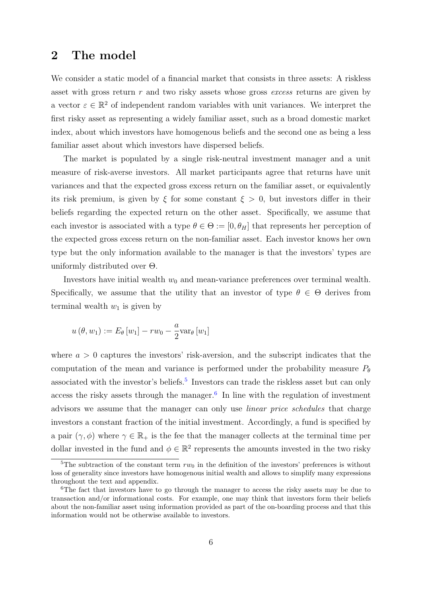# <span id="page-6-0"></span>2 The model

We consider a static model of a financial market that consists in three assets: A riskless asset with gross return  $r$  and two risky assets whose gross *excess* returns are given by a vector  $\varepsilon \in \mathbb{R}^2$  of independent random variables with unit variances. We interpret the first risky asset as representing a widely familiar asset, such as a broad domestic market index, about which investors have homogenous beliefs and the second one as being a less familiar asset about which investors have dispersed beliefs.

The market is populated by a single risk-neutral investment manager and a unit measure of risk-averse investors. All market participants agree that returns have unit variances and that the expected gross excess return on the familiar asset, or equivalently its risk premium, is given by  $\xi$  for some constant  $\xi > 0$ , but investors differ in their beliefs regarding the expected return on the other asset. Specifically, we assume that each investor is associated with a type  $\theta \in \Theta := [0, \theta_H]$  that represents her perception of the expected gross excess return on the non-familiar asset. Each investor knows her own type but the only information available to the manager is that the investors' types are uniformly distributed over Θ.

Investors have initial wealth  $w_0$  and mean-variance preferences over terminal wealth. Specifically, we assume that the utility that an investor of type  $\theta \in \Theta$  derives from terminal wealth  $w_1$  is given by

$$
u(\theta, w_1) := E_{\theta}[w_1] - rw_0 - \frac{a}{2}var_{\theta}[w_1]
$$

where  $a > 0$  captures the investors' risk-aversion, and the subscript indicates that the computation of the mean and variance is performed under the probability measure  $P_{\theta}$ associated with the investor's beliefs.<sup>[5](#page-6-1)</sup> Investors can trade the riskless asset but can only access the risky assets through the manager. $6$  In line with the regulation of investment advisors we assume that the manager can only use linear price schedules that charge investors a constant fraction of the initial investment. Accordingly, a fund is specified by a pair  $(\gamma, \phi)$  where  $\gamma \in \mathbb{R}_+$  is the fee that the manager collects at the terminal time per dollar invested in the fund and  $\phi \in \mathbb{R}^2$  represents the amounts invested in the two risky

<span id="page-6-1"></span><sup>&</sup>lt;sup>5</sup>The subtraction of the constant term  $rw_0$  in the definition of the investors' preferences is without loss of generality since investors have homogenous initial wealth and allows to simplify many expressions throughout the text and appendix.

<span id="page-6-2"></span><sup>&</sup>lt;sup>6</sup>The fact that investors have to go through the manager to access the risky assets may be due to transaction and/or informational costs. For example, one may think that investors form their beliefs about the non-familiar asset using information provided as part of the on-boarding process and that this information would not be otherwise available to investors.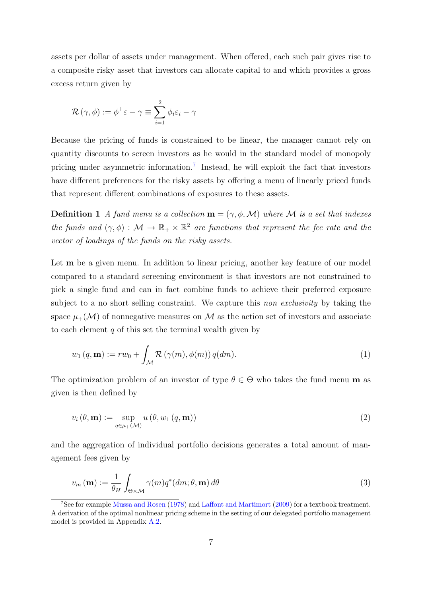<span id="page-7-4"></span>assets per dollar of assets under management. When offered, each such pair gives rise to a composite risky asset that investors can allocate capital to and which provides a gross excess return given by

$$
\mathcal{R}(\gamma,\phi) := \phi^{\top} \varepsilon - \gamma \equiv \sum_{i=1}^{2} \phi_i \varepsilon_i - \gamma
$$

Because the pricing of funds is constrained to be linear, the manager cannot rely on quantity discounts to screen investors as he would in the standard model of monopoly pricing under asymmetric information.<sup>[7](#page-7-0)</sup> Instead, he will exploit the fact that investors have different preferences for the risky assets by offering a menu of linearly priced funds that represent different combinations of exposures to these assets.

**Definition 1** A fund menu is a collection  $\mathbf{m} = (\gamma, \phi, \mathcal{M})$  where M is a set that indexes the funds and  $(\gamma, \phi) : \mathcal{M} \to \mathbb{R}_+ \times \mathbb{R}^2$  are functions that represent the fee rate and the vector of loadings of the funds on the risky assets.

Let **m** be a given menu. In addition to linear pricing, another key feature of our model compared to a standard screening environment is that investors are not constrained to pick a single fund and can in fact combine funds to achieve their preferred exposure subject to a no short selling constraint. We capture this *non exclusivity* by taking the space  $\mu_+(\mathcal{M})$  of nonnegative measures on M as the action set of investors and associate to each element  $q$  of this set the terminal wealth given by

<span id="page-7-3"></span>
$$
w_1(q, \mathbf{m}) := rw_0 + \int_{\mathcal{M}} \mathcal{R}(\gamma(m), \phi(m)) q(dm).
$$
 (1)

The optimization problem of an investor of type  $\theta \in \Theta$  who takes the fund menu m as given is then defined by

<span id="page-7-2"></span>
$$
v_i(\theta, \mathbf{m}) := \sup_{q \in \mu_+(\mathcal{M})} u(\theta, w_1(q, \mathbf{m}))
$$
\n(2)

and the aggregation of individual portfolio decisions generates a total amount of management fees given by

<span id="page-7-1"></span>
$$
v_m(\mathbf{m}) := \frac{1}{\theta_H} \int_{\Theta \times \mathcal{M}} \gamma(m) q^*(dm; \theta, \mathbf{m}) \, d\theta \tag{3}
$$

<span id="page-7-0"></span><sup>7</sup>See for example [Mussa and Rosen](#page-68-3) [\(1978\)](#page-68-3) and [Laffont and Martimort](#page-68-4) [\(2009\)](#page-68-4) for a textbook treatment. A derivation of the optimal nonlinear pricing scheme in the setting of our delegated portfolio management model is provided in Appendix [A.2.](#page-31-0)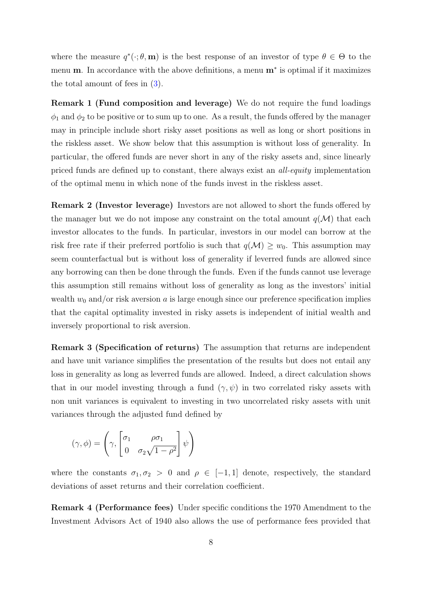where the measure  $q^*(\cdot;\theta, \mathbf{m})$  is the best response of an investor of type  $\theta \in \Theta$  to the menu **m**. In accordance with the above definitions, a menu **m**<sup>\*</sup> is optimal if it maximizes the total amount of fees in [\(3\)](#page-7-1).

Remark 1 (Fund composition and leverage) We do not require the fund loadings  $\phi_1$  and  $\phi_2$  to be positive or to sum up to one. As a result, the funds offered by the manager may in principle include short risky asset positions as well as long or short positions in the riskless asset. We show below that this assumption is without loss of generality. In particular, the offered funds are never short in any of the risky assets and, since linearly priced funds are defined up to constant, there always exist an all-equity implementation of the optimal menu in which none of the funds invest in the riskless asset.

Remark 2 (Investor leverage) Investors are not allowed to short the funds offered by the manager but we do not impose any constraint on the total amount  $q(\mathcal{M})$  that each investor allocates to the funds. In particular, investors in our model can borrow at the risk free rate if their preferred portfolio is such that  $q(\mathcal{M}) \geq w_0$ . This assumption may seem counterfactual but is without loss of generality if leverred funds are allowed since any borrowing can then be done through the funds. Even if the funds cannot use leverage this assumption still remains without loss of generality as long as the investors' initial wealth  $w_0$  and/or risk aversion a is large enough since our preference specification implies that the capital optimality invested in risky assets is independent of initial wealth and inversely proportional to risk aversion.

Remark 3 (Specification of returns) The assumption that returns are independent and have unit variance simplifies the presentation of the results but does not entail any loss in generality as long as leverred funds are allowed. Indeed, a direct calculation shows that in our model investing through a fund  $(\gamma, \psi)$  in two correlated risky assets with non unit variances is equivalent to investing in two uncorrelated risky assets with unit variances through the adjusted fund defined by

$$
(\gamma, \phi) = \left(\gamma, \begin{bmatrix} \sigma_1 & \rho \sigma_1 \\ 0 & \sigma_2 \sqrt{1 - \rho^2} \end{bmatrix} \psi\right)
$$

where the constants  $\sigma_1, \sigma_2 > 0$  and  $\rho \in [-1, 1]$  denote, respectively, the standard deviations of asset returns and their correlation coefficient.

Remark 4 (Performance fees) Under specific conditions the 1970 Amendment to the Investment Advisors Act of 1940 also allows the use of performance fees provided that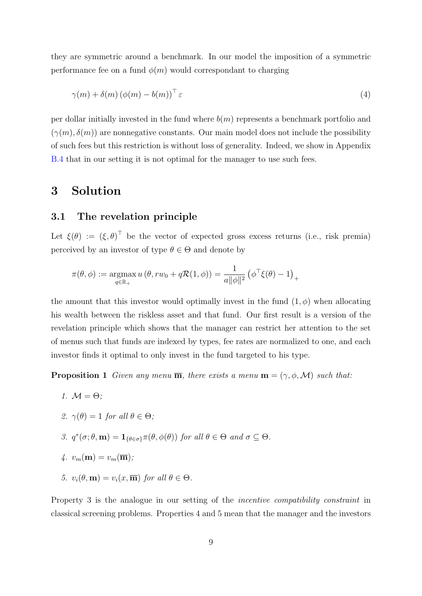they are symmetric around a benchmark. In our model the imposition of a symmetric performance fee on a fund  $\phi(m)$  would correspondant to charging

<span id="page-9-2"></span>
$$
\gamma(m) + \delta(m) \left(\phi(m) - b(m)\right)^{\top} \varepsilon \tag{4}
$$

per dollar initially invested in the fund where  $b(m)$  represents a benchmark portfolio and  $(\gamma(m), \delta(m))$  are nonnegative constants. Our main model does not include the possibility of such fees but this restriction is without loss of generality. Indeed, we show in Appendix [B.4](#page-54-1) that in our setting it is not optimal for the manager to use such fees.

# <span id="page-9-0"></span>3 Solution

# 3.1 The revelation principle

Let  $\xi(\theta) := (\xi, \theta)^{\top}$  be the vector of expected gross excess returns (i.e., risk premia) perceived by an investor of type  $\theta \in \Theta$  and denote by

$$
\pi(\theta,\phi) := \operatorname*{argmax}_{q \in \mathbb{R}_+} u(\theta, rw_0 + q\mathcal{R}(1,\phi)) = \frac{1}{a||\phi||^2} (\phi^\top \xi(\theta) - 1)_+
$$

the amount that this investor would optimally invest in the fund  $(1, \phi)$  when allocating his wealth between the riskless asset and that fund. Our first result is a version of the revelation principle which shows that the manager can restrict her attention to the set of menus such that funds are indexed by types, fee rates are normalized to one, and each investor finds it optimal to only invest in the fund targeted to his type.

<span id="page-9-1"></span>**Proposition 1** Given any menu  $\overline{m}$ , there exists a menu  $m = (\gamma, \phi, \mathcal{M})$  such that:

1.  $M = \Theta$ : 2.  $\gamma(\theta) = 1$  for all  $\theta \in \Theta$ ; 3.  $q^*(\sigma;\theta,\mathbf{m}) = \mathbf{1}_{\{\theta \in \sigma\}} \pi(\theta, \phi(\theta))$  for all  $\theta \in \Theta$  and  $\sigma \subseteq \Theta$ . 4.  $v_m(\mathbf{m}) = v_m(\overline{\mathbf{m}});$ 5.  $v_i(\theta, \mathbf{m}) = v_i(x, \overline{\mathbf{m}})$  for all  $\theta \in \Theta$ .

Property 3 is the analogue in our setting of the *incentive compatibility constraint* in classical screening problems. Properties 4 and 5 mean that the manager and the investors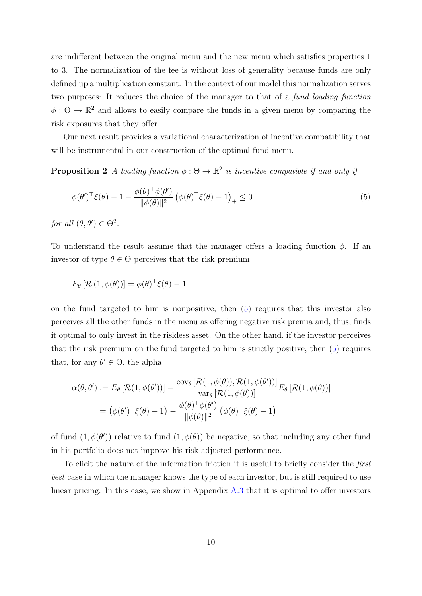are indifferent between the original menu and the new menu which satisfies properties 1 to 3. The normalization of the fee is without loss of generality because funds are only defined up a multiplication constant. In the context of our model this normalization serves two purposes: It reduces the choice of the manager to that of a fund loading function  $\phi: \Theta \to \mathbb{R}^2$  and allows to easily compare the funds in a given menu by comparing the risk exposures that they offer.

Our next result provides a variational characterization of incentive compatibility that will be instrumental in our construction of the optimal fund menu.

<span id="page-10-1"></span>**Proposition 2** A loading function  $\phi : \Theta \to \mathbb{R}^2$  is incentive compatible if and only if

<span id="page-10-0"></span>
$$
\phi(\theta')^{\top}\xi(\theta) - 1 - \frac{\phi(\theta)^{\top}\phi(\theta')}{\|\phi(\theta)\|^2} \left(\phi(\theta)^{\top}\xi(\theta) - 1\right)_+ \le 0
$$
\n
$$
\tag{5}
$$

for all  $(\theta, \theta') \in \Theta^2$ .

To understand the result assume that the manager offers a loading function  $\phi$ . If an investor of type  $\theta \in \Theta$  perceives that the risk premium

$$
E_{\theta}\left[\mathcal{R}\left(1,\phi(\theta)\right)\right]=\phi(\theta)^{\top}\xi(\theta)-1
$$

on the fund targeted to him is nonpositive, then [\(5\)](#page-10-0) requires that this investor also perceives all the other funds in the menu as offering negative risk premia and, thus, finds it optimal to only invest in the riskless asset. On the other hand, if the investor perceives that the risk premium on the fund targeted to him is strictly positive, then [\(5\)](#page-10-0) requires that, for any  $\theta' \in \Theta$ , the alpha

$$
\alpha(\theta, \theta') := E_{\theta} \left[ \mathcal{R}(1, \phi(\theta')) \right] - \frac{\text{cov}_{\theta} \left[ \mathcal{R}(1, \phi(\theta)), \mathcal{R}(1, \phi(\theta')) \right]}{\text{var}_{\theta} \left[ \mathcal{R}(1, \phi(\theta)) \right]} E_{\theta} \left[ \mathcal{R}(1, \phi(\theta)) \right]
$$

$$
= (\phi(\theta')^{\top} \xi(\theta) - 1) - \frac{\phi(\theta)^{\top} \phi(\theta')}{\|\phi(\theta)\|^2} (\phi(\theta)^{\top} \xi(\theta) - 1)
$$

of fund  $(1, \phi(\theta))$  relative to fund  $(1, \phi(\theta))$  be negative, so that including any other fund in his portfolio does not improve his risk-adjusted performance.

To elicit the nature of the information friction it is useful to briefly consider the first best case in which the manager knows the type of each investor, but is still required to use linear pricing. In this case, we show in Appendix [A.3](#page-33-0) that it is optimal to offer investors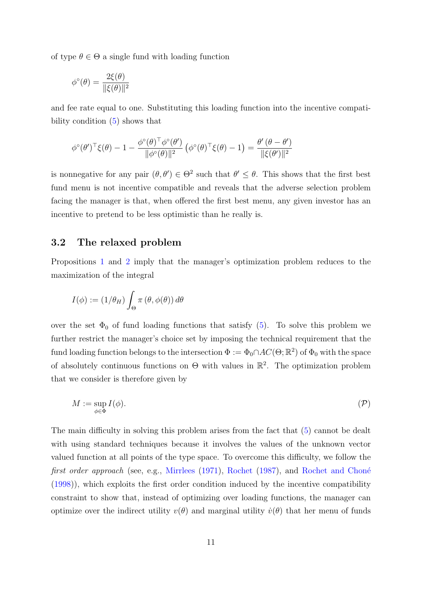<span id="page-11-2"></span>of type  $\theta \in \Theta$  a single fund with loading function

$$
\phi^{\circ}(\theta) = \frac{2\xi(\theta)}{\|\xi(\theta)\|^2}
$$

and fee rate equal to one. Substituting this loading function into the incentive compatibility condition [\(5\)](#page-10-0) shows that

$$
\phi^{\circ}(\theta')^{\top}\xi(\theta) - 1 - \frac{\phi^{\circ}(\theta)^{\top}\phi^{\circ}(\theta')}{\|\phi^{\circ}(\theta)\|^2} (\phi^{\circ}(\theta)^{\top}\xi(\theta) - 1) = \frac{\theta'(\theta - \theta')}{\|\xi(\theta')\|^2}
$$

is nonnegative for any pair  $(\theta, \theta') \in \Theta^2$  such that  $\theta' \leq \theta$ . This shows that the first best fund menu is not incentive compatible and reveals that the adverse selection problem facing the manager is that, when offered the first best menu, any given investor has an incentive to pretend to be less optimistic than he really is.

## <span id="page-11-1"></span>3.2 The relaxed problem

Propositions [1](#page-9-1) and [2](#page-10-1) imply that the manager's optimization problem reduces to the maximization of the integral

$$
I(\phi) := (1/\theta_H) \int_{\Theta} \pi (\theta, \phi(\theta)) d\theta
$$

over the set  $\Phi_0$  of fund loading functions that satisfy [\(5\)](#page-10-0). To solve this problem we further restrict the manager's choice set by imposing the technical requirement that the fund loading function belongs to the intersection  $\Phi := \Phi_0 \cap AC(\Theta; \mathbb{R}^2)$  of  $\Phi_0$  with the space of absolutely continuous functions on  $\Theta$  with values in  $\mathbb{R}^2$ . The optimization problem that we consider is therefore given by

<span id="page-11-0"></span>
$$
M := \sup_{\phi \in \Phi} I(\phi). \tag{P}
$$

The main difficulty in solving this problem arises from the fact that [\(5\)](#page-10-0) cannot be dealt with using standard techniques because it involves the values of the unknown vector valued function at all points of the type space. To overcome this difficulty, we follow the first order approach (see, e.g., [Mirrlees](#page-68-13) [\(1971\)](#page-68-13), [Rochet](#page-68-14) [\(1987\)](#page-68-14), and Rochet and Choné [\(1998\)](#page-68-5)), which exploits the first order condition induced by the incentive compatibility constraint to show that, instead of optimizing over loading functions, the manager can optimize over the indirect utility  $v(\theta)$  and marginal utility  $\dot{v}(\theta)$  that her menu of funds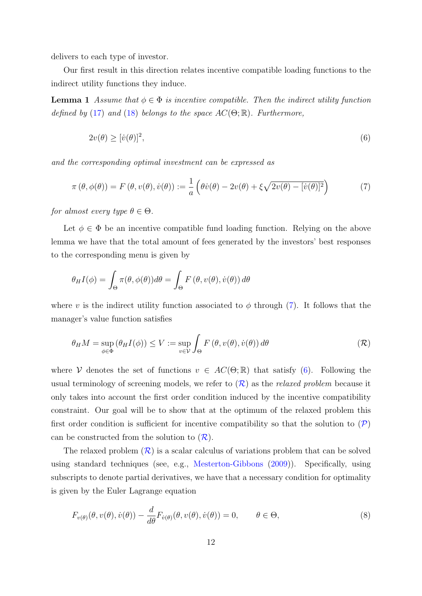<span id="page-12-5"></span>delivers to each type of investor.

Our first result in this direction relates incentive compatible loading functions to the indirect utility functions they induce.

<span id="page-12-3"></span>**Lemma 1** Assume that  $\phi \in \Phi$  is incentive compatible. Then the indirect utility function defined by [\(17\)](#page-22-1) and [\(18\)](#page-22-2) belongs to the space  $AC(\Theta;\mathbb{R})$ . Furthermore,

<span id="page-12-1"></span><span id="page-12-0"></span>
$$
2v(\theta) \geq [\dot{v}(\theta)]^2,\tag{6}
$$

and the corresponding optimal investment can be expressed as

$$
\pi(\theta, \phi(\theta)) = F(\theta, v(\theta), \dot{v}(\theta)) := \frac{1}{a} \left( \theta \dot{v}(\theta) - 2v(\theta) + \xi \sqrt{2v(\theta) - [\dot{v}(\theta)]^2} \right)
$$
(7)

for almost every type  $\theta \in \Theta$ .

Let  $\phi \in \Phi$  be an incentive compatible fund loading function. Relying on the above lemma we have that the total amount of fees generated by the investors' best responses to the corresponding menu is given by

$$
\theta_H I(\phi) = \int_{\Theta} \pi(\theta, \phi(\theta)) d\theta = \int_{\Theta} F(\theta, v(\theta), \dot{v}(\theta)) d\theta
$$

where v is the indirect utility function associated to  $\phi$  through [\(7\)](#page-12-0). It follows that the manager's value function satisfies

<span id="page-12-2"></span>
$$
\theta_H M = \sup_{\phi \in \Phi} (\theta_H I(\phi)) \le V := \sup_{v \in V} \int_{\Theta} F(\theta, v(\theta), \dot{v}(\theta)) d\theta \tag{R}
$$

where V denotes the set of functions  $v \in AC(\Theta;\mathbb{R})$  that satisfy [\(6\)](#page-12-1). Following the usual terminology of screening models, we refer to  $(\mathcal{R})$  $(\mathcal{R})$  $(\mathcal{R})$  as the *relaxed problem* because it only takes into account the first order condition induced by the incentive compatibility constraint. Our goal will be to show that at the optimum of the relaxed problem this first order condition is sufficient for incentive compatibility so that the solution to  $(\mathcal{P})$  $(\mathcal{P})$  $(\mathcal{P})$ can be constructed from the solution to  $(\mathcal{R})$  $(\mathcal{R})$  $(\mathcal{R})$ .

The relaxed problem  $(\mathcal{R})$  $(\mathcal{R})$  $(\mathcal{R})$  is a scalar calculus of variations problem that can be solved using standard techniques (see, e.g., [Mesterton-Gibbons](#page-68-15) [\(2009\)](#page-68-15)). Specifically, using subscripts to denote partial derivatives, we have that a necessary condition for optimality is given by the Euler Lagrange equation

<span id="page-12-4"></span>
$$
F_{v(\theta)}(\theta, v(\theta), \dot{v}(\theta)) - \frac{d}{d\theta} F_{\dot{v}(\theta)}(\theta, v(\theta), \dot{v}(\theta)) = 0, \qquad \theta \in \Theta,
$$
\n(8)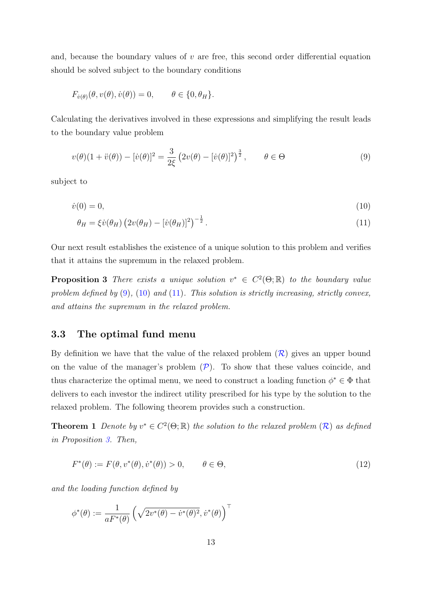and, because the boundary values of  $v$  are free, this second order differential equation should be solved subject to the boundary conditions

$$
F_{\dot{v}(\theta)}(\theta, v(\theta), \dot{v}(\theta)) = 0, \qquad \theta \in \{0, \theta_H\}.
$$

Calculating the derivatives involved in these expressions and simplifying the result leads to the boundary value problem

<span id="page-13-0"></span>
$$
v(\theta)(1+\ddot{v}(\theta)) - [\dot{v}(\theta)]^2 = \frac{3}{2\xi} (2v(\theta) - [\dot{v}(\theta)]^2)^{\frac{3}{2}}, \qquad \theta \in \Theta
$$
\n(9)

subject to

$$
\dot{v}(0) = 0,\tag{10}
$$

<span id="page-13-2"></span><span id="page-13-1"></span>
$$
\theta_H = \xi \dot{v}(\theta_H) \left( 2v(\theta_H) - [\dot{v}(\theta_H)]^2 \right)^{-\frac{1}{2}}.
$$
\n(11)

Our next result establishes the existence of a unique solution to this problem and verifies that it attains the supremum in the relaxed problem.

<span id="page-13-3"></span>**Proposition 3** There exists a unique solution  $v^* \in C^2(\Theta; \mathbb{R})$  to the boundary value problem defined by  $(9)$ ,  $(10)$  and  $(11)$ . This solution is strictly increasing, strictly convex, and attains the supremum in the relaxed problem.

### <span id="page-13-5"></span>3.3 The optimal fund menu

By definition we have that the value of the relaxed problem  $(\mathcal{R})$  $(\mathcal{R})$  $(\mathcal{R})$  gives an upper bound on the value of the manager's problem  $(\mathcal{P})$  $(\mathcal{P})$  $(\mathcal{P})$ . To show that these values coincide, and thus characterize the optimal menu, we need to construct a loading function  $\phi^* \in \Phi$  that delivers to each investor the indirect utility prescribed for his type by the solution to the relaxed problem. The following theorem provides such a construction.

<span id="page-13-4"></span>**Theorem 1** Denote by  $v^* \in C^2(\Theta;\mathbb{R})$  $v^* \in C^2(\Theta;\mathbb{R})$  $v^* \in C^2(\Theta;\mathbb{R})$  the solution to the relaxed problem  $(\mathcal{R})$  as defined in Proposition [3.](#page-13-3) Then,

<span id="page-13-6"></span>
$$
F^*(\theta) := F(\theta, v^*(\theta), \dot{v}^*(\theta)) > 0, \qquad \theta \in \Theta,
$$
\n
$$
(12)
$$

and the loading function defined by

$$
\phi^*(\theta) := \frac{1}{aF^*(\theta)} \left( \sqrt{2v^*(\theta) - \dot{v}^*(\theta)^2}, \dot{v}^*(\theta) \right)^{\top}
$$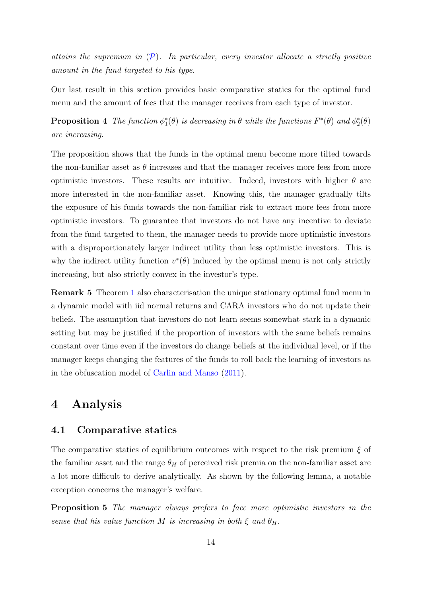<span id="page-14-3"></span>attains the supremum in  $(P)$  $(P)$  $(P)$ . In particular, every investor allocate a strictly positive amount in the fund targeted to his type.

Our last result in this section provides basic comparative statics for the optimal fund menu and the amount of fees that the manager receives from each type of investor.

<span id="page-14-1"></span>**Proposition 4** The function  $\phi_1^*(\theta)$  is decreasing in  $\theta$  while the functions  $F^*(\theta)$  and  $\phi_2^*(\theta)$ are increasing.

The proposition shows that the funds in the optimal menu become more tilted towards the non-familiar asset as  $\theta$  increases and that the manager receives more fees from more optimistic investors. These results are intuitive. Indeed, investors with higher  $\theta$  are more interested in the non-familiar asset. Knowing this, the manager gradually tilts the exposure of his funds towards the non-familiar risk to extract more fees from more optimistic investors. To guarantee that investors do not have any incentive to deviate from the fund targeted to them, the manager needs to provide more optimistic investors with a disproportionately larger indirect utility than less optimistic investors. This is why the indirect utility function  $v^*(\theta)$  induced by the optimal menu is not only strictly increasing, but also strictly convex in the investor's type.

Remark 5 Theorem [1](#page-13-4) also characterisation the unique stationary optimal fund menu in a dynamic model with iid normal returns and CARA investors who do not update their beliefs. The assumption that investors do not learn seems somewhat stark in a dynamic setting but may be justified if the proportion of investors with the same beliefs remains constant over time even if the investors do change beliefs at the individual level, or if the manager keeps changing the features of the funds to roll back the learning of investors as in the obfuscation model of [Carlin and Manso](#page-67-13) [\(2011\)](#page-67-13).

# <span id="page-14-0"></span>4 Analysis

### 4.1 Comparative statics

The comparative statics of equilibrium outcomes with respect to the risk premium  $\xi$  of the familiar asset and the range  $\theta_H$  of perceived risk premia on the non-familiar asset are a lot more difficult to derive analytically. As shown by the following lemma, a notable exception concerns the manager's welfare.

<span id="page-14-2"></span>Proposition 5 The manager always prefers to face more optimistic investors in the sense that his value function M is increasing in both  $\xi$  and  $\theta_H$ .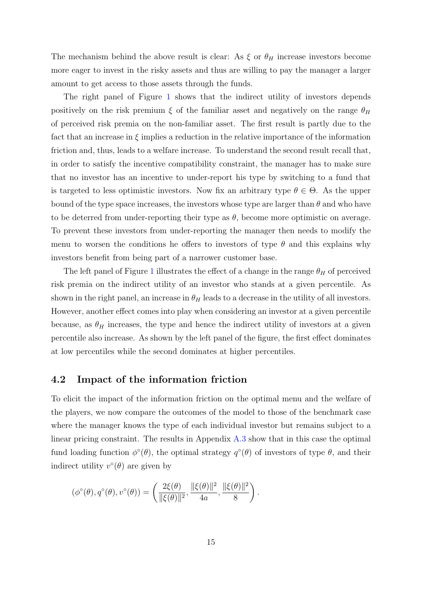<span id="page-15-0"></span>The mechanism behind the above result is clear: As  $\xi$  or  $\theta_H$  increase investors become more eager to invest in the risky assets and thus are willing to pay the manager a larger amount to get access to those assets through the funds.

The right panel of Figure [1](#page-16-0) shows that the indirect utility of investors depends positively on the risk premium  $\xi$  of the familiar asset and negatively on the range  $\theta_H$ of perceived risk premia on the non-familiar asset. The first result is partly due to the fact that an increase in  $\xi$  implies a reduction in the relative importance of the information friction and, thus, leads to a welfare increase. To understand the second result recall that, in order to satisfy the incentive compatibility constraint, the manager has to make sure that no investor has an incentive to under-report his type by switching to a fund that is targeted to less optimistic investors. Now fix an arbitrary type  $\theta \in \Theta$ . As the upper bound of the type space increases, the investors whose type are larger than  $\theta$  and who have to be deterred from under-reporting their type as  $\theta$ , become more optimistic on average. To prevent these investors from under-reporting the manager then needs to modify the menu to worsen the conditions he offers to investors of type  $\theta$  and this explains why investors benefit from being part of a narrower customer base.

The left panel of Figure [1](#page-16-0) illustrates the effect of a change in the range  $\theta_H$  of perceived risk premia on the indirect utility of an investor who stands at a given percentile. As shown in the right panel, an increase in  $\theta_H$  leads to a decrease in the utility of all investors. However, another effect comes into play when considering an investor at a given percentile because, as  $\theta_H$  increases, the type and hence the indirect utility of investors at a given percentile also increase. As shown by the left panel of the figure, the first effect dominates at low percentiles while the second dominates at higher percentiles.

### 4.2 Impact of the information friction

To elicit the impact of the information friction on the optimal menu and the welfare of the players, we now compare the outcomes of the model to those of the benchmark case where the manager knows the type of each individual investor but remains subject to a linear pricing constraint. The results in Appendix [A.3](#page-33-0) show that in this case the optimal fund loading function  $\phi^{\circ}(\theta)$ , the optimal strategy  $q^{\circ}(\theta)$  of investors of type  $\theta$ , and their indirect utility  $v^{\circ}(\theta)$  are given by

$$
(\phi^{\circ}(\theta), q^{\circ}(\theta), v^{\circ}(\theta)) = \left(\frac{2\xi(\theta)}{\|\xi(\theta)\|^2}, \frac{\|\xi(\theta)\|^2}{4a}, \frac{\|\xi(\theta)\|^2}{8}\right).
$$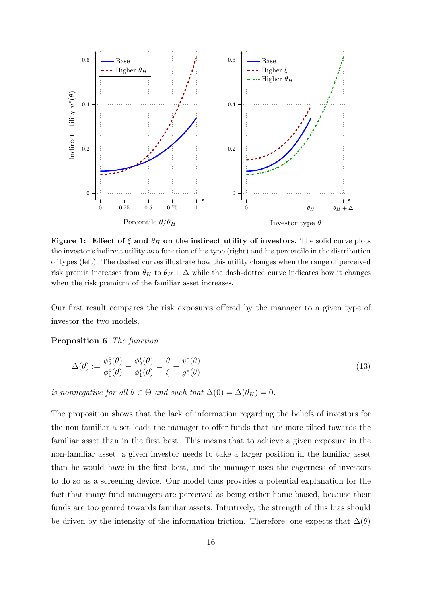<span id="page-16-3"></span><span id="page-16-0"></span>

Figure 1: Effect of  $\xi$  and  $\theta_H$  on the indirect utility of investors. The solid curve plots the investor's indirect utility as a function of his type (right) and his percentile in the distribution of types (left). The dashed curves illustrate how this utility changes when the range of perceived risk premia increases from  $\theta_H$  to  $\theta_H + \Delta$  while the dash-dotted curve indicates how it changes when the risk premium of the familiar asset increases.

Our first result compares the risk exposures offered by the manager to a given type of investor the two models.

### <span id="page-16-2"></span>Proposition 6 The function

<span id="page-16-1"></span>
$$
\Delta(\theta) := \frac{\phi_2^{\circ}(\theta)}{\phi_1^{\circ}(\theta)} - \frac{\phi_2^{\ast}(\theta)}{\phi_1^{\ast}(\theta)} = \frac{\theta}{\xi} - \frac{\dot{v}^{\ast}(\theta)}{g^{\ast}(\theta)}
$$
(13)

is nonnegative for all  $\theta \in \Theta$  and such that  $\Delta(0) = \Delta(\theta_H) = 0$ .

The proposition shows that the lack of information regarding the beliefs of investors for the non-familiar asset leads the manager to offer funds that are more tilted towards the familiar asset than in the first best. This means that to achieve a given exposure in the non-familiar asset, a given investor needs to take a larger position in the familiar asset than he would have in the first best, and the manager uses the eagerness of investors to do so as a screening device. Our model thus provides a potential explanation for the fact that many fund managers are perceived as being either home-biased, because their funds are too geared towards familiar assets. Intuitively, the strength of this bias should be driven by the intensity of the information friction. Therefore, one expects that  $\Delta(\theta)$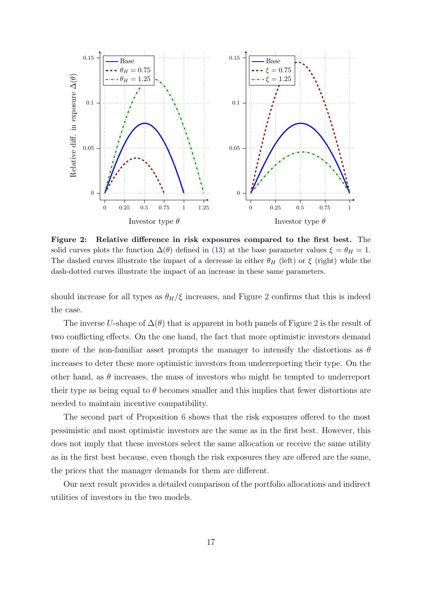<span id="page-17-0"></span>

Figure 2: Relative difference in risk exposures compared to the first best. The solid curves plots the function  $\Delta(\theta)$  defined in [\(13\)](#page-16-1) at the base parameter values  $\xi = \theta_H = 1$ . The dashed curves illustrate the impact of a decrease in either  $\theta_H$  (left) or  $\xi$  (right) while the dash-dotted curves illustrate the impact of an increase in these same parameters.

should increase for all types as  $\theta_H/\xi$  increases, and Figure [2](#page-17-0) confirms that this is indeed the case.

The inverse U-shape of  $\Delta(\theta)$  that is apparent in both panels of Figure [2](#page-17-0) is the result of two conflicting effects. On the one hand, the fact that more optimistic investors demand more of the non-familiar asset prompts the manager to intensify the distortions as  $\theta$ increases to deter these more optimistic investors from underreporting their type. On the other hand, as  $\theta$  increases, the mass of investors who might be tempted to underreport their type as being equal to  $\theta$  becomes smaller and this implies that fewer distortions are needed to maintain incentive compatibility.

The second part of Proposition [6](#page-16-2) shows that the risk exposures offered to the most pessimistic and most optimistic investors are the same as in the first best. However, this does not imply that these investors select the same allocation or receive the same utility as in the first best because, even though the risk exposures they are offered are the same, the prices that the manager demands for them are different.

<span id="page-17-1"></span>Our next result provides a detailed comparison of the portfolio allocations and indirect utilities of investors in the two models.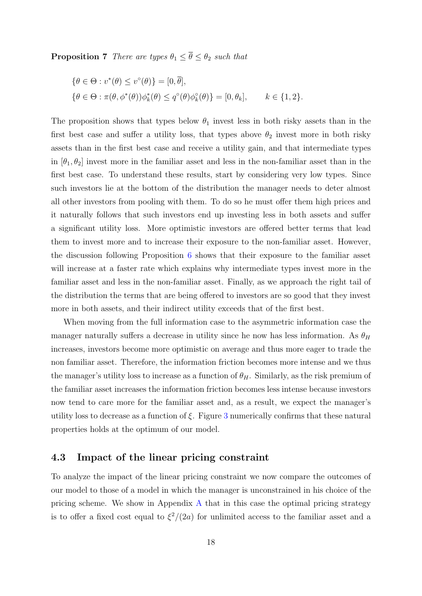**Proposition 7** There are types  $\theta_1 \leq \overline{\theta} \leq \theta_2$  such that

$$
\{\theta \in \Theta : v^*(\theta) \le v^{\circ}(\theta)\} = [0, \overline{\theta}],
$$
  

$$
\{\theta \in \Theta : \pi(\theta, \phi^*(\theta))\phi_k^*(\theta) \le q^{\circ}(\theta)\phi_k^{\circ}(\theta)\} = [0, \theta_k], \qquad k \in \{1, 2\}.
$$

The proposition shows that types below  $\theta_1$  invest less in both risky assets than in the first best case and suffer a utility loss, that types above  $\theta_2$  invest more in both risky assets than in the first best case and receive a utility gain, and that intermediate types in  $[\theta_1, \theta_2]$  invest more in the familiar asset and less in the non-familiar asset than in the first best case. To understand these results, start by considering very low types. Since such investors lie at the bottom of the distribution the manager needs to deter almost all other investors from pooling with them. To do so he must offer them high prices and it naturally follows that such investors end up investing less in both assets and suffer a significant utility loss. More optimistic investors are offered better terms that lead them to invest more and to increase their exposure to the non-familiar asset. However, the discussion following Proposition [6](#page-16-2) shows that their exposure to the familiar asset will increase at a faster rate which explains why intermediate types invest more in the familiar asset and less in the non-familiar asset. Finally, as we approach the right tail of the distribution the terms that are being offered to investors are so good that they invest more in both assets, and their indirect utility exceeds that of the first best.

When moving from the full information case to the asymmetric information case the manager naturally suffers a decrease in utility since he now has less information. As  $\theta_H$ increases, investors become more optimistic on average and thus more eager to trade the non familiar asset. Therefore, the information friction becomes more intense and we thus the manager's utility loss to increase as a function of  $\theta_H$ . Similarly, as the risk premium of the familiar asset increases the information friction becomes less intense because investors now tend to care more for the familiar asset and, as a result, we expect the manager's utility loss to decrease as a function of  $\xi$ . Figure [3](#page-19-0) numerically confirms that these natural properties holds at the optimum of our model.

## 4.3 Impact of the linear pricing constraint

To analyze the impact of the linear pricing constraint we now compare the outcomes of our model to those of a model in which the manager is unconstrained in his choice of the pricing scheme. We show in [A](#page-31-1)ppendix  $\Lambda$  that in this case the optimal pricing strategy is to offer a fixed cost equal to  $\xi^2/(2a)$  for unlimited access to the familiar asset and a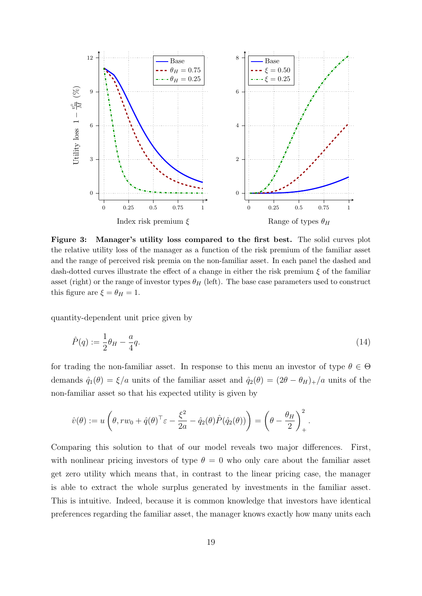<span id="page-19-0"></span>

Figure 3: Manager's utility loss compared to the first best. The solid curves plot the relative utility loss of the manager as a function of the risk premium of the familiar asset and the range of perceived risk premia on the non-familiar asset. In each panel the dashed and dash-dotted curves illustrate the effect of a change in either the risk premium  $\xi$  of the familiar asset (right) or the range of investor types  $\theta_H$  (left). The base case parameters used to construct this figure are  $\xi = \theta_H = 1$ .

quantity-dependent unit price given by

<span id="page-19-1"></span>
$$
\hat{P}(q) := \frac{1}{2}\theta_H - \frac{a}{4}q.\tag{14}
$$

for trading the non-familiar asset. In response to this menu an investor of type  $\theta \in \Theta$ demands  $\hat{q}_1(\theta) = \xi/a$  units of the familiar asset and  $\hat{q}_2(\theta) = (2\theta - \theta_H)_+ / a$  units of the non-familiar asset so that his expected utility is given by

$$
\hat{v}(\theta) := u\left(\theta, rw_0 + \hat{q}(\theta)^{\top} \varepsilon - \frac{\xi^2}{2a} - \hat{q}_2(\theta)\hat{P}(\hat{q}_2(\theta))\right) = \left(\theta - \frac{\theta_H}{2}\right)_+^2.
$$

Comparing this solution to that of our model reveals two major differences. First, with nonlinear pricing investors of type  $\theta = 0$  who only care about the familiar asset get zero utility which means that, in contrast to the linear pricing case, the manager is able to extract the whole surplus generated by investments in the familiar asset. This is intuitive. Indeed, because it is common knowledge that investors have identical preferences regarding the familiar asset, the manager knows exactly how many units each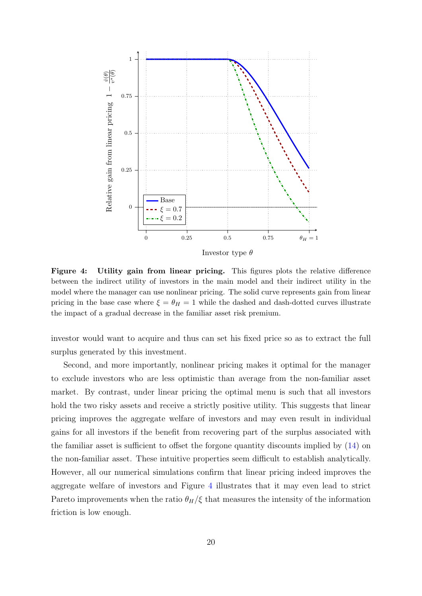<span id="page-20-0"></span>

Figure 4: Utility gain from linear pricing. This figures plots the relative difference between the indirect utility of investors in the main model and their indirect utility in the model where the manager can use nonlinear pricing. The solid curve represents gain from linear pricing in the base case where  $\xi = \theta_H = 1$  while the dashed and dash-dotted curves illustrate the impact of a gradual decrease in the familiar asset risk premium.

investor would want to acquire and thus can set his fixed price so as to extract the full surplus generated by this investment.

Second, and more importantly, nonlinear pricing makes it optimal for the manager to exclude investors who are less optimistic than average from the non-familiar asset market. By contrast, under linear pricing the optimal menu is such that all investors hold the two risky assets and receive a strictly positive utility. This suggests that linear pricing improves the aggregate welfare of investors and may even result in individual gains for all investors if the benefit from recovering part of the surplus associated with the familiar asset is sufficient to offset the forgone quantity discounts implied by [\(14\)](#page-19-1) on the non-familiar asset. These intuitive properties seem difficult to establish analytically. However, all our numerical simulations confirm that linear pricing indeed improves the aggregate welfare of investors and Figure [4](#page-20-0) illustrates that it may even lead to strict Pareto improvements when the ratio  $\theta_H/\xi$  that measures the intensity of the information friction is low enough.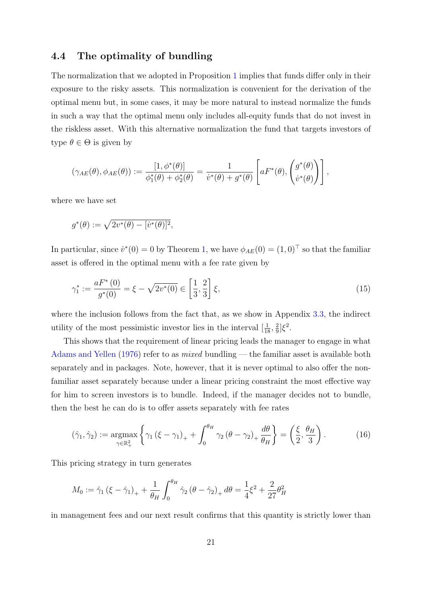### <span id="page-21-2"></span>4.4 The optimality of bundling

The normalization that we adopted in Proposition [1](#page-9-1) implies that funds differ only in their exposure to the risky assets. This normalization is convenient for the derivation of the optimal menu but, in some cases, it may be more natural to instead normalize the funds in such a way that the optimal menu only includes all-equity funds that do not invest in the riskless asset. With this alternative normalization the fund that targets investors of type  $\theta \in \Theta$  is given by

$$
(\gamma_{AE}(\theta), \phi_{AE}(\theta)) := \frac{[1, \phi^*(\theta)]}{\phi_1^*(\theta) + \phi_2^*(\theta)} = \frac{1}{\dot{v}^*(\theta) + g^*(\theta)} \left[ a F^*(\theta), \begin{pmatrix} g^*(\theta) \\ \dot{v}^*(\theta) \end{pmatrix} \right],
$$

where we have set

$$
g^*(\theta) := \sqrt{2v^*(\theta) - [v^*(\theta)]^2},
$$

In particular, since  $\dot{v}^*(0) = 0$  by Theorem [1,](#page-13-4) we have  $\phi_{AE}(0) = (1,0)^\top$  so that the familiar asset is offered in the optimal menu with a fee rate given by

<span id="page-21-1"></span>
$$
\gamma_1^* := \frac{a F^*(0)}{g^*(0)} = \xi - \sqrt{2v^*(0)} \in \left[\frac{1}{3}, \frac{2}{3}\right] \xi,\tag{15}
$$

where the inclusion follows from the fact that, as we show in Appendix [3.3,](#page-13-5) the indirect utility of the most pessimistic investor lies in the interval  $\left[\frac{1}{18}, \frac{2}{9}\right]$  $\frac{2}{9}$ ] $\xi^2$ .

This shows that the requirement of linear pricing leads the manager to engage in what [Adams and Yellen](#page-66-1) [\(1976\)](#page-66-1) refer to as mixed bundling — the familiar asset is available both separately and in packages. Note, however, that it is never optimal to also offer the nonfamiliar asset separately because under a linear pricing constraint the most effective way for him to screen investors is to bundle. Indeed, if the manager decides not to bundle, then the best he can do is to offer assets separately with fee rates

<span id="page-21-0"></span>
$$
(\hat{\gamma}_1, \hat{\gamma}_2) := \underset{\gamma \in \mathbb{R}_+^2}{\text{argmax}} \left\{ \gamma_1 \left( \xi - \gamma_1 \right)_+ + \int_0^{\theta_H} \gamma_2 \left( \theta - \gamma_2 \right)_+ \frac{d\theta}{\theta_H} \right\} = \left( \frac{\xi}{2}, \frac{\theta_H}{3} \right). \tag{16}
$$

This pricing strategy in turn generates

$$
M_0 := \hat{\gamma}_1 (\xi - \hat{\gamma}_1)_+ + \frac{1}{\theta_H} \int_0^{\theta_H} \hat{\gamma}_2 (\theta - \hat{\gamma}_2)_+ d\theta = \frac{1}{4} \xi^2 + \frac{2}{27} \theta_H^2
$$

in management fees and our next result confirms that this quantity is strictly lower than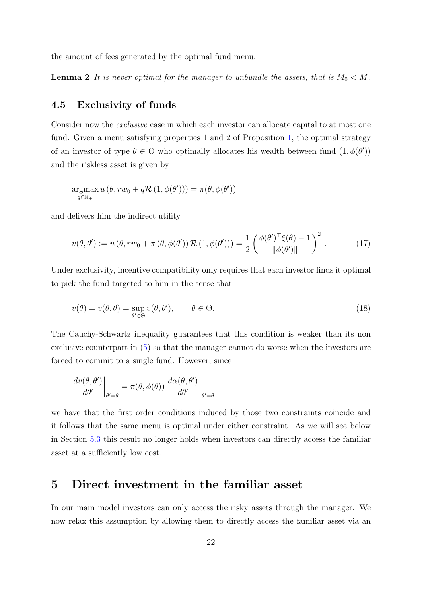<span id="page-22-3"></span>the amount of fees generated by the optimal fund menu.

**Lemma 2** It is never optimal for the manager to unbundle the assets, that is  $M_0 < M$ .

# 4.5 Exclusivity of funds

Consider now the exclusive case in which each investor can allocate capital to at most one fund. Given a menu satisfying properties 1 and 2 of Proposition [1,](#page-9-1) the optimal strategy of an investor of type  $\theta \in \Theta$  who optimally allocates his wealth between fund  $(1, \phi(\theta'))$ and the riskless asset is given by

$$
\underset{q \in \mathbb{R}_+}{\operatorname{argmax}} u(\theta, rw_0 + q\mathcal{R}(1,\phi(\theta'))) = \pi(\theta,\phi(\theta'))
$$

and delivers him the indirect utility

<span id="page-22-1"></span>
$$
v(\theta, \theta') := u(\theta, rw_0 + \pi(\theta, \phi(\theta')) \mathcal{R}(1, \phi(\theta'))) = \frac{1}{2} \left( \frac{\phi(\theta')^{\top} \xi(\theta) - 1}{\|\phi(\theta')\|} \right)_+^2.
$$
 (17)

Under exclusivity, incentive compatibility only requires that each investor finds it optimal to pick the fund targeted to him in the sense that

<span id="page-22-2"></span>
$$
v(\theta) = v(\theta, \theta) = \sup_{\theta' \in \Theta} v(\theta, \theta'), \qquad \theta \in \Theta.
$$
 (18)

The Cauchy-Schwartz inequality guarantees that this condition is weaker than its non exclusive counterpart in [\(5\)](#page-10-0) so that the manager cannot do worse when the investors are forced to commit to a single fund. However, since

$$
\left. \frac{d\upsilon(\theta,\theta')}{d\theta'} \right|_{\theta'=\theta} = \pi(\theta,\phi(\theta)) \left. \frac{d\alpha(\theta,\theta')}{d\theta'} \right|_{\theta'=\theta}
$$

we have that the first order conditions induced by those two constraints coincide and it follows that the same menu is optimal under either constraint. As we will see below in Section [5.3](#page-26-0) this result no longer holds when investors can directly access the familiar asset at a sufficiently low cost.

# <span id="page-22-0"></span>5 Direct investment in the familiar asset

In our main model investors can only access the risky assets through the manager. We now relax this assumption by allowing them to directly access the familiar asset via an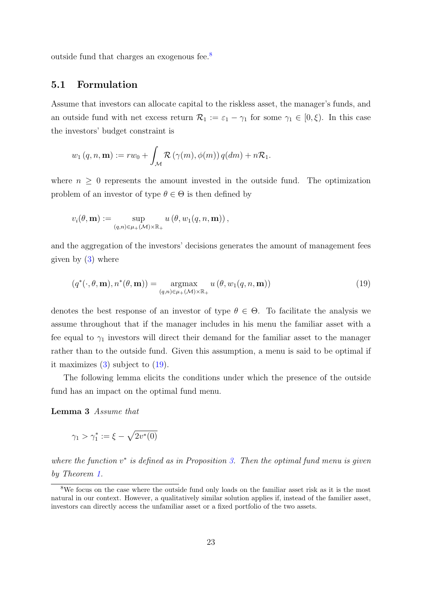outside fund that charges an exogenous fee.[8](#page-23-0)

### 5.1 Formulation

Assume that investors can allocate capital to the riskless asset, the manager's funds, and an outside fund with net excess return  $\mathcal{R}_1 := \varepsilon_1 - \gamma_1$  for some  $\gamma_1 \in [0,\xi)$ . In this case the investors' budget constraint is

$$
w_1 (q, n, \mathbf{m}) := rw_0 + \int_M \mathcal{R}(\gamma(m), \phi(m)) q(dm) + n\mathcal{R}_1.
$$

where  $n \geq 0$  represents the amount invested in the outside fund. The optimization problem of an investor of type  $\theta \in \Theta$  is then defined by

$$
v_i(\theta, \mathbf{m}) := \sup_{(q,n)\in\mu_+(\mathcal{M})\times\mathbb{R}_+} u(\theta, w_1(q,n,\mathbf{m})),
$$

and the aggregation of the investors' decisions generates the amount of management fees given by [\(3\)](#page-7-1) where

<span id="page-23-1"></span>
$$
(q^*(\cdot,\theta,\mathbf{m}),n^*(\theta,\mathbf{m})) = \underset{(q,n)\in\mu_+(\mathcal{M})\times\mathbb{R}_+}{\operatorname{argmax}} u(\theta,w_1(q,n,\mathbf{m}))
$$
(19)

denotes the best response of an investor of type  $\theta \in \Theta$ . To facilitate the analysis we assume throughout that if the manager includes in his menu the familiar asset with a fee equal to  $\gamma_1$  investors will direct their demand for the familiar asset to the manager rather than to the outside fund. Given this assumption, a menu is said to be optimal if it maximizes [\(3\)](#page-7-1) subject to [\(19\)](#page-23-1).

The following lemma elicits the conditions under which the presence of the outside fund has an impact on the optimal fund menu.

<span id="page-23-2"></span>Lemma 3 Assume that

$$
\gamma_1 > \gamma_1^* := \xi - \sqrt{2v^*(0)}
$$

where the function  $v^*$  is defined as in Proposition [3.](#page-13-3) Then the optimal fund menu is given by Theorem [1.](#page-13-4)

<span id="page-23-0"></span><sup>&</sup>lt;sup>8</sup>We focus on the case where the outside fund only loads on the familiar asset risk as it is the most natural in our context. However, a qualitatively similar solution applies if, instead of the familier asset, investors can directly access the unfamiliar asset or a fixed portfolio of the two assets.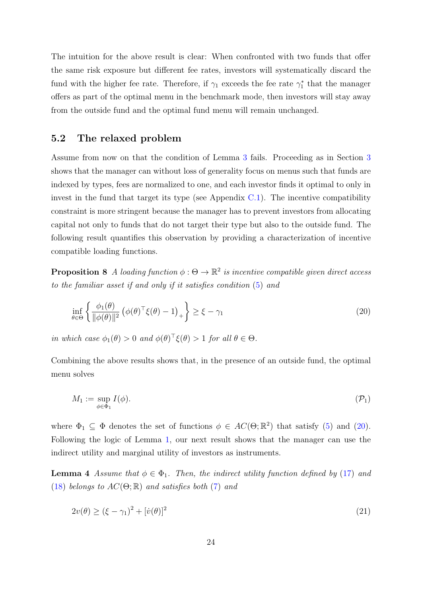The intuition for the above result is clear: When confronted with two funds that offer the same risk exposure but different fee rates, investors will systematically discard the fund with the higher fee rate. Therefore, if  $\gamma_1$  exceeds the fee rate  $\gamma_1^*$  that the manager offers as part of the optimal menu in the benchmark mode, then investors will stay away from the outside fund and the optimal fund menu will remain unchanged.

# <span id="page-24-5"></span>5.2 The relaxed problem

Assume from now on that the condition of Lemma [3](#page-23-2) fails. Proceeding as in Section [3](#page-9-0) shows that the manager can without loss of generality focus on menus such that funds are indexed by types, fees are normalized to one, and each investor finds it optimal to only in invest in the fund that target its type (see Appendix  $C.1$ ). The incentive compatibility constraint is more stringent because the manager has to prevent investors from allocating capital not only to funds that do not target their type but also to the outside fund. The following result quantifies this observation by providing a characterization of incentive compatible loading functions.

<span id="page-24-3"></span>**Proposition 8** A loading function  $\phi : \Theta \to \mathbb{R}^2$  is incentive compatible given direct access to the familiar asset if and only if it satisfies condition [\(5\)](#page-10-0) and

<span id="page-24-0"></span>
$$
\inf_{\theta \in \Theta} \left\{ \frac{\phi_1(\theta)}{\|\phi(\theta)\|^2} \left( \phi(\theta)^\top \xi(\theta) - 1 \right)_+ \right\} \ge \xi - \gamma_1 \tag{20}
$$

in which case  $\phi_1(\theta) > 0$  and  $\phi(\theta)^{\top} \xi(\theta) > 1$  for all  $\theta \in \Theta$ .

Combining the above results shows that, in the presence of an outside fund, the optimal menu solves

<span id="page-24-2"></span>
$$
M_1 := \sup_{\phi \in \Phi_1} I(\phi). \tag{P_1}
$$

where  $\Phi_1 \subseteq \Phi$  denotes the set of functions  $\phi \in AC(\Theta; \mathbb{R}^2)$  that satisfy [\(5\)](#page-10-0) and [\(20\)](#page-24-0). Following the logic of Lemma [1,](#page-12-3) our next result shows that the manager can use the indirect utility and marginal utility of investors as instruments.

<span id="page-24-4"></span>**Lemma 4** Assume that  $\phi \in \Phi_1$ . Then, the indirect utility function defined by [\(17\)](#page-22-1) and [\(18\)](#page-22-2) belongs to  $AC(\Theta;\mathbb{R})$  and satisfies both [\(7\)](#page-12-0) and

<span id="page-24-1"></span>
$$
2v(\theta) \ge (\xi - \gamma_1)^2 + [\dot{v}(\theta)]^2 \tag{21}
$$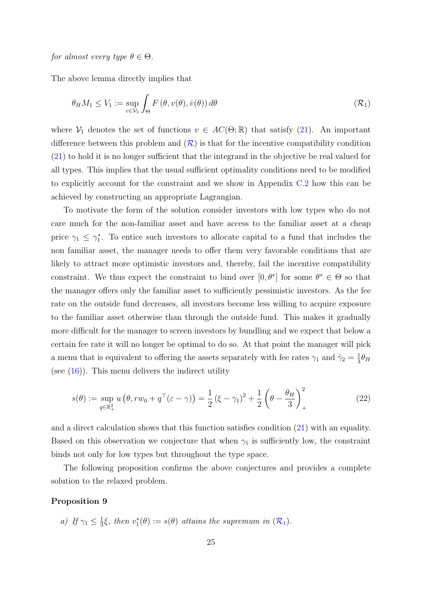The above lemma directly implies that

<span id="page-25-0"></span>
$$
\theta_H M_1 \le V_1 := \sup_{v \in \mathcal{V}_1} \int_{\Theta} F(\theta, v(\theta), \dot{v}(\theta)) d\theta \tag{R_1}
$$

where  $V_1$  denotes the set of functions  $v \in AC(\Theta;\mathbb{R})$  that satisfy [\(21\)](#page-24-1). An important difference between this problem and  $(\mathcal{R})$  $(\mathcal{R})$  $(\mathcal{R})$  is that for the incentive compatibility condition [\(21\)](#page-24-1) to hold it is no longer sufficient that the integrand in the objective be real valued for all types. This implies that the usual sufficient optimality conditions need to be modified to explicitly account for the constraint and we show in Appendix [C.2](#page-55-0) how this can be achieved by constructing an appropriate Lagrangian.

To motivate the form of the solution consider investors with low types who do not care much for the non-familiar asset and have access to the familiar asset at a cheap price  $\gamma_1 \leq \gamma_1^*$ . To entice such investors to allocate capital to a fund that includes the non familiar asset, the manager needs to offer them very favorable conditions that are likely to attract more optimistic investors and, thereby, fail the incentive compatibility constraint. We thus expect the constraint to bind over  $[0, \theta^*]$  for some  $\theta^* \in \Theta$  so that the manager offers only the familiar asset to sufficiently pessimistic investors. As the fee rate on the outside fund decreases, all investors become less willing to acquire exposure to the familiar asset otherwise than through the outside fund. This makes it gradually more difficult for the manager to screen investors by bundling and we expect that below a certain fee rate it will no longer be optimal to do so. At that point the manager will pick a menu that is equivalent to offering the assets separately with fee rates  $\gamma_1$  and  $\hat{\gamma}_2 = \frac{1}{3}$  $rac{1}{3}\theta_H$ (see  $(16)$ ). This menu delivers the indirect utility

<span id="page-25-2"></span>
$$
s(\theta) := \sup_{q \in \mathbb{R}_+^2} u(\theta, rw_0 + q^\top(\varepsilon - \gamma)) = \frac{1}{2} (\xi - \gamma_1)^2 + \frac{1}{2} (\theta - \frac{\theta_H}{3})_+^2
$$
 (22)

and a direct calculation shows that this function satisfies condition [\(21\)](#page-24-1) with an equality. Based on this observation we conjecture that when  $\gamma_1$  is sufficiently low, the constraint binds not only for low types but throughout the type space.

The following proposition confirms the above conjectures and provides a complete solution to the relaxed problem.

### <span id="page-25-1"></span>Proposition 9

a) If 
$$
\gamma_1 \leq \frac{1}{3}\xi
$$
, then  $v_1^*(\theta) := s(\theta)$  attains the supremum in  $(\mathcal{R}_1)$ .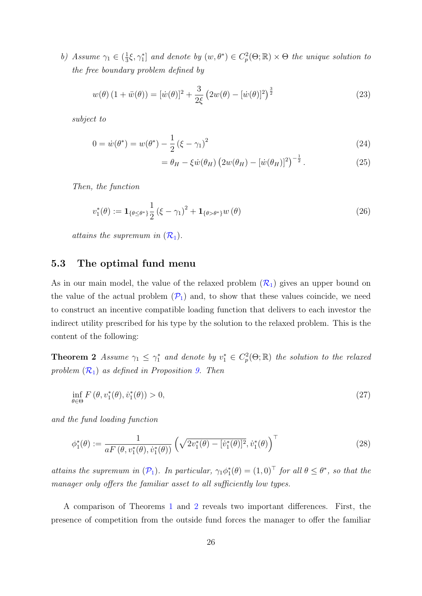<span id="page-26-8"></span>b) Assume  $\gamma_1 \in (\frac{1}{3})$  $\frac{1}{3}\xi, \gamma_1^*$  and denote by  $(w, \theta^*) \in C_p^2(\Theta; \mathbb{R}) \times \Theta$  the unique solution to the free boundary problem defined by

$$
w(\theta) (1 + \ddot{w}(\theta)) = [\dot{w}(\theta)]^2 + \frac{3}{2\xi} (2w(\theta) - [\dot{w}(\theta)]^2)^{\frac{3}{2}}
$$
(23)

subject to

$$
0 = \dot{w}(\theta^*) = w(\theta^*) - \frac{1}{2} (\xi - \gamma_1)^2
$$
\n(24)

<span id="page-26-6"></span><span id="page-26-5"></span><span id="page-26-4"></span><span id="page-26-2"></span>
$$
= \theta_H - \xi \dot{w}(\theta_H) \left(2w(\theta_H) - [\dot{w}(\theta_H)]^2\right)^{-\frac{1}{2}}.
$$
\n(25)

Then, the function

$$
v_1^*(\theta) := \mathbf{1}_{\{\theta \le \theta^*\}} \frac{1}{2} \left(\xi - \gamma_1\right)^2 + \mathbf{1}_{\{\theta > \theta^*\}} w(\theta) \tag{26}
$$

attains the supremum in  $(\mathcal{R}_1)$  $(\mathcal{R}_1)$  $(\mathcal{R}_1)$ .

# <span id="page-26-0"></span>5.3 The optimal fund menu

As in our main model, the value of the relaxed problem  $(R_1)$  $(R_1)$  $(R_1)$  gives an upper bound on the value of the actual problem  $(\mathcal{P}_1)$  $(\mathcal{P}_1)$  $(\mathcal{P}_1)$  and, to show that these values coincide, we need to construct an incentive compatible loading function that delivers to each investor the indirect utility prescribed for his type by the solution to the relaxed problem. This is the content of the following:

<span id="page-26-1"></span>**Theorem 2** Assume  $\gamma_1 \leq \gamma_1^*$  and denote by  $v_1^* \in C_p^2(\Theta; \mathbb{R})$  the solution to the relaxed problem  $(\mathcal{R}_1)$  $(\mathcal{R}_1)$  $(\mathcal{R}_1)$  as defined in Proposition [9.](#page-25-1) Then

<span id="page-26-7"></span>
$$
\inf_{\theta \in \Theta} F(\theta, v_1^*(\theta), \dot{v}_1^*(\theta)) > 0,\tag{27}
$$

and the fund loading function

<span id="page-26-3"></span>
$$
\phi_1^*(\theta) := \frac{1}{aF(\theta, v_1^*(\theta), \dot{v}_1^*(\theta))} \left(\sqrt{2v_1^*(\theta) - [v_1^*(\theta)]^2}, \dot{v}_1^*(\theta)\right)^\top
$$
(28)

attains the supremum in  $(\mathcal{P}_1)$  $(\mathcal{P}_1)$  $(\mathcal{P}_1)$ . In particular,  $\gamma_1 \phi_1^*(\theta) = (1,0)^\top$  for all  $\theta \leq \theta^*$ , so that the manager only offers the familiar asset to all sufficiently low types.

A comparison of Theorems [1](#page-13-4) and [2](#page-26-1) reveals two important differences. First, the presence of competition from the outside fund forces the manager to offer the familiar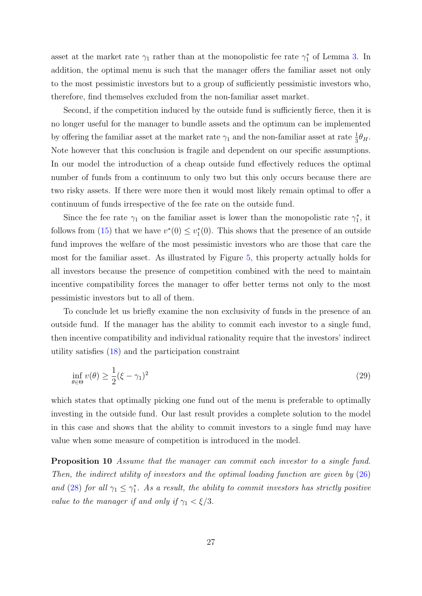asset at the market rate  $\gamma_1$  rather than at the monopolistic fee rate  $\gamma_1^*$  of Lemma [3.](#page-23-2) In addition, the optimal menu is such that the manager offers the familiar asset not only to the most pessimistic investors but to a group of sufficiently pessimistic investors who, therefore, find themselves excluded from the non-familiar asset market.

Second, if the competition induced by the outside fund is sufficiently fierce, then it is no longer useful for the manager to bundle assets and the optimum can be implemented by offering the familiar asset at the market rate  $\gamma_1$  and the non-familiar asset at rate  $\frac{1}{3}\theta_H$ . Note however that this conclusion is fragile and dependent on our specific assumptions. In our model the introduction of a cheap outside fund effectively reduces the optimal number of funds from a continuum to only two but this only occurs because there are two risky assets. If there were more then it would most likely remain optimal to offer a continuum of funds irrespective of the fee rate on the outside fund.

Since the fee rate  $\gamma_1$  on the familiar asset is lower than the monopolistic rate  $\gamma_1^*$ , it follows from [\(15\)](#page-21-1) that we have  $v^*(0) \leq v_1^*(0)$ . This shows that the presence of an outside fund improves the welfare of the most pessimistic investors who are those that care the most for the familiar asset. As illustrated by Figure [5,](#page-28-1) this property actually holds for all investors because the presence of competition combined with the need to maintain incentive compatibility forces the manager to offer better terms not only to the most pessimistic investors but to all of them.

To conclude let us briefly examine the non exclusivity of funds in the presence of an outside fund. If the manager has the ability to commit each investor to a single fund, then incentive compatibility and individual rationality require that the investors' indirect utility satisfies [\(18\)](#page-22-2) and the participation constraint

<span id="page-27-1"></span>
$$
\inf_{\theta \in \Theta} v(\theta) \ge \frac{1}{2} (\xi - \gamma_1)^2 \tag{29}
$$

which states that optimally picking one fund out of the menu is preferable to optimally investing in the outside fund. Our last result provides a complete solution to the model in this case and shows that the ability to commit investors to a single fund may have value when some measure of competition is introduced in the model.

<span id="page-27-0"></span>Proposition 10 Assume that the manager can commit each investor to a single fund. Then, the indirect utility of investors and the optimal loading function are given by [\(26\)](#page-26-2) and [\(28\)](#page-26-3) for all  $\gamma_1 \leq \gamma_1^*$ . As a result, the ability to commit investors has strictly positive value to the manager if and only if  $\gamma_1 < \xi/3$ .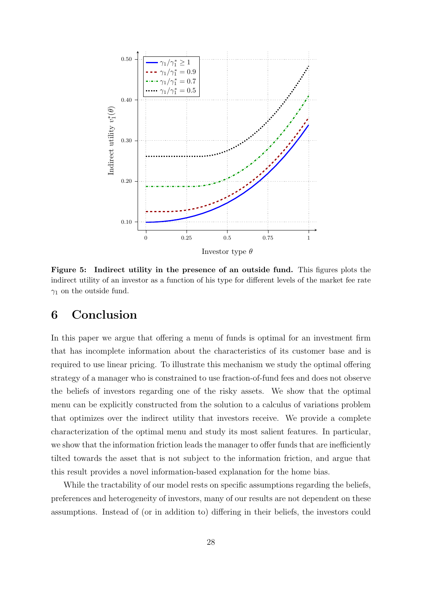<span id="page-28-1"></span>

Figure 5: Indirect utility in the presence of an outside fund. This figures plots the indirect utility of an investor as a function of his type for different levels of the market fee rate  $\gamma_1$  on the outside fund.

# <span id="page-28-0"></span>6 Conclusion

In this paper we argue that offering a menu of funds is optimal for an investment firm that has incomplete information about the characteristics of its customer base and is required to use linear pricing. To illustrate this mechanism we study the optimal offering strategy of a manager who is constrained to use fraction-of-fund fees and does not observe the beliefs of investors regarding one of the risky assets. We show that the optimal menu can be explicitly constructed from the solution to a calculus of variations problem that optimizes over the indirect utility that investors receive. We provide a complete characterization of the optimal menu and study its most salient features. In particular, we show that the information friction leads the manager to offer funds that are inefficiently tilted towards the asset that is not subject to the information friction, and argue that this result provides a novel information-based explanation for the home bias.

While the tractability of our model rests on specific assumptions regarding the beliefs, preferences and heterogeneity of investors, many of our results are not dependent on these assumptions. Instead of (or in addition to) differing in their beliefs, the investors could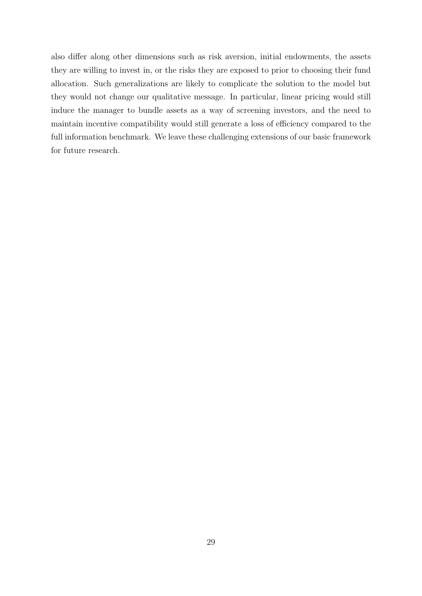also differ along other dimensions such as risk aversion, initial endowments, the assets they are willing to invest in, or the risks they are exposed to prior to choosing their fund allocation. Such generalizations are likely to complicate the solution to the model but they would not change our qualitative message. In particular, linear pricing would still induce the manager to bundle assets as a way of screening investors, and the need to maintain incentive compatibility would still generate a loss of efficiency compared to the full information benchmark. We leave these challenging extensions of our basic framework for future research.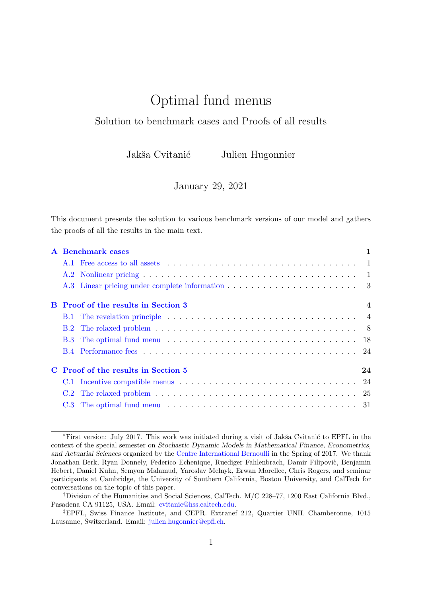# Optimal fund menus

# Solution to benchmark cases and Proofs of all results

Jakša Cvitanić Julien Hugonnier

January 29, 2021

This document presents the solution to various benchmark versions of our model and gathers the proofs of all the results in the main text.

|  | <b>A</b> Benchmark cases                   |  |  |
|--|--------------------------------------------|--|--|
|  |                                            |  |  |
|  |                                            |  |  |
|  |                                            |  |  |
|  | <b>B</b> Proof of the results in Section 3 |  |  |
|  |                                            |  |  |
|  |                                            |  |  |
|  |                                            |  |  |
|  |                                            |  |  |
|  | 24<br>C Proof of the results in Section 5  |  |  |
|  |                                            |  |  |
|  |                                            |  |  |
|  |                                            |  |  |

<sup>\*</sup>First version: July 2017. This work was initiated during a visit of Jakša Cvitanić to EPFL in the context of the special semester on Stochastic Dynamic Models in Mathematical Finance, Econometrics, and Actuarial Sciences organized by the [Centre International Bernoulli](http://bernoulli.epfl.ch) in the Spring of 2017. We thank Jonathan Berk, Ryan Donnely, Federico Echenique, Ruediger Fahlenbrach, Damir Filipovic, Benjamin Hebert, Daniel Kuhn, Semyon Malamud, Yaroslav Melnyk, Erwan Morellec, Chris Rogers, and seminar participants at Cambridge, the University of Southern California, Boston University, and CalTech for conversations on the topic of this paper.

<sup>†</sup>Division of the Humanities and Social Sciences, CalTech. M/C 228–77, 1200 East California Blvd., Pasadena CA 91125, USA. Email: [cvitanic@hss.caltech.edu.](mailto:cvitanic@hss.caltech.edu)

<sup>‡</sup>EPFL, Swiss Finance Institute, and CEPR. Extranef 212, Quartier UNIL Chamberonne, 1015 Lausanne, Switzerland. Email: [julien.hugonnier@epfl.ch.](mailto:julien.hugonnier@epfl.ch)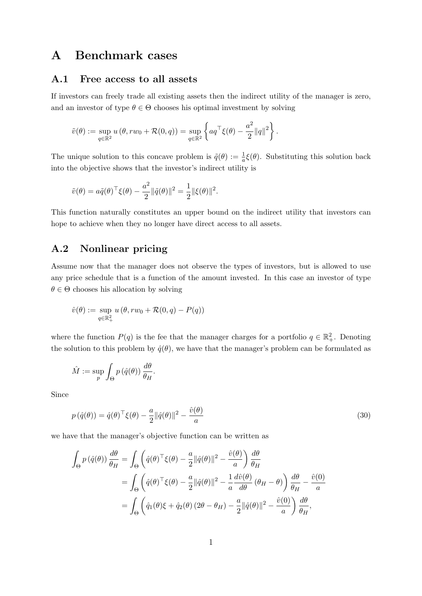# <span id="page-31-1"></span>A Benchmark cases

### <span id="page-31-2"></span>A.1 Free access to all assets

If investors can freely trade all existing assets then the indirect utility of the manager is zero, and an investor of type  $\theta \in \Theta$  chooses his optimal investment by solving

$$
\tilde{v}(\theta) := \sup_{q \in \mathbb{R}^2} u(\theta, rw_0 + \mathcal{R}(0,q)) = \sup_{q \in \mathbb{R}^2} \left\{ aq^{\top} \xi(\theta) - \frac{a^2}{2} ||q||^2 \right\}.
$$

The unique solution to this concave problem is  $\tilde{q}(\theta) := \frac{1}{a} \xi(\theta)$ . Substituting this solution back into the objective shows that the investor's indirect utility is

$$
\tilde{v}(\theta) = a\tilde{q}(\theta)^{\top} \xi(\theta) - \frac{a^2}{2} ||\tilde{q}(\theta)||^2 = \frac{1}{2} ||\xi(\theta)||^2.
$$

This function naturally constitutes an upper bound on the indirect utility that investors can hope to achieve when they no longer have direct access to all assets.

# <span id="page-31-0"></span>A.2 Nonlinear pricing

Assume now that the manager does not observe the types of investors, but is allowed to use any price schedule that is a function of the amount invested. In this case an investor of type  $\theta \in \Theta$  chooses his allocation by solving

$$
\hat{v}(\theta) := \sup_{q \in \mathbb{R}_+^2} u(\theta, rw_0 + \mathcal{R}(0,q) - P(q))
$$

where the function  $P(q)$  is the fee that the manager charges for a portfolio  $q \in \mathbb{R}^2_+$ . Denoting the solution to this problem by  $\hat{q}(\theta)$ , we have that the manager's problem can be formulated as

$$
\hat{M} := \sup_{p} \int_{\Theta} p(\hat{q}(\theta)) \, \frac{d\theta}{\theta_H}.
$$

Since

<span id="page-31-3"></span>
$$
p(\hat{q}(\theta)) = \hat{q}(\theta)^{\top} \xi(\theta) - \frac{a}{2} ||\hat{q}(\theta)||^2 - \frac{\hat{v}(\theta)}{a}
$$
\n(30)

we have that the manager's objective function can be written as

$$
\int_{\Theta} p(\hat{q}(\theta)) \frac{d\theta}{\theta_H} = \int_{\Theta} \left( \hat{q}(\theta)^{\top} \xi(\theta) - \frac{a}{2} ||\hat{q}(\theta)||^2 - \frac{\hat{v}(\theta)}{a} \right) \frac{d\theta}{\theta_H}
$$
  
\n
$$
= \int_{\Theta} \left( \hat{q}(\theta)^{\top} \xi(\theta) - \frac{a}{2} ||\hat{q}(\theta)||^2 - \frac{1}{a} \frac{d\hat{v}(\theta)}{d\theta} (\theta_H - \theta) \right) \frac{d\theta}{\theta_H} - \frac{\hat{v}(0)}{a}
$$
  
\n
$$
= \int_{\Theta} \left( \hat{q}_1(\theta)\xi + \hat{q}_2(\theta) (2\theta - \theta_H) - \frac{a}{2} ||\hat{q}(\theta)||^2 - \frac{\hat{v}(0)}{a} \right) \frac{d\theta}{\theta_H},
$$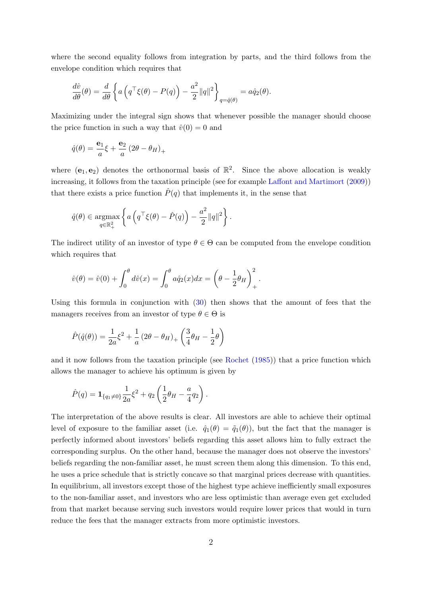where the second equality follows from integration by parts, and the third follows from the envelope condition which requires that

$$
\frac{d\hat{v}}{d\theta}(\theta) = \frac{d}{d\theta} \left\{ a \left( q^\top \xi(\theta) - P(q) \right) - \frac{a^2}{2} ||q||^2 \right\}_{q = \hat{q}(\theta)} = a\hat{q}_2(\theta).
$$

Maximizing under the integral sign shows that whenever possible the manager should choose the price function in such a way that  $\hat{v}(0) = 0$  and

$$
\hat{q}(\theta) = \frac{\mathbf{e}_1}{a}\xi + \frac{\mathbf{e}_2}{a}(2\theta - \theta_H)_+
$$

where  $(e_1, e_2)$  denotes the orthonormal basis of  $\mathbb{R}^2$ . Since the above allocation is weakly increasing, it follows from the taxation principle (see for example [Laffont and Martimort](#page-68-4) [\(2009\)](#page-68-4)) that there exists a price function  $\hat{P}(q)$  that implements it, in the sense that

$$
\hat{q}(\theta) \in \underset{q \in \mathbb{R}_+^2}{\text{argmax}} \left\{ a \left( q^\top \xi(\theta) - \hat{P}(q) \right) - \frac{a^2}{2} ||q||^2 \right\}.
$$

The indirect utility of an investor of type  $\theta \in \Theta$  can be computed from the envelope condition which requires that

$$
\hat{v}(\theta) = \hat{v}(0) + \int_0^{\theta} d\hat{v}(x) = \int_0^{\theta} a \hat{q}_2(x) dx = \left(\theta - \frac{1}{2}\theta_H\right)_+^2.
$$

Using this formula in conjunction with [\(30\)](#page-31-3) then shows that the amount of fees that the managers receives from an investor of type  $\theta \in \Theta$  is

$$
\hat{P}(\hat{q}(\theta)) = \frac{1}{2a}\xi^{2} + \frac{1}{a}(2\theta - \theta_{H})_{+} \left(\frac{3}{4}\theta_{H} - \frac{1}{2}\theta\right)
$$

and it now follows from the taxation principle (see [Rochet](#page-68-16) [\(1985\)](#page-68-16)) that a price function which allows the manager to achieve his optimum is given by

$$
\hat{P}(q) = \mathbf{1}_{\{q_1 \neq 0\}} \frac{1}{2a} \xi^2 + q_2 \left( \frac{1}{2} \theta_H - \frac{a}{4} q_2 \right).
$$

The interpretation of the above results is clear. All investors are able to achieve their optimal level of exposure to the familiar asset (i.e.  $\hat{q}_1(\theta) = \tilde{q}_1(\theta)$ ), but the fact that the manager is perfectly informed about investors' beliefs regarding this asset allows him to fully extract the corresponding surplus. On the other hand, because the manager does not observe the investors' beliefs regarding the non-familiar asset, he must screen them along this dimension. To this end, he uses a price schedule that is strictly concave so that marginal prices decrease with quantities. In equilibrium, all investors except those of the highest type achieve inefficiently small exposures to the non-familiar asset, and investors who are less optimistic than average even get excluded from that market because serving such investors would require lower prices that would in turn reduce the fees that the manager extracts from more optimistic investors.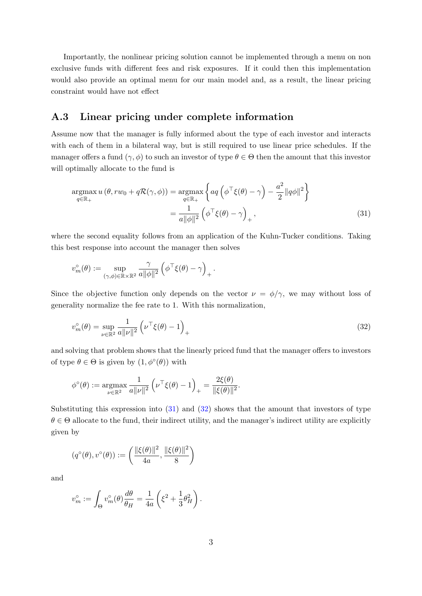Importantly, the nonlinear pricing solution cannot be implemented through a menu on non exclusive funds with different fees and risk exposures. If it could then this implementation would also provide an optimal menu for our main model and, as a result, the linear pricing constraint would have not effect

# <span id="page-33-0"></span>A.3 Linear pricing under complete information

Assume now that the manager is fully informed about the type of each investor and interacts with each of them in a bilateral way, but is still required to use linear price schedules. If the manager offers a fund  $(\gamma, \phi)$  to such an investor of type  $\theta \in \Theta$  then the amount that this investor will optimally allocate to the fund is

<span id="page-33-1"></span>
$$
\underset{q \in \mathbb{R}_{+}}{\operatorname{argmax}} u(\theta, rw_{0} + q\mathcal{R}(\gamma,\phi)) = \underset{q \in \mathbb{R}_{+}}{\operatorname{argmax}} \left\{ aq \left( \phi^{\top} \xi(\theta) - \gamma \right) - \frac{a^{2}}{2} ||q\phi||^{2} \right\}
$$

$$
= \frac{1}{a||\phi||^{2}} \left( \phi^{\top} \xi(\theta) - \gamma \right)_{+}, \tag{31}
$$

where the second equality follows from an application of the Kuhn-Tucker conditions. Taking this best response into account the manager then solves

$$
v_m^{\circ}(\theta) := \sup_{(\gamma,\phi)\in\mathbb{R}\times\mathbb{R}^2} \frac{\gamma}{a\|\phi\|^2} \left(\phi^{\top}\xi(\theta) - \gamma\right)_+.
$$

Since the objective function only depends on the vector  $\nu = \phi/\gamma$ , we may without loss of generality normalize the fee rate to 1. With this normalization,

<span id="page-33-2"></span>
$$
v_m^{\circ}(\theta) = \sup_{\nu \in \mathbb{R}^2} \frac{1}{a\|\nu\|^2} \left( \nu^{\top} \xi(\theta) - 1 \right)_+ \tag{32}
$$

and solving that problem shows that the linearly priced fund that the manager offers to investors of type  $\theta \in \Theta$  is given by  $(1, \phi^{\circ}(\theta))$  with

$$
\phi^{\circ}(\theta) := \underset{\nu \in \mathbb{R}^2}{\text{argmax}} \frac{1}{a\|\nu\|^2} \left( \nu^{\top} \xi(\theta) - 1 \right)_+ = \frac{2\xi(\theta)}{\|\xi(\theta)\|^2}.
$$

Substituting this expression into [\(31\)](#page-33-1) and [\(32\)](#page-33-2) shows that the amount that investors of type  $\theta \in \Theta$  allocate to the fund, their indirect utility, and the manager's indirect utility are explicitly given by

$$
(q^{\circ}(\theta), v^{\circ}(\theta)) := \left(\frac{\|\xi(\theta)\|^{2}}{4a}, \frac{\|\xi(\theta)\|^{2}}{8}\right)
$$

and

$$
v_m^{\circ} := \int_{\Theta} v_m^{\circ}(\theta) \frac{d\theta}{\theta_H} = \frac{1}{4a} \left( \xi^2 + \frac{1}{3} \theta_H^2 \right).
$$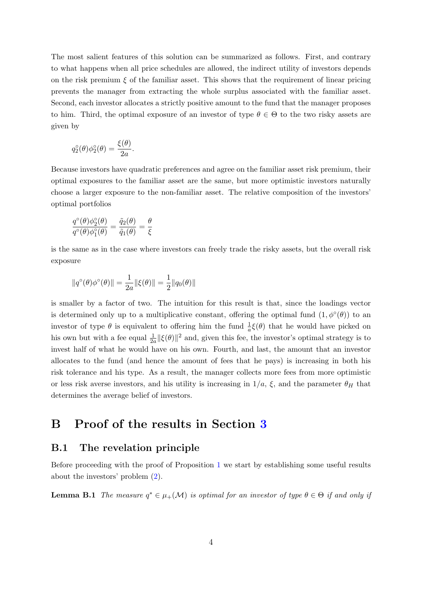The most salient features of this solution can be summarized as follows. First, and contrary to what happens when all price schedules are allowed, the indirect utility of investors depends on the risk premium  $\xi$  of the familiar asset. This shows that the requirement of linear pricing prevents the manager from extracting the whole surplus associated with the familiar asset. Second, each investor allocates a strictly positive amount to the fund that the manager proposes to him. Third, the optimal exposure of an investor of type  $\theta \in \Theta$  to the two risky assets are given by

$$
q_2^{\circ}(\theta)\phi_2^{\circ}(\theta) = \frac{\xi(\theta)}{2a}.
$$

Because investors have quadratic preferences and agree on the familiar asset risk premium, their optimal exposures to the familiar asset are the same, but more optimistic investors naturally choose a larger exposure to the non-familiar asset. The relative composition of the investors' optimal portfolios

$$
\frac{q^{\circ}(\theta)\phi_2^{\circ}(\theta)}{q^{\circ}(\theta)\phi_1^{\circ}(\theta)} = \frac{\tilde{q}_2(\theta)}{\tilde{q}_1(\theta)} = \frac{\theta}{\xi}
$$

is the same as in the case where investors can freely trade the risky assets, but the overall risk exposure

$$
\|q^\circ(\theta)\phi^\circ(\theta)\|=\frac{1}{2a}\|\xi(\theta)\|=\frac{1}{2}\|q_0(\theta)\|
$$

is smaller by a factor of two. The intuition for this result is that, since the loadings vector is determined only up to a multiplicative constant, offering the optimal fund  $(1, \phi^{\circ}(\theta))$  to an investor of type  $\theta$  is equivalent to offering him the fund  $\frac{1}{a}\xi(\theta)$  that he would have picked on his own but with a fee equal  $\frac{1}{2a} ||\xi(\theta)||^2$  and, given this fee, the investor's optimal strategy is to invest half of what he would have on his own. Fourth, and last, the amount that an investor allocates to the fund (and hence the amount of fees that he pays) is increasing in both his risk tolerance and his type. As a result, the manager collects more fees from more optimistic or less risk averse investors, and his utility is increasing in  $1/a$ ,  $\xi$ , and the parameter  $\theta_H$  that determines the average belief of investors.

# <span id="page-34-0"></span>B Proof of the results in Section [3](#page-9-0)

### <span id="page-34-1"></span>B.1 The revelation principle

Before proceeding with the proof of Proposition [1](#page-9-1) we start by establishing some useful results about the investors' problem [\(2\)](#page-7-2).

<span id="page-34-2"></span>**Lemma B.1** The measure  $q^* \in \mu_+(\mathcal{M})$  is optimal for an investor of type  $\theta \in \Theta$  if and only if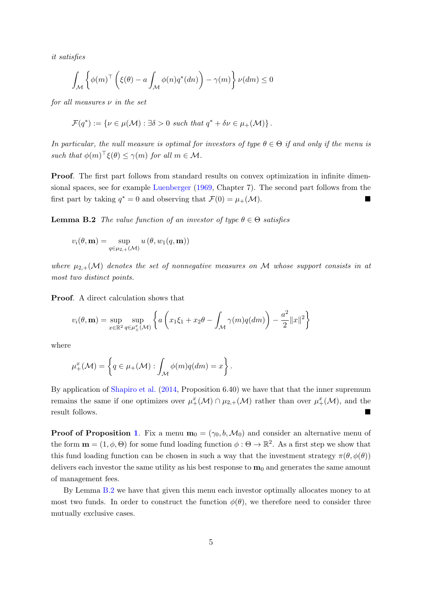it satisfies

$$
\int_{\mathcal{M}} \left\{ \phi(m)^{\top} \left( \xi(\theta) - a \int_{\mathcal{M}} \phi(n) q^*(dn) \right) - \gamma(m) \right\} \nu(dm) \le 0
$$

for all measures  $\nu$  in the set

$$
\mathcal{F}(q^*) := \{ \nu \in \mu(\mathcal{M}) : \exists \delta > 0 \text{ such that } q^* + \delta \nu \in \mu_+(\mathcal{M}) \}.
$$

In particular, the null measure is optimal for investors of type  $\theta \in \Theta$  if and only if the menu is such that  $\phi(m)^\top \xi(\theta) \leq \gamma(m)$  for all  $m \in \mathcal{M}$ .

Proof. The first part follows from standard results on convex optimization in infinite dimensional spaces, see for example [Luenberger](#page-68-17) [\(1969,](#page-68-17) Chapter 7). The second part follows from the first part by taking  $q^* = 0$  and observing that  $\mathcal{F}(0) = \mu_+(\mathcal{M})$ .

<span id="page-35-0"></span>**Lemma B.2** The value function of an investor of type  $\theta \in \Theta$  satisfies

$$
v_i(\theta, \mathbf{m}) = \sup_{q \in \mu_{2,+}(\mathcal{M})} u(\theta, w_1(q, \mathbf{m}))
$$

where  $\mu_{2,+}(\mathcal{M})$  denotes the set of nonnegative measures on M whose support consists in at most two distinct points.

Proof. A direct calculation shows that

$$
v_i(\theta, \mathbf{m}) = \sup_{x \in \mathbb{R}^2} \sup_{q \in \mu_+^x(\mathcal{M})} \left\{ a \left( x_1 \xi_1 + x_2 \theta - \int_{\mathcal{M}} \gamma(m) q(dm) \right) - \frac{a^2}{2} ||x||^2 \right\}
$$

where

$$
\mu^x_+(\mathcal{M}) = \left\{ q \in \mu_+(\mathcal{M}) : \int_{\mathcal{M}} \phi(m)q(dm) = x \right\}.
$$

By application of [Shapiro et al.](#page-68-18) [\(2014,](#page-68-18) Proposition 6.40) we have that that the inner supremum remains the same if one optimizes over  $\mu^x_+(\mathcal{M}) \cap \mu_{2,+}(\mathcal{M})$  rather than over  $\mu^x_+(\mathcal{M})$ , and the result follows.

**Proof of Proposition [1](#page-9-1).** Fix a menu  $\mathbf{m}_0 = (\gamma_0, b, \mathcal{M}_0)$  and consider an alternative menu of the form  $\mathbf{m} = (1, \phi, \Theta)$  for some fund loading function  $\phi : \Theta \to \mathbb{R}^2$ . As a first step we show that this fund loading function can be chosen in such a way that the investment strategy  $\pi(\theta, \phi(\theta))$ delivers each investor the same utility as his best response to  $m_0$  and generates the same amount of management fees.

By Lemma [B.2](#page-35-0) we have that given this menu each investor optimally allocates money to at most two funds. In order to construct the function  $\phi(\theta)$ , we therefore need to consider three mutually exclusive cases.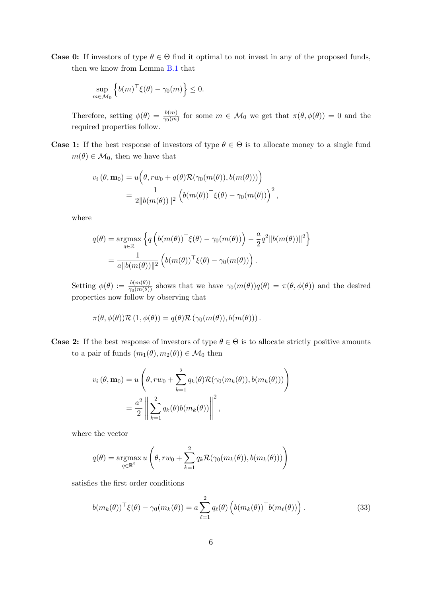**Case 0:** If investors of type  $\theta \in \Theta$  find it optimal to not invest in any of the proposed funds, then we know from Lemma [B.1](#page-34-2) that

$$
\sup_{m \in \mathcal{M}_0} \left\{ b(m)^\top \xi(\theta) - \gamma_0(m) \right\} \le 0.
$$

Therefore, setting  $\phi(\theta) = \frac{b(m)}{\gamma_0(m)}$  for some  $m \in \mathcal{M}_0$  we get that  $\pi(\theta, \phi(\theta)) = 0$  and the required properties follow.

**Case 1:** If the best response of investors of type  $\theta \in \Theta$  is to allocate money to a single fund  $m(\theta) \in \mathcal{M}_0$ , then we have that

$$
v_i(\theta, \mathbf{m}_0) = u\Big(\theta, rw_0 + q(\theta)\mathcal{R}(\gamma_0(m(\theta)), b(m(\theta)))\Big)
$$
  
= 
$$
\frac{1}{2\|b(m(\theta))\|^2} \Big(b(m(\theta))^{\top}\xi(\theta) - \gamma_0(m(\theta))\Big)^2,
$$

where

$$
q(\theta) = \underset{q \in \mathbb{R}}{\operatorname{argmax}} \left\{ q \left( b(m(\theta))^{\top} \xi(\theta) - \gamma_0(m(\theta)) \right) - \frac{a}{2} q^2 \|b(m(\theta))\|^2 \right\}
$$

$$
= \frac{1}{a \|b(m(\theta))\|^2} \left( b(m(\theta))^{\top} \xi(\theta) - \gamma_0(m(\theta)) \right).
$$

Setting  $\phi(\theta) := \frac{b(m(\theta))}{\gamma_0(m(\theta))}$  shows that we have  $\gamma_0(m(\theta))q(\theta) = \pi(\theta, \phi(\theta))$  and the desired properties now follow by observing that

$$
\pi(\theta, \phi(\theta)) \mathcal{R}(1, \phi(\theta)) = q(\theta) \mathcal{R}(\gamma_0(m(\theta)), b(m(\theta))).
$$

**Case 2:** If the best response of investors of type  $\theta \in \Theta$  is to allocate strictly positive amounts to a pair of funds  $(m_1(\theta), m_2(\theta)) \in \mathcal{M}_0$  then

$$
v_i(\theta, \mathbf{m}_0) = u\left(\theta, rw_0 + \sum_{k=1}^2 q_k(\theta) \mathcal{R}(\gamma_0(m_k(\theta)), b(m_k(\theta)))\right)
$$
  
= 
$$
\frac{a^2}{2} \left\| \sum_{k=1}^2 q_k(\theta) b(m_k(\theta)) \right\|^2,
$$

where the vector

$$
q(\theta) = \underset{q \in \mathbb{R}^2}{\operatorname{argmax}} u \left( \theta, rw_0 + \sum_{k=1}^2 q_k \mathcal{R}(\gamma_0(m_k(\theta)), b(m_k(\theta))) \right)
$$

satisfies the first order conditions

<span id="page-36-0"></span>
$$
b(m_k(\theta))^{\top} \xi(\theta) - \gamma_0(m_k(\theta)) = a \sum_{\ell=1}^2 q_\ell(\theta) \left( b(m_k(\theta))^{\top} b(m_\ell(\theta)) \right). \tag{33}
$$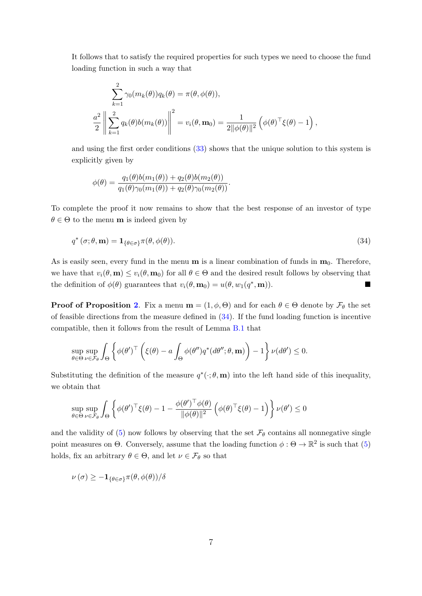It follows that to satisfy the required properties for such types we need to choose the fund loading function in such a way that

$$
\sum_{k=1}^{2} \gamma_0(m_k(\theta)) q_k(\theta) = \pi(\theta, \phi(\theta)),
$$
  

$$
\frac{a^2}{2} \left\| \sum_{k=1}^{2} q_k(\theta) b(m_k(\theta)) \right\|^2 = v_i(\theta, \mathbf{m}_0) = \frac{1}{2 \|\phi(\theta)\|^2} \left( \phi(\theta)^\top \xi(\theta) - 1 \right),
$$

and using the first order conditions [\(33\)](#page-36-0) shows that the unique solution to this system is explicitly given by

<span id="page-37-0"></span>
$$
\phi(\theta) = \frac{q_1(\theta)b(m_1(\theta)) + q_2(\theta)b(m_2(\theta))}{q_1(\theta)\gamma_0(m_1(\theta)) + q_2(\theta)\gamma_0(m_2(\theta))}.
$$

To complete the proof it now remains to show that the best response of an investor of type  $\theta \in \Theta$  to the menu **m** is indeed given by

$$
q^*(\sigma;\theta,\mathbf{m}) = \mathbf{1}_{\{\theta \in \sigma\}} \pi(\theta, \phi(\theta)).
$$
\n(34)

As is easily seen, every fund in the menu  $\bf{m}$  is a linear combination of funds in  $\bf{m}_0$ . Therefore, we have that  $v_i(\theta, \mathbf{m}) \leq v_i(\theta, \mathbf{m}_0)$  for all  $\theta \in \Theta$  and the desired result follows by observing that the definition of  $\phi(\theta)$  guarantees that  $v_i(\theta, \mathbf{m}_0) = u(\theta, w_1(q^*, \mathbf{m})).$ 

**Proof of Proposition [2](#page-10-1).** Fix a menu  $\mathbf{m} = (1, \phi, \Theta)$  and for each  $\theta \in \Theta$  denote by  $\mathcal{F}_{\theta}$  the set of feasible directions from the measure defined in  $(34)$ . If the fund loading function is incentive compatible, then it follows from the result of Lemma [B.1](#page-34-2) that

$$
\sup_{\theta \in \Theta} \sup_{\nu \in \mathcal{F}_{\theta}} \int_{\Theta} \left\{ \phi(\theta')^{\top} \left( \xi(\theta) - a \int_{\Theta} \phi(\theta'') q^*(d\theta''; \theta, \mathbf{m}) \right) - 1 \right\} \nu(d\theta') \le 0.
$$

Substituting the definition of the measure  $q^*(\cdot; \theta, \mathbf{m})$  into the left hand side of this inequality, we obtain that

$$
\sup_{\theta \in \Theta} \sup_{\nu \in \mathcal{F}_{\theta}} \int_{\Theta} \left\{ \phi(\theta')^{\top} \xi(\theta) - 1 - \frac{\phi(\theta')^{\top} \phi(\theta)}{\|\phi(\theta)\|^{2}} \left( \phi(\theta)^{\top} \xi(\theta) - 1 \right) \right\} \nu(\theta') \le 0
$$

and the validity of [\(5\)](#page-10-0) now follows by observing that the set  $\mathcal{F}_{\theta}$  contains all nonnegative single point measures on  $\Theta$ . Conversely, assume that the loading function  $\phi : \Theta \to \mathbb{R}^2$  is such that [\(5\)](#page-10-0) holds, fix an arbitrary  $\theta \in \Theta$ , and let  $\nu \in \mathcal{F}_{\theta}$  so that

$$
\nu(\sigma) \geq -\mathbf{1}_{\{\theta \in \sigma\}} \pi(\theta, \phi(\theta))/\delta
$$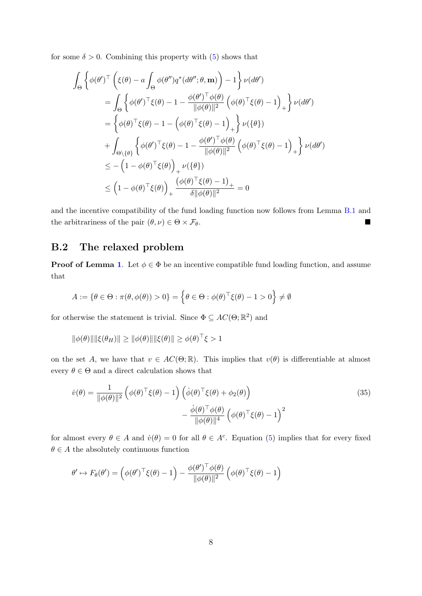for some  $\delta > 0$ . Combining this property with  $(5)$  shows that

$$
\int_{\Theta} \left\{ \phi(\theta')^{\top} \left( \xi(\theta) - a \int_{\Theta} \phi(\theta'') q^* (d\theta''; \theta, \mathbf{m}) \right) - 1 \right\} \nu(d\theta')
$$
\n
$$
= \int_{\Theta} \left\{ \phi(\theta')^{\top} \xi(\theta) - 1 - \frac{\phi(\theta')^{\top} \phi(\theta)}{\|\phi(\theta)\|^2} \left( \phi(\theta)^{\top} \xi(\theta) - 1 \right)_{+} \right\} \nu(d\theta')
$$
\n
$$
= \left\{ \phi(\theta)^{\top} \xi(\theta) - 1 - \left( \phi(\theta)^{\top} \xi(\theta) - 1 \right)_{+} \right\} \nu(\{\theta\})
$$
\n
$$
+ \int_{\Theta \setminus \{\theta\}} \left\{ \phi(\theta')^{\top} \xi(\theta) - 1 - \frac{\phi(\theta')^{\top} \phi(\theta)}{\|\phi(\theta)\|^2} \left( \phi(\theta)^{\top} \xi(\theta) - 1 \right)_{+} \right\} \nu(d\theta')
$$
\n
$$
\leq - \left( 1 - \phi(\theta)^{\top} \xi(\theta) \right)_{+} \nu(\{\theta\})
$$
\n
$$
\leq \left( 1 - \phi(\theta)^{\top} \xi(\theta) \right)_{+} \frac{\left( \phi(\theta)^{\top} \xi(\theta) - 1 \right)_{+}}{\delta \|\phi(\theta)\|^2} = 0
$$

and the incentive compatibility of the fund loading function now follows from Lemma [B.1](#page-34-2) and the arbitrariness of the pair  $(\theta, \nu) \in \Theta \times \mathcal{F}_{\theta}$ .

# <span id="page-38-0"></span>B.2 The relaxed problem

**Proof of Lemma [1](#page-12-3).** Let  $\phi \in \Phi$  be an incentive compatible fund loading function, and assume that

$$
A := \{ \theta \in \Theta : \pi(\theta, \phi(\theta)) > 0 \} = \left\{ \theta \in \Theta : \phi(\theta)^{\top} \xi(\theta) - 1 > 0 \right\} \neq \emptyset
$$

for otherwise the statement is trivial. Since  $\Phi \subseteq AC(\Theta;\mathbb{R}^2)$  and

$$
\|\phi(\theta)\| \|\xi(\theta_H)\| \ge \|\phi(\theta)\| \|\xi(\theta)\| \ge \phi(\theta)^{\top} \xi > 1
$$

on the set A, we have that  $v \in AC(\Theta;\mathbb{R})$ . This implies that  $v(\theta)$  is differentiable at almost every  $\theta \in \Theta$  and a direct calculation shows that

<span id="page-38-1"></span>
$$
\dot{v}(\theta) = \frac{1}{\|\phi(\theta)\|^2} \left( \phi(\theta)^\top \xi(\theta) - 1 \right) \left( \dot{\phi}(\theta)^\top \xi(\theta) + \phi_2(\theta) \right) \n- \frac{\dot{\phi}(\theta)^\top \phi(\theta)}{\|\phi(\theta)\|^4} \left( \phi(\theta)^\top \xi(\theta) - 1 \right)^2
$$
\n(35)

for almost every  $\theta \in A$  and  $\dot{v}(\theta) = 0$  for all  $\theta \in A^c$ . Equation [\(5\)](#page-10-0) implies that for every fixed  $\theta \in A$  the absolutely continuous function

$$
\theta' \mapsto F_{\theta}(\theta') = \left(\phi(\theta')^{\top}\xi(\theta) - 1\right) - \frac{\phi(\theta')^{\top}\phi(\theta)}{\|\phi(\theta)\|^2} \left(\phi(\theta)^{\top}\xi(\theta) - 1\right)
$$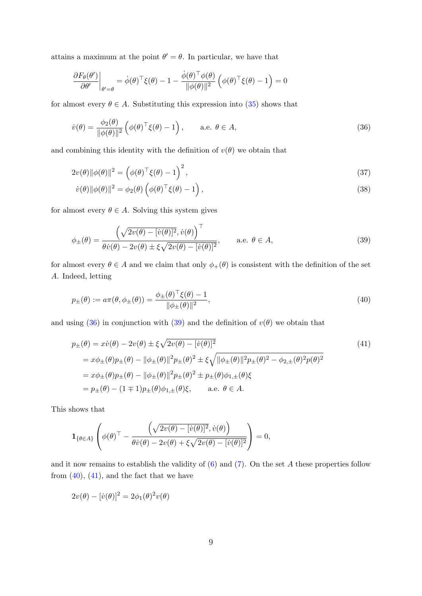attains a maximum at the point  $\theta' = \theta$ . In particular, we have that

$$
\frac{\partial F_{\theta}(\theta')}{\partial \theta'}\bigg|_{\theta'=\theta} = \dot{\phi}(\theta)^{\top} \xi(\theta) - 1 - \frac{\dot{\phi}(\theta)^{\top} \phi(\theta)}{\|\phi(\theta)\|^2} \left(\phi(\theta)^{\top} \xi(\theta) - 1\right) = 0
$$

for almost every  $\theta \in A$ . Substituting this expression into [\(35\)](#page-38-1) shows that

<span id="page-39-0"></span>
$$
\dot{v}(\theta) = \frac{\phi_2(\theta)}{\|\phi(\theta)\|^2} \left( \phi(\theta)^\top \xi(\theta) - 1 \right), \quad \text{a.e. } \theta \in A,
$$
\n(36)

and combining this identity with the definition of  $v(\theta)$  we obtain that

$$
2v(\theta)\|\phi(\theta)\|^2 = \left(\phi(\theta)^{\top}\xi(\theta) - 1\right)^2,\tag{37}
$$

<span id="page-39-5"></span><span id="page-39-4"></span>
$$
\dot{v}(\theta) \|\phi(\theta)\|^2 = \phi_2(\theta) \left(\phi(\theta)^\top \xi(\theta) - 1\right),\tag{38}
$$

for almost every  $\theta \in A$ . Solving this system gives

<span id="page-39-1"></span>
$$
\phi_{\pm}(\theta) = \frac{\left(\sqrt{2v(\theta) - [v(\theta)]^2}, \dot{v}(\theta)\right)^{\top}}{\theta \dot{v}(\theta) - 2v(\theta) \pm \xi \sqrt{2v(\theta) - [v(\theta)]^2}}, \quad \text{a.e. } \theta \in A,
$$
\n(39)

for almost every  $\theta \in A$  and we claim that only  $\phi_+(\theta)$  is consistent with the definition of the set A. Indeed, letting

<span id="page-39-2"></span>
$$
p_{\pm}(\theta) := a\pi(\theta, \phi_{\pm}(\theta)) = \frac{\phi_{\pm}(\theta)^{\top}\xi(\theta) - 1}{\|\phi_{\pm}(\theta)\|^2},
$$
\n(40)

and using [\(36\)](#page-39-0) in conjunction with [\(39\)](#page-39-1) and the definition of  $v(\theta)$  we obtain that

<span id="page-39-3"></span>
$$
p_{\pm}(\theta) = x\dot{v}(\theta) - 2v(\theta) \pm \xi \sqrt{2v(\theta) - [\dot{v}(\theta)]^2}
$$
  
=  $x\phi_{\pm}(\theta)p_{\pm}(\theta) - ||\phi_{\pm}(\theta)||^2p_{\pm}(\theta)^2 \pm \xi \sqrt{||\phi_{\pm}(\theta)||^2p_{\pm}(\theta)^2 - \phi_{2,\pm}(\theta)^2p(\theta)^2}$   
=  $x\phi_{\pm}(\theta)p_{\pm}(\theta) - ||\phi_{\pm}(\theta)||^2p_{\pm}(\theta)^2 \pm p_{\pm}(\theta)\phi_{1,\pm}(\theta)\xi$   
=  $p_{\pm}(\theta) - (1 \mp 1)p_{\pm}(\theta)\phi_{1,\pm}(\theta)\xi$ , a.e.  $\theta \in A$ .

This shows that

$$
\mathbf{1}_{\{\theta \in A\}} \left( \phi(\theta)^\top - \frac{\left( \sqrt{2v(\theta) - [ \dot{v}(\theta) ]^2}, \dot{v}(\theta) \right)}{\theta \dot{v}(\theta) - 2v(\theta) + \xi \sqrt{2v(\theta) - [ \dot{v}(\theta) ]^2}} \right) = 0,
$$

and it now remains to establish the validity of  $(6)$  and  $(7)$ . On the set A these properties follow from  $(40)$ ,  $(41)$ , and the fact that we have

$$
2v(\theta) - [\dot{v}(\theta)]^2 = 2\phi_1(\theta)^2 v(\theta)
$$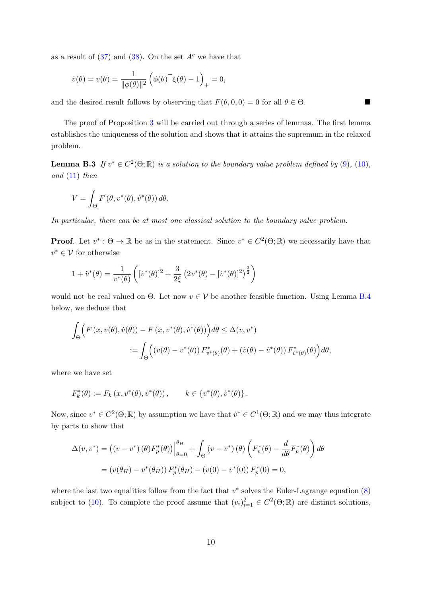as a result of  $(37)$  and  $(38)$ . On the set  $A<sup>c</sup>$  we have that

$$
\dot{v}(\theta) = v(\theta) = \frac{1}{\|\phi(\theta)\|^2} \left( \phi(\theta)^\top \xi(\theta) - 1 \right)_+ = 0,
$$

and the desired result follows by observing that  $F(\theta, 0, 0) = 0$  for all  $\theta \in \Theta$ .

The proof of Proposition [3](#page-13-3) will be carried out through a series of lemmas. The first lemma establishes the uniqueness of the solution and shows that it attains the supremum in the relaxed problem.

<span id="page-40-0"></span>**Lemma B.3** If  $v^* \in C^2(\Theta;\mathbb{R})$  is a solution to the boundary value problem defined by [\(9\)](#page-13-0), [\(10\)](#page-13-1), and  $(11)$  then

$$
V = \int_{\Theta} F(\theta, v^*(\theta), \dot{v}^*(\theta)) d\theta.
$$

In particular, there can be at most one classical solution to the boundary value problem.

**Proof.** Let  $v^* : \Theta \to \mathbb{R}$  be as in the statement. Since  $v^* \in C^2(\Theta; \mathbb{R})$  we necessarily have that  $v^* \in \mathcal{V}$  for otherwise

$$
1 + \ddot{v}^*(\theta) = \frac{1}{v^*(\theta)} \left( [\dot{v}^*(\theta)]^2 + \frac{3}{2\xi} (2v^*(\theta) - [\dot{v}^*(\theta)]^2)^{\frac{3}{2}} \right)
$$

would not be real valued on  $\Theta$ . Let now  $v \in V$  be another feasible function. Using Lemma [B.4](#page-41-0) below, we deduce that

$$
\int_{\Theta} \Big( F(x, v(\theta), \dot{v}(\theta)) - F(x, v^*(\theta), \dot{v}^*(\theta)) \Big) d\theta \leq \Delta(v, v^*)
$$
  

$$
:= \int_{\Theta} \Big( (v(\theta) - v^*(\theta)) F^*_{v^*(\theta)}(\theta) + (\dot{v}(\theta) - \dot{v}^*(\theta)) F^*_{\dot{v}^*(\theta)}(\theta) \Big) d\theta,
$$

where we have set

$$
F_k^*(\theta) := F_k(x, v^*(\theta), \dot{v}^*(\theta)), \qquad k \in \{v^*(\theta), \dot{v}^*(\theta)\}.
$$

Now, since  $v^* \in C^2(\Theta; \mathbb{R})$  by assumption we have that  $\dot{v}^* \in C^1(\Theta; \mathbb{R})$  and we may thus integrate by parts to show that

$$
\Delta(v, v^*) = ((v - v^*) (\theta) F_p^* (\theta)) \Big|_{\theta=0}^{\theta_H} + \int_{\Theta} (v - v^*) (\theta) \left( F_v^* (\theta) - \frac{d}{d\theta} F_p^* (\theta) \right) d\theta
$$
  
=  $(v(\theta_H) - v^* (\theta_H)) F_p^* (\theta_H) - (v(0) - v^* (0)) F_p^* (0) = 0,$ 

where the last two equalities follow from the fact that  $v^*$  solves the Euler-Lagrange equation  $(8)$ subject to [\(10\)](#page-13-1). To complete the proof assume that  $(v_i)_{i=1}^2 \in C^2(\Theta; \mathbb{R})$  are distinct solutions,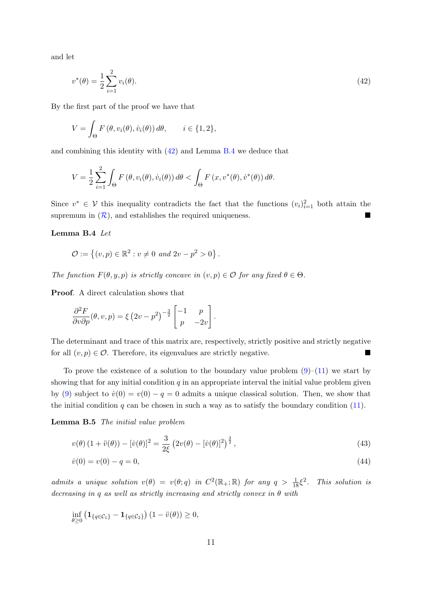and let

$$
v^*(\theta) = \frac{1}{2} \sum_{i=1}^{2} v_i(\theta). \tag{42}
$$

By the first part of the proof we have that

$$
V = \int_{\Theta} F(\theta, v_i(\theta), \dot{v}_i(\theta)) d\theta, \qquad i \in \{1, 2\},\
$$

and combining this identity with [\(42\)](#page-41-1) and Lemma [B.4](#page-41-0) we deduce that

$$
V = \frac{1}{2} \sum_{i=1}^{2} \int_{\Theta} F(\theta, v_i(\theta), \dot{v}_i(\theta)) d\theta < \int_{\Theta} F(x, v^*(\theta), \dot{v}^*(\theta)) d\theta.
$$

Since  $v^* \in V$  this inequality contradicts the fact that the functions  $(v_i)_{i=1}^2$  both attain the supremum in  $(\mathcal{R})$  $(\mathcal{R})$  $(\mathcal{R})$ , and establishes the required uniqueness.

<span id="page-41-3"></span><span id="page-41-2"></span><span id="page-41-1"></span>.

#### <span id="page-41-0"></span>Lemma B.4 Let

$$
\mathcal{O} := \{ (v, p) \in \mathbb{R}^2 : v \neq 0 \text{ and } 2v - p^2 > 0 \}
$$

The function  $F(\theta, y, p)$  is strictly concave in  $(v, p) \in \mathcal{O}$  for any fixed  $\theta \in \Theta$ .

Proof. A direct calculation shows that

$$
\frac{\partial^2 F}{\partial v \partial p}(\theta, v, p) = \xi (2v - p^2)^{-\frac{3}{2}} \begin{bmatrix} -1 & p \\ p & -2v \end{bmatrix}.
$$

The determinant and trace of this matrix are, respectively, strictly positive and strictly negative for all  $(v, p) \in \mathcal{O}$ . Therefore, its eigenvalues are strictly negative.

To prove the existence of a solution to the boundary value problem  $(9)$ – $(11)$  we start by showing that for any initial condition  $q$  in an appropriate interval the initial value problem given by [\(9\)](#page-13-0) subject to  $\dot{v}(0) = v(0) - q = 0$  admits a unique classical solution. Then, we show that the initial condition  $q$  can be chosen in such a way as to satisfy the boundary condition  $(11)$ .

<span id="page-41-4"></span>Lemma B.5 The initial value problem

$$
v(\theta) (1 + \ddot{v}(\theta)) - [\dot{v}(\theta)]^2 = \frac{3}{2\xi} (2v(\theta) - [\dot{v}(\theta)]^2)^{\frac{3}{2}},
$$
\n(43)

$$
\dot{v}(0) = v(0) - q = 0,\tag{44}
$$

admits a unique solution  $v(\theta) = v(\theta; q)$  in  $C^2(\mathbb{R}_+;\mathbb{R})$  for any  $q > \frac{1}{18}\xi^2$ . This solution is decreasing in q as well as strictly increasing and strictly convex in  $\theta$  with

$$
\inf_{\theta \ge 0} \left( \mathbf{1}_{\{q \in C_1\}} - \mathbf{1}_{\{q \in C_2\}} \right) (1 - \ddot{v}(\theta)) \ge 0,
$$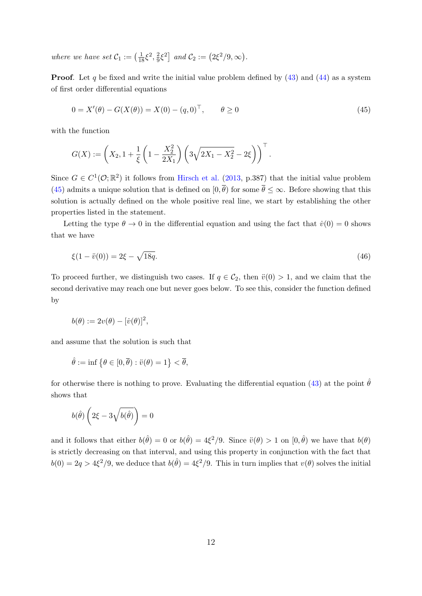where we have set  $C_1 := \left(\frac{1}{18}\xi^2, \frac{2}{9}\right)$  $\frac{2}{9}\xi^2$  and  $C_2 := (2\xi^2/9, \infty)$ .

**Proof.** Let q be fixed and write the initial value problem defined by  $(43)$  and  $(44)$  as a system of first order differential equations

<span id="page-42-0"></span>
$$
0 = X'(\theta) - G(X(\theta)) = X(0) - (q, 0)^{\top}, \qquad \theta \ge 0
$$
\n(45)

with the function

$$
G(X) := \left(X_2, 1 + \frac{1}{\xi} \left(1 - \frac{X_2^2}{2X_1}\right) \left(3\sqrt{2X_1 - X_2^2} - 2\xi\right)\right)^{\top}.
$$

Since  $G \in C^1(\mathcal{O};\mathbb{R}^2)$  it follows from [Hirsch et al.](#page-67-19) [\(2013,](#page-67-19) p.387) that the initial value problem [\(45\)](#page-42-0) admits a unique solution that is defined on  $[0, \bar{\theta})$  for some  $\bar{\theta} \leq \infty$ . Before showing that this solution is actually defined on the whole positive real line, we start by establishing the other properties listed in the statement.

Letting the type  $\theta \to 0$  in the differential equation and using the fact that  $\dot{v}(0) = 0$  shows that we have

<span id="page-42-1"></span>
$$
\xi(1 - \ddot{v}(0)) = 2\xi - \sqrt{18q}.\tag{46}
$$

To proceed further, we distinguish two cases. If  $q \in C_2$ , then  $\ddot{v}(0) > 1$ , and we claim that the second derivative may reach one but never goes below. To see this, consider the function defined by

$$
b(\theta) := 2v(\theta) - [\dot{v}(\theta)]^2,
$$

and assume that the solution is such that

$$
\hat{\theta} := \inf \{ \theta \in [0, \overline{\theta}) : \ddot{v}(\theta) = 1 \} < \overline{\theta},
$$

for otherwise there is nothing to prove. Evaluating the differential equation [\(43\)](#page-41-2) at the point  $\hat{\theta}$ shows that

$$
b(\hat{\theta})\left(2\xi - 3\sqrt{b(\hat{\theta})}\right) = 0
$$

and it follows that either  $b(\hat{\theta}) = 0$  or  $b(\hat{\theta}) = 4\xi^2/9$ . Since  $\ddot{v}(\theta) > 1$  on  $[0, \hat{\theta})$  we have that  $b(\theta)$ is strictly decreasing on that interval, and using this property in conjunction with the fact that  $b(0) = 2q > 4\xi^2/9$ , we deduce that  $b(\hat{\theta}) = 4\xi^2/9$ . This in turn implies that  $v(\theta)$  solves the initial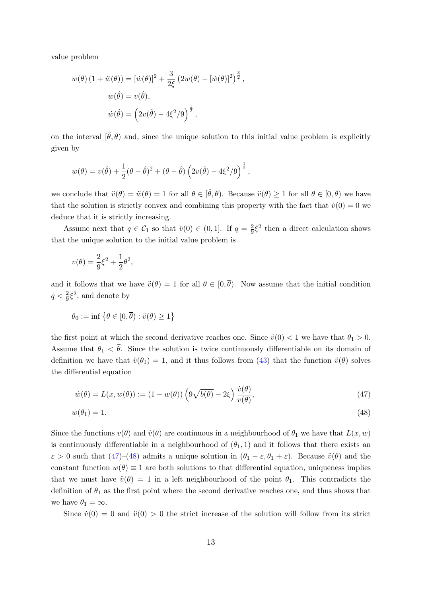value problem

$$
w(\theta) (1 + \ddot{w}(\theta)) = [\dot{w}(\theta)]^2 + \frac{3}{2\xi} (2w(\theta) - [\dot{w}(\theta)]^2)^{\frac{3}{2}},
$$
  

$$
w(\hat{\theta}) = v(\hat{\theta}),
$$
  

$$
\dot{w}(\hat{\theta}) = (2v(\hat{\theta}) - 4\xi^2/9)^{\frac{1}{2}},
$$

on the interval  $[\hat{\theta}, \overline{\theta}]$  and, since the unique solution to this initial value problem is explicitly given by

$$
w(\theta) = v(\hat{\theta}) + \frac{1}{2}(\theta - \hat{\theta})^2 + (\theta - \hat{\theta}) (2v(\hat{\theta}) - 4\xi^2/9)^{\frac{1}{2}},
$$

we conclude that  $\ddot{v}(\theta) = \ddot{w}(\theta) = 1$  for all  $\theta \in [\hat{\theta}, \overline{\theta})$ . Because  $\ddot{v}(\theta) \ge 1$  for all  $\theta \in [0, \overline{\theta})$  we have that the solution is strictly convex and combining this property with the fact that  $\dot{v}(0) = 0$  we deduce that it is strictly increasing.

Assume next that  $q \in \mathcal{C}_1$  so that  $\ddot{v}(0) \in (0,1]$ . If  $q = \frac{2}{9}$  $\frac{2}{9}\xi^2$  then a direct calculation shows that the unique solution to the initial value problem is

$$
v(\theta) = \frac{2}{9}\xi^2 + \frac{1}{2}\theta^2,
$$

and it follows that we have  $\ddot{v}(\theta) = 1$  for all  $\theta \in [0, \overline{\theta})$ . Now assume that the initial condition  $q < \frac{2}{9}\xi^2$ , and denote by

$$
\theta_0 := \inf \left\{ \theta \in [0, \overline{\theta}) : \ddot{v}(\theta) \ge 1 \right\}
$$

the first point at which the second derivative reaches one. Since  $\ddot{v}(0) < 1$  we have that  $\theta_1 > 0$ . Assume that  $\theta_1 < \overline{\theta}$ . Since the solution is twice continuously differentiable on its domain of definition we have that  $\ddot{v}(\theta_1) = 1$ , and it thus follows from [\(43\)](#page-41-2) that the function  $\ddot{v}(\theta)$  solves the differential equation

<span id="page-43-1"></span><span id="page-43-0"></span>
$$
\dot{w}(\theta) = L(x, w(\theta)) := (1 - w(\theta)) \left( 9\sqrt{b(\theta)} - 2\xi \right) \frac{\dot{v}(\theta)}{v(\theta)},
$$
\n(47)

$$
w(\theta_1) = 1. \tag{48}
$$

Since the functions  $v(\theta)$  and  $\dot{v}(\theta)$  are continuous in a neighbourhood of  $\theta_1$  we have that  $L(x, w)$ is continuously differentiable in a neighbourhood of  $(\theta_1, 1)$  and it follows that there exists an  $\varepsilon > 0$  such that  $(47)$ – $(48)$  admits a unique solution in  $(\theta_1 - \varepsilon, \theta_1 + \varepsilon)$ . Because  $\ddot{v}(\theta)$  and the constant function  $w(\theta) \equiv 1$  are both solutions to that differential equation, uniqueness implies that we must have  $\ddot{v}(\theta) = 1$  in a left neighbourhood of the point  $\theta_1$ . This contradicts the definition of  $\theta_1$  as the first point where the second derivative reaches one, and thus shows that we have  $\theta_1 = \infty$ .

Since  $\dot{v}(0) = 0$  and  $\ddot{v}(0) > 0$  the strict increase of the solution will follow from its strict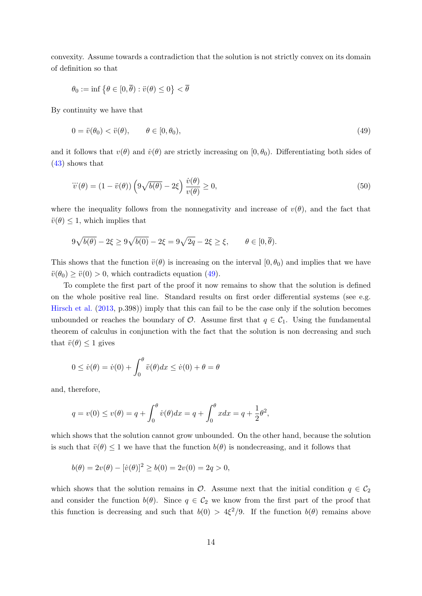convexity. Assume towards a contradiction that the solution is not strictly convex on its domain of definition so that

$$
\theta_0 := \inf \left\{ \theta \in [0, \overline{\theta}) : \ddot{v}(\theta) \le 0 \right\} < \overline{\theta}
$$

By continuity we have that

<span id="page-44-0"></span>
$$
0 = \ddot{v}(\theta_0) < \ddot{v}(\theta), \qquad \theta \in [0, \theta_0), \tag{49}
$$

and it follows that  $v(\theta)$  and  $\dot{v}(\theta)$  are strictly increasing on  $[0, \theta_0)$ . Differentiating both sides of [\(43\)](#page-41-2) shows that

<span id="page-44-1"></span>
$$
\dddot{v}(\theta) = (1 - \ddot{v}(\theta)) \left( 9\sqrt{b(\theta)} - 2\xi \right) \frac{\dot{v}(\theta)}{v(\theta)} \ge 0,
$$
\n(50)

where the inequality follows from the nonnegativity and increase of  $v(\theta)$ , and the fact that  $\ddot{v}(\theta) \leq 1$ , which implies that

$$
9\sqrt{b(\theta)} - 2\xi \ge 9\sqrt{b(0)} - 2\xi = 9\sqrt{2q} - 2\xi \ge \xi, \qquad \theta \in [0, \overline{\theta}).
$$

This shows that the function  $\ddot{v}(\theta)$  is increasing on the interval  $[0, \theta_0)$  and implies that we have  $\ddot{v}(\theta_0) \geq \ddot{v}(0) > 0$ , which contradicts equation [\(49\)](#page-44-0).

To complete the first part of the proof it now remains to show that the solution is defined on the whole positive real line. Standard results on first order differential systems (see e.g. [Hirsch et al.](#page-67-19) [\(2013,](#page-67-19) p.398)) imply that this can fail to be the case only if the solution becomes unbounded or reaches the boundary of  $\mathcal{O}$ . Assume first that  $q \in \mathcal{C}_1$ . Using the fundamental theorem of calculus in conjunction with the fact that the solution is non decreasing and such that  $\ddot{v}(\theta) \leq 1$  gives

$$
0 \le \dot{v}(\theta) = \dot{v}(0) + \int_0^{\theta} \ddot{v}(\theta) dx \le \dot{v}(0) + \theta = \theta
$$

and, therefore,

$$
q = v(0) \le v(\theta) = q + \int_0^{\theta} \dot{v}(\theta) dx = q + \int_0^{\theta} x dx = q + \frac{1}{2}\theta^2
$$
,

which shows that the solution cannot grow unbounded. On the other hand, because the solution is such that  $\ddot{v}(\theta) \leq 1$  we have that the function  $b(\theta)$  is nondecreasing, and it follows that

$$
b(\theta) = 2v(\theta) - [ \dot{v}(\theta) ]^2 \ge b(0) = 2v(0) = 2q > 0,
$$

which shows that the solution remains in  $\mathcal{O}$ . Assume next that the initial condition  $q \in \mathcal{C}_2$ and consider the function  $b(\theta)$ . Since  $q \in C_2$  we know from the first part of the proof that this function is decreasing and such that  $b(0) > 4\xi^2/9$ . If the function  $b(\theta)$  remains above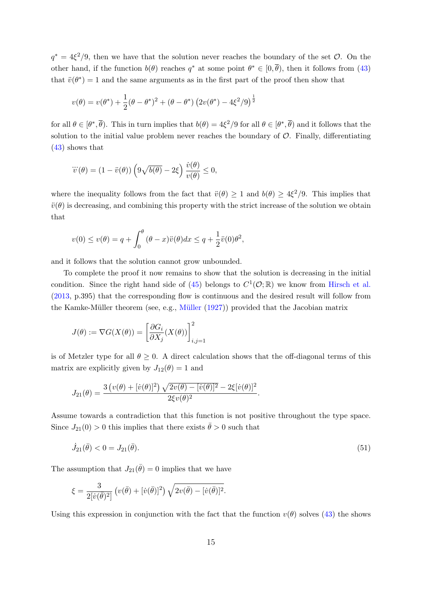$q^* = 4\xi^2/9$ , then we have that the solution never reaches the boundary of the set  $\mathcal{O}$ . On the other hand, if the function  $b(\theta)$  reaches  $q^*$  at some point  $\theta^* \in [0, \overline{\theta})$ , then it follows from [\(43\)](#page-41-2) that  $\ddot{v}(\theta^*) = 1$  and the same arguments as in the first part of the proof then show that

$$
v(\theta) = v(\theta^*) + \frac{1}{2}(\theta - \theta^*)^2 + (\theta - \theta^*) (2v(\theta^*) - 4\xi^2/9)^{\frac{1}{2}}
$$

for all  $\theta \in [\theta^*, \overline{\theta})$ . This in turn implies that  $b(\theta) = 4\xi^2/9$  for all  $\theta \in [\theta^*, \overline{\theta})$  and it follows that the solution to the initial value problem never reaches the boundary of  $\mathcal{O}$ . Finally, differentiating [\(43\)](#page-41-2) shows that

$$
\dddot{v}(\theta) = (1 - \ddot{v}(\theta)) \left( 9\sqrt{b(\theta)} - 2\xi \right) \frac{\dot{v}(\theta)}{v(\theta)} \le 0,
$$

where the inequality follows from the fact that  $\ddot{v}(\theta) \geq 1$  and  $b(\theta) \geq 4\xi^2/9$ . This implies that  $\ddot{v}(\theta)$  is decreasing, and combining this property with the strict increase of the solution we obtain that

$$
v(0) \le v(\theta) = q + \int_0^{\theta} (\theta - x)\ddot{v}(\theta)dx \le q + \frac{1}{2}\ddot{v}(0)\theta^2,
$$

and it follows that the solution cannot grow unbounded.

To complete the proof it now remains to show that the solution is decreasing in the initial condition. Since the right hand side of [\(45\)](#page-42-0) belongs to  $C^1(\mathcal{O};\mathbb{R})$  we know from [Hirsch et al.](#page-67-19) [\(2013,](#page-67-19) p.395) that the corresponding flow is continuous and the desired result will follow from the Kamke-Müller theorem (see, e.g., Müller  $(1927)$ ) provided that the Jacobian matrix

$$
J(\theta) := \nabla G(X(\theta)) = \left[\frac{\partial G_i}{\partial X_j}(X(\theta))\right]_{i,j=1}^2
$$

is of Metzler type for all  $\theta \geq 0$ . A direct calculation shows that the off-diagonal terms of this matrix are explicitly given by  $J_{12}(\theta) = 1$  and

$$
J_{21}(\theta) = \frac{3(\nu(\theta) + [\dot{\nu}(\theta)]^2) \sqrt{2\nu(\theta) - [\dot{\nu}(\theta)]^2} - 2\xi[\dot{\nu}(\theta)]^2}{2\xi \nu(\theta)^2}.
$$

Assume towards a contradiction that this function is not positive throughout the type space. Since  $J_{21}(0) > 0$  this implies that there exists  $\bar{\theta} > 0$  such that

<span id="page-45-0"></span>
$$
\dot{J}_{21}(\bar{\theta}) < 0 = J_{21}(\bar{\theta}).\tag{51}
$$

The assumption that  $J_{21}(\bar{\theta}) = 0$  implies that we have

$$
\xi = \frac{3}{2[\dot{v}(\bar{\theta})^2]} \left( v(\bar{\theta}) + [\dot{v}(\bar{\theta})]^2 \right) \sqrt{2v(\bar{\theta}) - [\dot{v}(\bar{\theta})]^2}.
$$

Using this expression in conjunction with the fact that the function  $v(\theta)$  solves [\(43\)](#page-41-2) the shows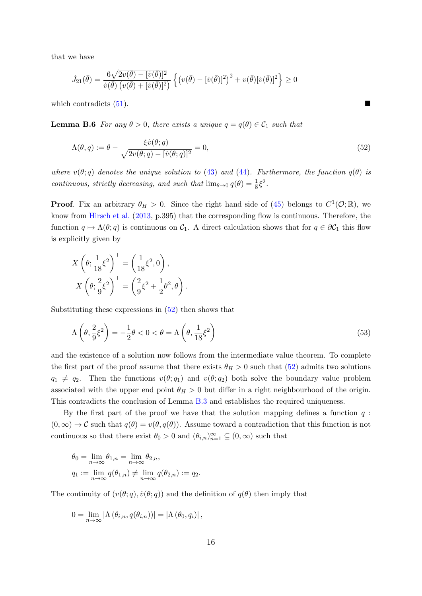that we have

$$
\dot{J}_{21}(\bar{\theta}) = \frac{6\sqrt{2v(\bar{\theta}) - [ \dot{v}(\bar{\theta})]^2}}{\dot{v}(\bar{\theta}) \left( v(\bar{\theta}) + [ \dot{v}(\bar{\theta})]^2 \right)} \left\{ \left( v(\bar{\theta}) - [ \dot{v}(\bar{\theta})]^2 \right)^2 + v(\bar{\theta})[\dot{v}(\bar{\theta})]^2 \right\} \ge 0
$$

which contradicts  $(51)$ .

<span id="page-46-2"></span>**Lemma B.6** For any  $\theta > 0$ , there exists a unique  $q = q(\theta) \in C_1$  such that

$$
\Lambda(\theta, q) := \theta - \frac{\xi \dot{v}(\theta; q)}{\sqrt{2v(\theta; q) - [ \dot{v}(\theta; q)]^2}} = 0,
$$
\n(52)

where  $v(\theta; q)$  denotes the unique solution to [\(43\)](#page-41-2) and [\(44\)](#page-41-3). Furthermore, the function  $q(\theta)$  is continuous, strictly decreasing, and such that  $\lim_{\theta \to 0} q(\theta) = \frac{1}{8} \xi^2$ .

**Proof.** Fix an arbitrary  $\theta_H > 0$ . Since the right hand side of [\(45\)](#page-42-0) belongs to  $C^1(\mathcal{O}; \mathbb{R})$ , we know from [Hirsch et al.](#page-67-19) [\(2013,](#page-67-19) p.395) that the corresponding flow is continuous. Therefore, the function  $q \mapsto \Lambda(\theta; q)$  is continuous on  $\mathcal{C}_1$ . A direct calculation shows that for  $q \in \partial \mathcal{C}_1$  this flow is explicitly given by

$$
X\left(\theta; \frac{1}{18}\xi^2\right)^\top = \left(\frac{1}{18}\xi^2, 0\right),
$$

$$
X\left(\theta; \frac{2}{9}\xi^2\right)^\top = \left(\frac{2}{9}\xi^2 + \frac{1}{2}\theta^2, \theta\right).
$$

Substituting these expressions in  $(52)$  then shows that

$$
\Lambda\left(\theta, \frac{2}{9}\xi^2\right) = -\frac{1}{2}\theta < 0 < \theta = \Lambda\left(\theta, \frac{1}{18}\xi^2\right) \tag{53}
$$

and the existence of a solution now follows from the intermediate value theorem. To complete the first part of the proof assume that there exists  $\theta_H > 0$  such that [\(52\)](#page-46-0) admits two solutions  $q_1 \neq q_2$ . Then the functions  $v(\theta; q_1)$  and  $v(\theta; q_2)$  both solve the boundary value problem associated with the upper end point  $\theta_H > 0$  but differ in a right neighbourhood of the origin. This contradicts the conclusion of Lemma [B.3](#page-40-0) and establishes the required uniqueness.

By the first part of the proof we have that the solution mapping defines a function  $q$ :  $(0, \infty) \to \mathcal{C}$  such that  $q(\theta) = v(\theta, q(\theta))$ . Assume toward a contradiction that this function is not continuous so that there exist  $\theta_0 > 0$  and  $(\theta_{i,n})_{n=1}^{\infty} \subseteq (0,\infty)$  such that

$$
\theta_0 = \lim_{n \to \infty} \theta_{1,n} = \lim_{n \to \infty} \theta_{2,n},
$$
  
\n
$$
q_1 := \lim_{n \to \infty} q(\theta_{1,n}) \neq \lim_{n \to \infty} q(\theta_{2,n}) := q_2.
$$

The continuity of  $(v(\theta; q), \dot{v}(\theta; q))$  and the definition of  $q(\theta)$  then imply that

$$
0 = \lim_{n \to \infty} \left| \Lambda (\theta_{i,n}, q(\theta_{i,n})) \right| = \left| \Lambda (\theta_0, q_i) \right|,
$$

<span id="page-46-1"></span><span id="page-46-0"></span>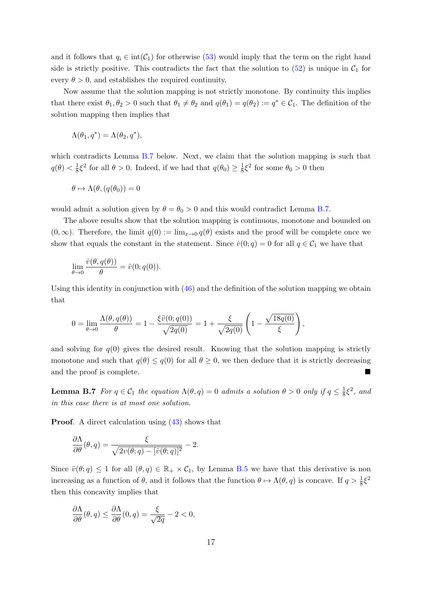and it follows that  $q_i \in \text{int}(\mathcal{C}_1)$  for otherwise [\(53\)](#page-46-1) would imply that the term on the right hand side is strictly positive. This contradicts the fact that the solution to  $(52)$  is unique in  $C_1$  for every  $\theta > 0$ , and establishes the required continuity.

Now assume that the solution mapping is not strictly monotone. By continuity this implies that there exist  $\theta_1, \theta_2 > 0$  such that  $\theta_1 \neq \theta_2$  and  $q(\theta_1) = q(\theta_2) := q^* \in C_1$ . The definition of the solution mapping then implies that

$$
\Lambda(\theta_1, q^*) = \Lambda(\theta_2, q^*),
$$

which contradicts Lemma [B.7](#page-47-0) below. Next, we claim that the solution mapping is such that  $q(\theta) < \frac{1}{8}$  $\frac{1}{8}\xi^2$  for all  $\theta > 0$ . Indeed, if we had that  $q(\theta_0) \ge \frac{1}{8}$  $\frac{1}{8}\xi^2$  for some  $\theta_0 > 0$  then

$$
\theta \mapsto \Lambda(\theta, (q(\theta_0)) = 0
$$

would admit a solution given by  $\theta = \theta_0 > 0$  and this would contradict Lemma [B.7.](#page-47-0)

The above results show that the solution mapping is continuous, monotone and bounded on  $(0, \infty)$ . Therefore, the limit  $q(0) := \lim_{x\to 0} q(\theta)$  exists and the proof will be complete once we show that equals the constant in the statement. Since  $\dot{v}(0; q) = 0$  for all  $q \in C_1$  we have that

$$
\lim_{\theta \to 0} \frac{\dot{v}(\theta, q(\theta))}{\theta} = \ddot{v}(0; q(0)).
$$

Using this identity in conjunction with  $(46)$  and the definition of the solution mapping we obtain that

$$
0 = \lim_{\theta \to 0} \frac{\Lambda(\theta, q(\theta))}{\theta} = 1 - \frac{\xi \ddot{v}(0; q(0))}{\sqrt{2q(0)}} = 1 + \frac{\xi}{\sqrt{2q(0)}} \left( 1 - \frac{\sqrt{18q(0)}}{\xi} \right),
$$

and solving for  $q(0)$  gives the desired result. Knowing that the solution mapping is strictly monotone and such that  $q(\theta) \leq q(0)$  for all  $\theta \geq 0$ , we then deduce that it is strictly decreasing and the proof is complete.

<span id="page-47-0"></span>**Lemma B.7** For  $q \in C_1$  the equation  $\Lambda(\theta, q) = 0$  admits a solution  $\theta > 0$  only if  $q \leq \frac{1}{8}$  $\frac{1}{8}\xi^2$ , and in this case there is at most one solution.

Proof. A direct calculation using [\(43\)](#page-41-2) shows that

$$
\frac{\partial \Lambda}{\partial \theta}(\theta, q) = \frac{\xi}{\sqrt{2v(\theta; q) - [v(\theta; q)]^2}} - 2.
$$

Since  $\ddot{v}(\theta; q) \leq 1$  for all  $(\theta, q) \in \mathbb{R}_+ \times \mathcal{C}_1$ , by Lemma [B.5](#page-41-4) we have that this derivative is non increasing as a function of  $\theta$ , and it follows that the function  $\theta \mapsto \Lambda(\theta, q)$  is concave. If  $q > \frac{1}{8}\xi^2$ then this concavity implies that

$$
\frac{\partial \Lambda}{\partial \theta}(\theta, q) \le \frac{\partial \Lambda}{\partial \theta}(0, q) = \frac{\xi}{\sqrt{2q}} - 2 < 0,
$$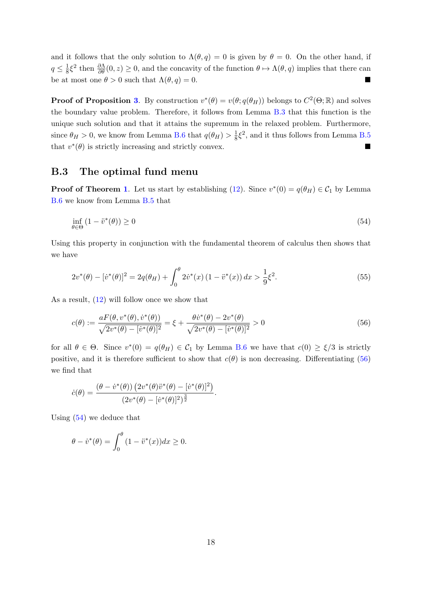and it follows that the only solution to  $\Lambda(\theta, q) = 0$  is given by  $\theta = 0$ . On the other hand, if  $q \leq \frac{1}{8}$  $\frac{1}{8}\xi^2$  then  $\frac{\partial \Lambda}{\partial \theta}(0, z) \geq 0$ , and the concavity of the function  $\theta \mapsto \Lambda(\theta, q)$  implies that there can be at most one  $\theta > 0$  such that  $\Lambda(\theta, q) = 0$ .

**Proof of Proposition [3](#page-13-3).** By construction  $v^*(\theta) = v(\theta; q(\theta_H))$  belongs to  $C^2(\Theta; \mathbb{R})$  and solves the boundary value problem. Therefore, it follows from Lemma [B.3](#page-40-0) that this function is the unique such solution and that it attains the supremum in the relaxed problem. Furthermore, since  $\theta_H > 0$ , we know from Lemma [B.6](#page-46-2) that  $q(\theta_H) > \frac{1}{8}$  $\frac{1}{8}\xi^2$ , and it thus follows from Lemma [B.5](#page-41-4) that  $v^*(\theta)$  is strictly increasing and strictly convex.

## <span id="page-48-0"></span>B.3 The optimal fund menu

**Proof of Theorem [1](#page-13-4).** Let us start by establishing [\(12\)](#page-13-6). Since  $v^*(0) = q(\theta_H) \in C_1$  by Lemma [B.6](#page-46-2) we know from Lemma [B.5](#page-41-4) that

<span id="page-48-2"></span>
$$
\inf_{\theta \in \Theta} (1 - \ddot{v}^*(\theta)) \ge 0 \tag{54}
$$

Using this property in conjunction with the fundamental theorem of calculus then shows that we have

<span id="page-48-3"></span>
$$
2v^*(\theta) - [\dot{v}^*(\theta)]^2 = 2q(\theta_H) + \int_0^{\theta} 2\dot{v}^*(x) (1 - \ddot{v}^*(x)) dx > \frac{1}{9}\xi^2.
$$
 (55)

As a result, [\(12\)](#page-13-6) will follow once we show that

<span id="page-48-1"></span>
$$
c(\theta) := \frac{aF(\theta, v^*(\theta), \dot{v}^*(\theta))}{\sqrt{2v^*(\theta) - [v^*(\theta)]^2}} = \xi + \frac{\theta \dot{v}^*(\theta) - 2v^*(\theta)}{\sqrt{2v^*(\theta) - [v^*(\theta)]^2}} > 0
$$
\n(56)

for all  $\theta \in \Theta$ . Since  $v^*(0) = q(\theta_H) \in C_1$  by Lemma [B.6](#page-46-2) we have that  $c(0) \geq \xi/3$  is strictly positive, and it is therefore sufficient to show that  $c(\theta)$  is non decreasing. Differentiating [\(56\)](#page-48-1) we find that

$$
\dot{c}(\theta) = \frac{(\theta - \dot{v}^*(\theta)) (2v^*(\theta)\ddot{v}^*(\theta) - [\dot{v}^*(\theta)]^2)}{(2v^*(\theta) - [\dot{v}^*(\theta)]^2)^{\frac{3}{2}}}.
$$

Using [\(54\)](#page-48-2) we deduce that

$$
\theta - \dot{v}^*(\theta) = \int_0^{\theta} (1 - \ddot{v}^*(x)) dx \ge 0.
$$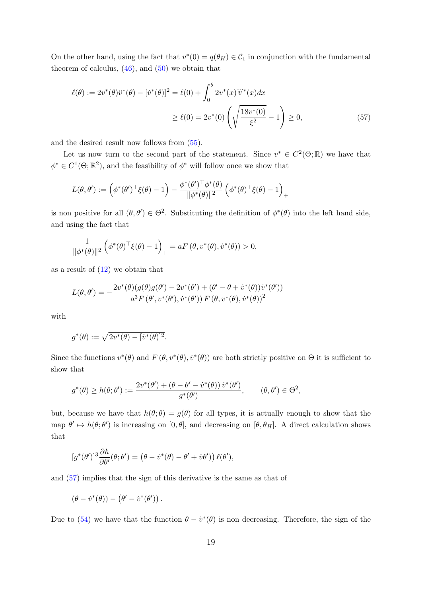On the other hand, using the fact that  $v^*(0) = q(\theta_H) \in C_1$  in conjunction with the fundamental theorem of calculus,  $(46)$ , and  $(50)$  we obtain that

<span id="page-49-0"></span>
$$
\ell(\theta) := 2v^*(\theta)\ddot{v}^*(\theta) - [\dot{v}^*(\theta)]^2 = \ell(0) + \int_0^{\theta} 2v^*(x)\ddot{v}^*(x)dx
$$
  

$$
\geq \ell(0) = 2v^*(0)\left(\sqrt{\frac{18v^*(0)}{\xi^2}} - 1\right) \geq 0,
$$
 (57)

and the desired result now follows from [\(55\)](#page-48-3).

Let us now turn to the second part of the statement. Since  $v^* \in C^2(\Theta;\mathbb{R})$  we have that  $\phi^* \in C^1(\Theta; \mathbb{R}^2)$ , and the feasibility of  $\phi^*$  will follow once we show that

$$
L(\theta, \theta') := \left(\phi^*(\theta')^\top \xi(\theta) - 1\right) - \frac{\phi^*(\theta')^\top \phi^*(\theta)}{\|\phi^*(\theta)\|^2} \left(\phi^*(\theta)^\top \xi(\theta) - 1\right)_+
$$

is non positive for all  $(\theta, \theta') \in \Theta^2$ . Substituting the definition of  $\phi^*(\theta)$  into the left hand side, and using the fact that

$$
\frac{1}{\|\phi^*(\theta)\|^2} \left(\phi^*(\theta)^\top \xi(\theta) - 1\right)_+ = aF\left(\theta, v^*(\theta), \dot{v}^*(\theta)\right) > 0,
$$

as a result of  $(12)$  we obtain that

$$
L(\theta, \theta') = -\frac{2v^*(\theta)(g(\theta)g(\theta') - 2v^*(\theta') + (\theta' - \theta + \dot{v}^*(\theta))\dot{v}^*(\theta'))}{a^3 F(\theta', v^*(\theta'), \dot{v}^*(\theta')) F(\theta, v^*(\theta), \dot{v}^*(\theta))^2}
$$

with

$$
g^*(\theta) := \sqrt{2v^*(\theta) - [v^*(\theta)]^2}.
$$

Since the functions  $v^*(\theta)$  and  $F(\theta, v^*(\theta), \dot{v}^*(\theta))$  are both strictly positive on  $\Theta$  it is sufficient to show that

$$
g^*(\theta) \ge h(\theta; \theta') := \frac{2v^*(\theta') + (\theta - \theta' - \dot{v}^*(\theta))\,\dot{v}^*(\theta')}{g^*(\theta')}, \qquad (\theta, \theta') \in \Theta^2,
$$

but, because we have that  $h(\theta; \theta) = g(\theta)$  for all types, it is actually enough to show that the map  $\theta' \mapsto h(\theta; \theta')$  is increasing on  $[0, \theta]$ , and decreasing on  $[\theta, \theta_H]$ . A direct calculation shows that

$$
[g^*(\theta')]^3 \frac{\partial h}{\partial \theta'}(\theta; \theta') = (\theta - \dot{v}^*(\theta) - \theta' + \dot{v}\theta')\ell(\theta'),
$$

and [\(57\)](#page-49-0) implies that the sign of this derivative is the same as that of

$$
(\theta-\dot{v}^*(\theta))-\left(\theta'-\dot{v}^*(\theta')\right).
$$

Due to [\(54\)](#page-48-2) we have that the function  $\theta - \dot{v}^*(\theta)$  is non decreasing. Therefore, the sign of the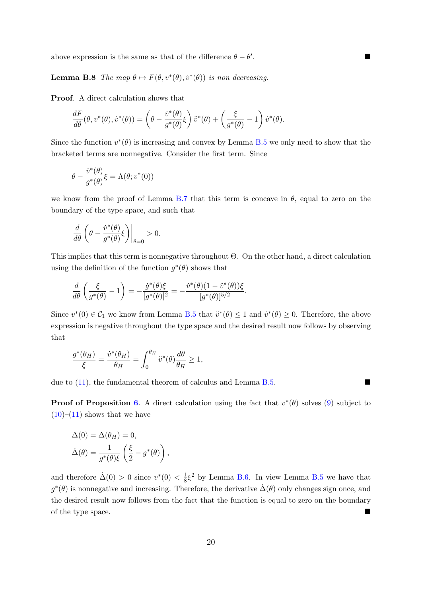above expression is the same as that of the difference  $\theta - \theta'$ 

<span id="page-50-0"></span>**Lemma B.8** The map  $\theta \mapsto F(\theta, v^*(\theta), \dot{v}^*(\theta))$  is non decreasing.

Proof. A direct calculation shows that

$$
\frac{dF}{d\theta}(\theta, v^*(\theta), \dot{v}^*(\theta)) = \left(\theta - \frac{\dot{v}^*(\theta)}{g^*(\theta)}\xi\right)\ddot{v}^*(\theta) + \left(\frac{\xi}{g^*(\theta)} - 1\right)\dot{v}^*(\theta).
$$

Since the function  $v^*(\theta)$  is increasing and convex by Lemma [B.5](#page-41-4) we only need to show that the bracketed terms are nonnegative. Consider the first term. Since

$$
\theta - \frac{\dot{v}^*(\theta)}{g^*(\theta)} \xi = \Lambda(\theta; v^*(0))
$$

we know from the proof of Lemma [B.7](#page-47-0) that this term is concave in  $\theta$ , equal to zero on the boundary of the type space, and such that

$$
\frac{d}{d\theta} \left( \theta - \frac{\dot{v}^*(\theta)}{g^*(\theta)} \xi \right) \Big|_{\theta=0} > 0.
$$

This implies that this term is nonnegative throughout Θ. On the other hand, a direct calculation using the definition of the function  $g^*(\theta)$  shows that

$$
\frac{d}{d\theta} \left( \frac{\xi}{g^*(\theta)} - 1 \right) = -\frac{\dot{g}^*(\theta)\xi}{[g^*(\theta)]^2} = -\frac{\dot{v}^*(\theta)(1 - \ddot{v}^*(\theta))\xi}{[g^*(\theta)]^{5/2}}.
$$

Since  $v^*(0) \in C_1$  we know from Lemma [B.5](#page-41-4) that  $\ddot{v}^*(\theta) \leq 1$  and  $\dot{v}^*(\theta) \geq 0$ . Therefore, the above expression is negative throughout the type space and the desired result now follows by observing that

$$
\frac{g^*(\theta_H)}{\xi} = \frac{\dot{v}^*(\theta_H)}{\theta_H} = \int_0^{\theta_H} \ddot{v}^*(\theta) \frac{d\theta}{\theta_H} \ge 1,
$$

due to  $(11)$ , the fundamental theorem of calculus and Lemma [B.5.](#page-41-4)

**Proof of Proposition [6](#page-16-2).** A direct calculation using the fact that  $v^*(\theta)$  solves [\(9\)](#page-13-0) subject to  $(10)–(11)$  $(10)–(11)$  $(10)–(11)$  shows that we have

$$
\Delta(0) = \Delta(\theta_H) = 0,
$$
  

$$
\dot{\Delta}(\theta) = \frac{1}{g^*(\theta)\xi} \left(\frac{\xi}{2} - g^*(\theta)\right),
$$

and therefore  $\dot{\Delta}(0) > 0$  since  $v^*(0) < \frac{1}{8}$  $\frac{1}{8} \xi^2$  by Lemma [B.6.](#page-46-2) In view Lemma [B.5](#page-41-4) we have that  $g^*(\theta)$  is nonnegative and increasing. Therefore, the derivative  $\dot{\Delta}(\theta)$  only changes sign once, and the desired result now follows from the fact that the function is equal to zero on the boundary of the type space.

.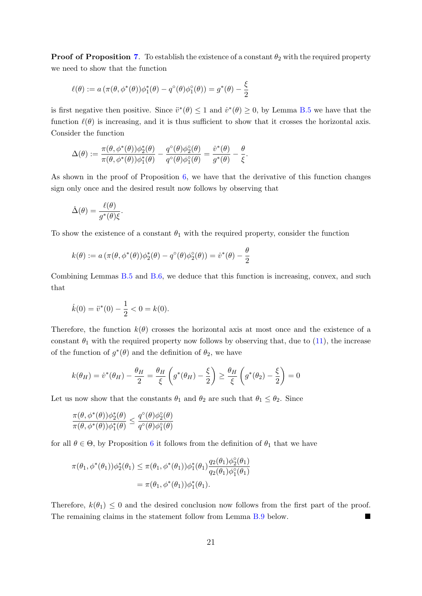**Proof of Proposition [7](#page-17-1).** To establish the existence of a constant  $\theta_2$  with the required property we need to show that the function

$$
\ell(\theta) := a \left( \pi(\theta, \phi^*(\theta)) \phi_1^*(\theta) - q^{\circ}(\theta) \phi_1^{\circ}(\theta) \right) = g^*(\theta) - \frac{\xi}{2}
$$

is first negative then positive. Since  $\ddot{v}^*(\theta) \leq 1$  and  $\dot{v}^*(\theta) \geq 0$ , by Lemma [B.5](#page-41-4) we have that the function  $\ell(\theta)$  is increasing, and it is thus sufficient to show that it crosses the horizontal axis. Consider the function

$$
\Delta(\theta):=\frac{\pi(\theta,\phi^*(\theta))\phi_2^*(\theta)}{\pi(\theta,\phi^*(\theta))\phi_1^*(\theta)}-\frac{q^\circ(\theta)\phi_2^\circ(\theta)}{q^\circ(\theta)\phi_1^\circ(\theta)}=\frac{\dot{v}^*(\theta)}{g^*(\theta)}-\frac{\theta}{\xi}.
$$

As shown in the proof of Proposition  $6$ , we have that the derivative of this function changes sign only once and the desired result now follows by observing that

$$
\dot{\Delta}(\theta) = \frac{\ell(\theta)}{g^*(\theta)\xi}.
$$

To show the existence of a constant  $\theta_1$  with the required property, consider the function

$$
k(\theta) := a \left( \pi(\theta, \phi^*(\theta)) \phi_2^*(\theta) - q^{\circ}(\theta) \phi_2^{\circ}(\theta) \right) = \dot{v}^*(\theta) - \frac{\theta}{2}
$$

Combining Lemmas [B.5](#page-41-4) and [B.6,](#page-46-2) we deduce that this function is increasing, convex, and such that

$$
\dot{k}(0) = \ddot{v}^*(0) - \frac{1}{2} < 0 = k(0).
$$

Therefore, the function  $k(\theta)$  crosses the horizontal axis at most once and the existence of a constant  $\theta_1$  with the required property now follows by observing that, due to [\(11\)](#page-13-2), the increase of the function of  $g^*(\theta)$  and the definition of  $\theta_2$ , we have

$$
k(\theta_H) = \dot{v}^*(\theta_H) - \frac{\theta_H}{2} = \frac{\theta_H}{\xi} \left( g^*(\theta_H) - \frac{\xi}{2} \right) \ge \frac{\theta_H}{\xi} \left( g^*(\theta_2) - \frac{\xi}{2} \right) = 0
$$

Let us now show that the constants  $\theta_1$  and  $\theta_2$  are such that  $\theta_1 \leq \theta_2$ . Since

$$
\frac{\pi(\theta,\phi^*(\theta))\phi_2^*(\theta)}{\pi(\theta,\phi^*(\theta))\phi_1^*(\theta)}\leq \frac{q^\circ(\theta)\phi_2^\circ(\theta)}{q^\circ(\theta)\phi_1^\circ(\theta)}
$$

for all  $\theta \in \Theta$ , by Proposition [6](#page-16-2) it follows from the definition of  $\theta_1$  that we have

$$
\pi(\theta_1, \phi^*(\theta_1))\phi_2^*(\theta_1) \leq \pi(\theta_1, \phi^*(\theta_1))\phi_1^*(\theta_1)\frac{q_2(\theta_1)\phi_2^*(\theta_1)}{q_2(\theta_1)\phi_1^*(\theta_1)}
$$
  
=  $\pi(\theta_1, \phi^*(\theta_1))\phi_1^*(\theta_1)$ .

<span id="page-51-0"></span>Therefore,  $k(\theta_1) \leq 0$  and the desired conclusion now follows from the first part of the proof. The remaining claims in the statement follow from Lemma [B.9](#page-51-0) below.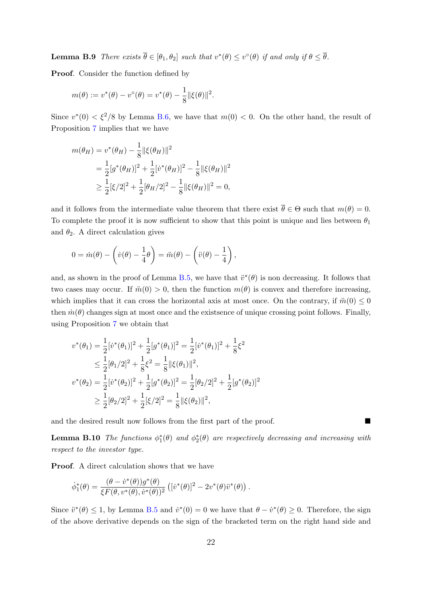**Lemma B.9** There exists  $\overline{\theta} \in [\theta_1, \theta_2]$  such that  $v^*(\theta) \leq v^{\circ}(\theta)$  if and only if  $\theta \leq \overline{\theta}$ .

Proof. Consider the function defined by

$$
m(\theta) := v^*(\theta) - v^{\circ}(\theta) = v^*(\theta) - \frac{1}{8} ||\xi(\theta)||^2.
$$

Since  $v^*(0) < \xi^2/8$  by Lemma [B.6,](#page-46-2) we have that  $m(0) < 0$ . On the other hand, the result of Proposition [7](#page-17-1) implies that we have

$$
m(\theta_H) = v^*(\theta_H) - \frac{1}{8} ||\xi(\theta_H)||^2
$$
  
=  $\frac{1}{2} [g^*(\theta_H)]^2 + \frac{1}{2} [v^*(\theta_H)]^2 - \frac{1}{8} ||\xi(\theta_H)||^2$   
 $\ge \frac{1}{2} [\xi/2]^2 + \frac{1}{2} [\theta_H/2]^2 - \frac{1}{8} ||\xi(\theta_H)||^2 = 0,$ 

and it follows from the intermediate value theorem that there exist  $\overline{\theta} \in \Theta$  such that  $m(\theta) = 0$ . To complete the proof it is now sufficient to show that this point is unique and lies between  $\theta_1$ and  $\theta_2$ . A direct calculation gives

$$
0 = \dot{m}(\theta) - \left(\dot{v}(\theta) - \frac{1}{4}\theta\right) = \ddot{m}(\theta) - \left(\ddot{v}(\theta) - \frac{1}{4}\right),
$$

and, as shown in the proof of Lemma [B.5,](#page-41-4) we have that  $\ddot{v}^*(\theta)$  is non decreasing. It follows that two cases may occur. If  $\ddot{m}(0) > 0$ , then the function  $m(\theta)$  is convex and therefore increasing, which implies that it can cross the horizontal axis at most once. On the contrary, if  $\ddot{m}(0) \leq 0$ then  $\dot{m}(\theta)$  changes sign at most once and the existence of unique crossing point follows. Finally, using Proposition [7](#page-17-1) we obtain that

$$
v^*(\theta_1) = \frac{1}{2} [v^*(\theta_1)]^2 + \frac{1}{2} [g^*(\theta_1)]^2 = \frac{1}{2} [v^*(\theta_1)]^2 + \frac{1}{8} \xi^2
$$
  
\n
$$
\leq \frac{1}{2} [\theta_1/2]^2 + \frac{1}{8} \xi^2 = \frac{1}{8} ||\xi(\theta_1)||^2,
$$
  
\n
$$
v^*(\theta_2) = \frac{1}{2} [v^*(\theta_2)]^2 + \frac{1}{2} [g^*(\theta_2)]^2 = \frac{1}{2} [\theta_2/2]^2 + \frac{1}{2} [g^*(\theta_2)]^2
$$
  
\n
$$
\geq \frac{1}{2} [\theta_2/2]^2 + \frac{1}{2} [\xi/2]^2 = \frac{1}{8} ||\xi(\theta_2)||^2,
$$

and the desired result now follows from the first part of the proof.

<span id="page-52-0"></span>**Lemma B.10** The functions  $\phi_1^*(\theta)$  and  $\phi_2^*(\theta)$  are respectively decreasing and increasing with respect to the investor type.

Proof. A direct calculation shows that we have

$$
\dot{\phi}_1^*(\theta) = \frac{(\theta - \dot{v}^*(\theta))g^*(\theta)}{\xi F(\theta, v^*(\theta), \dot{v}^*(\theta))^2} \left( [\dot{v}^*(\theta)]^2 - 2v^*(\theta)\ddot{v}^*(\theta) \right).
$$

Since  $\ddot{v}^*(\theta) \leq 1$ , by Lemma [B.5](#page-41-4) and  $\dot{v}^*(0) = 0$  we have that  $\theta - \dot{v}^*(\theta) \geq 0$ . Therefore, the sign of the above derivative depends on the sign of the bracketed term on the right hand side and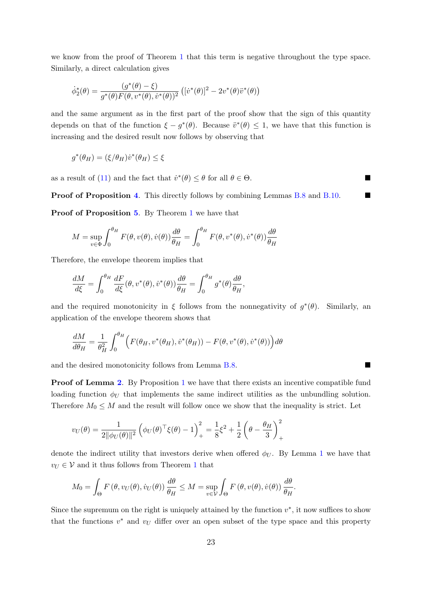we know from the proof of Theorem [1](#page-13-4) that this term is negative throughout the type space. Similarly, a direct calculation gives

$$
\dot{\phi}_2^*(\theta) = \frac{(g^*(\theta) - \xi)}{g^*(\theta)F(\theta, v^*(\theta), \dot{v}^*(\theta))^2} \left( [\dot{v}^*(\theta)]^2 - 2v^*(\theta)\ddot{v}^*(\theta) \right)
$$

and the same argument as in the first part of the proof show that the sign of this quantity depends on that of the function  $\xi - g^*(\theta)$ . Because  $\ddot{v}^*(\theta) \leq 1$ , we have that this function is increasing and the desired result now follows by observing that

$$
g^*(\theta_H) = (\xi/\theta_H)\dot{v}^*(\theta_H) \le \xi
$$

as a result of [\(11\)](#page-13-2) and the fact that  $\dot{v}^*(\theta) \leq \theta$  for all  $\theta \in \Theta$ .

**Proof of Proposition [4](#page-14-1).** This directly follows by combining Lemmas [B.8](#page-50-0) and [B.10.](#page-52-0)

Proof of Proposition [5](#page-14-2). By Theorem [1](#page-13-4) we have that

$$
M = \sup_{v \in \Phi} \int_0^{\theta_H} F(\theta, v(\theta), \dot{v}(\theta)) \frac{d\theta}{\theta_H} = \int_0^{\theta_H} F(\theta, v^*(\theta), \dot{v}^*(\theta)) \frac{d\theta}{\theta_H}
$$

Therefore, the envelope theorem implies that

$$
\frac{dM}{d\xi} = \int_0^{\theta_H} \frac{dF}{d\xi}(\theta, v^*(\theta), \dot{v}^*(\theta)) \frac{d\theta}{\theta_H} = \int_0^{\theta_H} g^*(\theta) \frac{d\theta}{\theta_H},
$$

and the required monotonicity in  $\xi$  follows from the nonnegativity of  $g^*(\theta)$ . Similarly, an application of the envelope theorem shows that

$$
\frac{dM}{d\theta_H} = \frac{1}{\theta_H^2} \int_0^{\theta_H} \Big( F(\theta_H, v^*(\theta_H), \dot{v}^*(\theta_H)) - F(\theta, v^*(\theta), \dot{v}^*(\theta)) \Big) d\theta
$$

and the desired monotonicity follows from Lemma [B.8.](#page-50-0)

**Proof of Lemma [2](#page-22-3).** By Proposition [1](#page-9-1) we have that there exists an incentive compatible fund loading function  $\phi_U$  that implements the same indirect utilities as the unbundling solution. Therefore  $M_0 \leq M$  and the result will follow once we show that the inequality is strict. Let

$$
v_U(\theta) = \frac{1}{2\|\phi_U(\theta)\|^2} \left( \phi_U(\theta)^\top \xi(\theta) - 1 \right)_+^2 = \frac{1}{8} \xi^2 + \frac{1}{2} \left( \theta - \frac{\theta_H}{3} \right)_+^2
$$

denote the indirect utility that investors derive when offered  $\phi_U$ . By Lemma [1](#page-12-3) we have that  $v_U \in V$  and it thus follows from Theorem [1](#page-13-4) that

$$
M_0 = \int_{\Theta} F(\theta, v_U(\theta), \dot{v}_U(\theta)) \frac{d\theta}{\theta_H} \le M = \sup_{v \in \mathcal{V}} \int_{\Theta} F(\theta, v(\theta), \dot{v}(\theta)) \frac{d\theta}{\theta_H}.
$$

Since the supremum on the right is uniquely attained by the function  $v^*$ , it now suffices to show that the functions  $v^*$  and  $v_U$  differ over an open subset of the type space and this property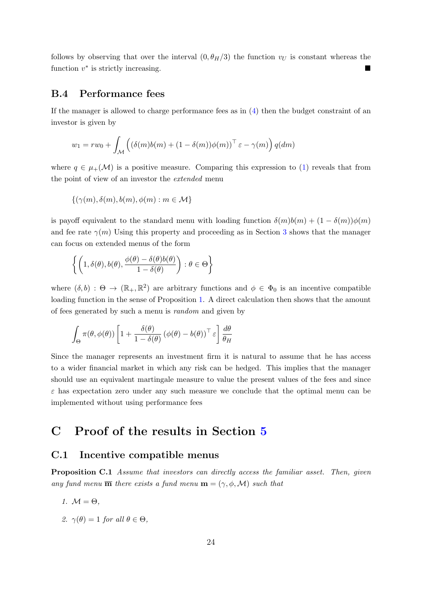follows by observing that over the interval  $(0, \theta_H/3)$  the function  $v_U$  is constant whereas the function  $v^*$  is strictly increasing.

### <span id="page-54-1"></span>B.4 Performance fees

If the manager is allowed to charge performance fees as in [\(4\)](#page-9-2) then the budget constraint of an investor is given by

$$
w_1 = rw_0 + \int_{\mathcal{M}} \left( (\delta(m)b(m) + (1 - \delta(m))\phi(m))^\top \varepsilon - \gamma(m) \right) q(dm)
$$

where  $q \in \mu_+(\mathcal{M})$  is a positive measure. Comparing this expression to [\(1\)](#page-7-3) reveals that from the point of view of an investor the extended menu

$$
\{(\gamma(m), \delta(m), b(m), \phi(m) : m \in \mathcal{M}\}\
$$

is payoff equivalent to the standard menu with loading function  $\delta(m)b(m) + (1 - \delta(m))\phi(m)$ and fee rate  $\gamma(m)$  Using this property and proceeding as in Section [3](#page-9-0) shows that the manager can focus on extended menus of the form

$$
\left\{ \left( 1, \delta(\theta), b(\theta), \frac{\phi(\theta) - \delta(\theta)b(\theta)}{1 - \delta(\theta)} \right) : \theta \in \Theta \right\}
$$

where  $(\delta, b) : \Theta \to (\mathbb{R}_+, \mathbb{R}^2)$  are arbitrary functions and  $\phi \in \Phi_0$  is an incentive compatible loading function in the sense of Proposition [1.](#page-9-1) A direct calculation then shows that the amount of fees generated by such a menu is random and given by

$$
\int_{\Theta} \pi(\theta, \phi(\theta)) \left[ 1 + \frac{\delta(\theta)}{1 - \delta(\theta)} \left( \phi(\theta) - b(\theta) \right)^{\top} \varepsilon \right] \frac{d\theta}{\theta_H}
$$

Since the manager represents an investment firm it is natural to assume that he has access to a wider financial market in which any risk can be hedged. This implies that the manager should use an equivalent martingale measure to value the present values of the fees and since  $\varepsilon$  has expectation zero under any such measure we conclude that the optimal menu can be implemented without using performance fees

# <span id="page-54-0"></span>C Proof of the results in Section [5](#page-22-0)

### <span id="page-54-2"></span>C.1 Incentive compatible menus

<span id="page-54-3"></span>**Proposition C.1** Assume that investors can directly access the familiar asset. Then, given any fund menu  $\overline{\mathbf{m}}$  there exists a fund menu  $\mathbf{m} = (\gamma, \phi, \mathcal{M})$  such that

- 1.  $M = \Theta$ ,
- 2.  $\gamma(\theta) = 1$  for all  $\theta \in \Theta$ ,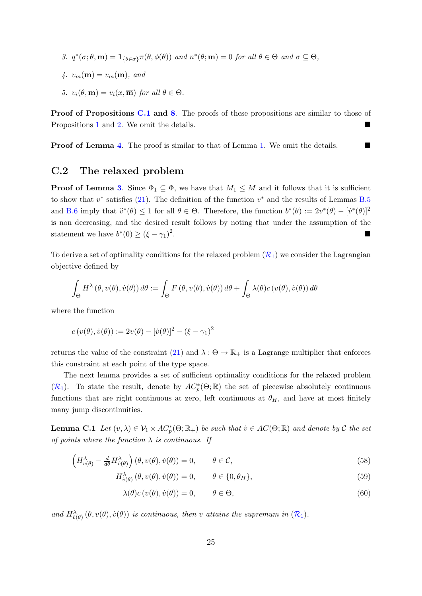- 3.  $q^*(\sigma;\theta,\mathbf{m}) = \mathbf{1}_{\{\theta \in \sigma\}} \pi(\theta, \phi(\theta))$  and  $n^*(\theta; \mathbf{m}) = 0$  for all  $\theta \in \Theta$  and  $\sigma \subseteq \Theta$ ,
- 4.  $v_m(\mathbf{m}) = v_m(\overline{\mathbf{m}})$ , and
- 5.  $v_i(\theta, \mathbf{m}) = v_i(x, \overline{\mathbf{m}})$  for all  $\theta \in \Theta$ .

Proof of Propositions [C.1](#page-54-3) and [8](#page-24-3). The proofs of these propositions are similar to those of Propositions [1](#page-9-1) and [2.](#page-10-1) We omit the details.

**Proof of Lemma [4](#page-24-4).** The proof is similar to that of Lemma [1.](#page-12-3) We omit the details.

## <span id="page-55-0"></span>C.2 The relaxed problem

**Proof of Lemma [3](#page-23-2).** Since  $\Phi_1 \subseteq \Phi$ , we have that  $M_1 \leq M$  and it follows that it is sufficient to show that  $v^*$  satisfies [\(21\)](#page-24-1). The definition of the function  $v^*$  and the results of Lemmas [B.5](#page-41-4) and [B.6](#page-46-2) imply that  $\ddot{v}^*(\theta) \leq 1$  for all  $\theta \in \Theta$ . Therefore, the function  $b^*(\theta) := 2v^*(\theta) - [\dot{v}^*(\theta)]^2$ is non decreasing, and the desired result follows by noting that under the assumption of the statement we have  $b^*(0) \geq (\xi - \gamma_1)^2$ .

To derive a set of optimality conditions for the relaxed problem  $(R_1)$  $(R_1)$  $(R_1)$  we consider the Lagrangian objective defined by

$$
\int_{\Theta} H^{\lambda}(\theta, v(\theta), \dot{v}(\theta)) d\theta := \int_{\Theta} F(\theta, v(\theta), \dot{v}(\theta)) d\theta + \int_{\Theta} \lambda(\theta) c(v(\theta), \dot{v}(\theta)) d\theta
$$

where the function

$$
c(v(\theta), \dot{v}(\theta)) := 2v(\theta) - [\dot{v}(\theta)]^2 - (\xi - \gamma_1)^2
$$

returns the value of the constraint [\(21\)](#page-24-1) and  $\lambda : \Theta \to \mathbb{R}_+$  is a Lagrange multiplier that enforces this constraint at each point of the type space.

The next lemma provides a set of sufficient optimality conditions for the relaxed problem  $(\mathcal{R}_1)$  $(\mathcal{R}_1)$  $(\mathcal{R}_1)$ . To state the result, denote by  $AC_p^*(\Theta;\mathbb{R})$  the set of piecewise absolutely continuous functions that are right continuous at zero, left continuous at  $\theta_H$ , and have at most finitely many jump discontinuities.

<span id="page-55-1"></span>**Lemma C.1** Let  $(v, \lambda) \in V_1 \times AC_p^*(\Theta; \mathbb{R}_+)$  be such that  $v \in AC(\Theta; \mathbb{R})$  and denote by C the set of points where the function  $\lambda$  is continuous. If

$$
\left(H_{v(\theta)}^{\lambda} - \frac{d}{d\theta}H_{v(\theta)}^{\lambda}\right)(\theta, v(\theta), \dot{v}(\theta)) = 0, \qquad \theta \in \mathcal{C},
$$
\n(58)

$$
H_{\dot{v}(\theta)}^{\lambda}(\theta, v(\theta), \dot{v}(\theta)) = 0, \qquad \theta \in \{0, \theta_H\},\tag{59}
$$

<span id="page-55-4"></span><span id="page-55-3"></span><span id="page-55-2"></span>
$$
\lambda(\theta)c(v(\theta), \dot{v}(\theta)) = 0, \qquad \theta \in \Theta,
$$
\n(60)

and  $H_{\dot{v}(\theta)}^{\lambda}(\theta, v(\theta), \dot{v}(\theta))$  is continuous, then v attains the supremum in  $(\mathcal{R}_1)$  $(\mathcal{R}_1)$  $(\mathcal{R}_1)$ .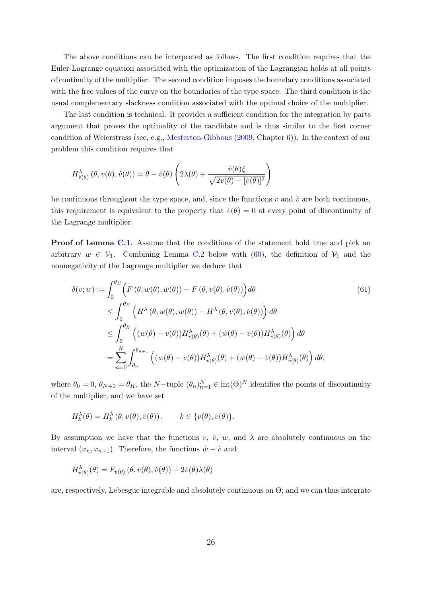The above conditions can be interpreted as follows. The first condition requires that the Euler-Lagrange equation associated with the optimization of the Lagrangian holds at all points of continuity of the multiplier. The second condition imposes the boundary conditions associated with the free values of the curve on the boundaries of the type space. The third condition is the usual complementary slackness condition associated with the optimal choice of the multiplier.

The last condition is technical. It provides a sufficient condition for the integration by parts argument that proves the optimality of the candidate and is thus similar to the first corner condition of Weierstrass (see, e.g., [Mesterton-Gibbons](#page-68-15) [\(2009,](#page-68-15) Chapter 6)). In the context of our problem this condition requires that

$$
H_{\dot{v}(\theta)}^{\lambda}(\theta, v(\theta), \dot{v}(\theta)) = \theta - \dot{v}(\theta) \left( 2\lambda(\theta) + \frac{\dot{v}(\theta)\xi}{\sqrt{2v(\theta) - [\dot{v}(\theta)]^2}} \right)
$$

be continuous throughout the type space, and, since the functions  $v$  and  $\dot{v}$  are both continuous, this requirement is equivalent to the property that  $\dot{v}(\theta) = 0$  at every point of discontinuity of the Lagrange multiplier.

**Proof of Lemma [C.1](#page-55-1).** Assume that the conditions of the statement hold true and pick an arbitrary  $w \in V_1$ . Combining Lemma [C.2](#page-57-0) below with [\(60\)](#page-55-2), the definition of  $V_1$  and the nonnegativity of the Lagrange multiplier we deduce that

<span id="page-56-0"></span>
$$
\delta(v; w) := \int_0^{\theta_H} \left( F(\theta, w(\theta), \dot{w}(\theta)) - F(\theta, v(\theta), \dot{v}(\theta)) \right) d\theta
$$
\n
$$
\leq \int_0^{\theta_H} \left( H^{\lambda}(\theta, w(\theta), \dot{w}(\theta)) - H^{\lambda}(\theta, v(\theta), \dot{v}(\theta)) \right) d\theta
$$
\n
$$
\leq \int_0^{\theta_H} \left( (w(\theta) - v(\theta)) H^{\lambda}_{v(\theta)}(\theta) + (\dot{w}(\theta) - \dot{v}(\theta)) H^{\lambda}_{\dot{v}(\theta)}(\theta) \right) d\theta
$$
\n
$$
= \sum_{n=0}^N \int_{\theta_n}^{\theta_{n+1}} \left( (w(\theta) - v(\theta)) H^{\lambda}_{v(\theta)}(\theta) + (\dot{w}(\theta) - \dot{v}(\theta)) H^{\lambda}_{\dot{v}(\theta)}(\theta) \right) d\theta,
$$
\n(61)

where  $\theta_0 = 0$ ,  $\theta_{N+1} = \theta_H$ , the N-tuple  $(\theta_n)_{n=1}^N \in \text{int}(\Theta)^N$  identifies the points of discontinuity of the multiplier, and we have set

$$
H_k^{\lambda}(\theta) = H_k^{\lambda}(\theta, v(\theta), \dot{v}(\theta)), \qquad k \in \{v(\theta), \dot{v}(\theta)\}.
$$

By assumption we have that the functions v,  $\dot{v}$ , w, and  $\lambda$  are absolutely continuous on the interval  $(x_n, x_{n+1})$ . Therefore, the functions  $\dot{w} - \dot{v}$  and

$$
H_{\dot{v}(\theta)}^{\lambda}(\theta) = F_{\dot{v}(\theta)}(\theta, v(\theta), \dot{v}(\theta)) - 2\dot{v}(\theta)\lambda(\theta)
$$

are, respectively, Lebesgue integrable and absolutely continuous on Θ; and we can thus integrate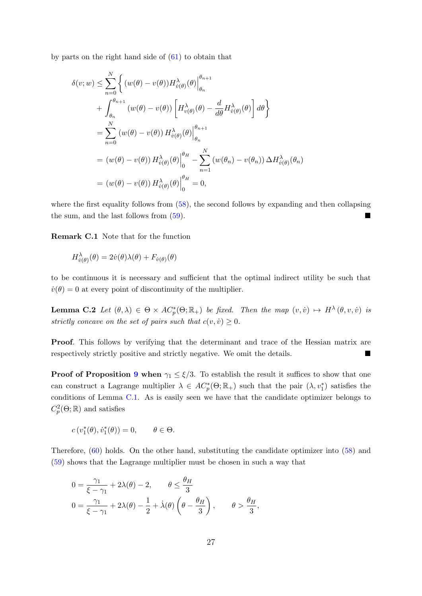by parts on the right hand side of [\(61\)](#page-56-0) to obtain that

$$
\delta(v; w) \leq \sum_{n=0}^{N} \left\{ (w(\theta) - v(\theta)) H_{\dot{v}(\theta)}^{\lambda}(\theta) \Big|_{\theta_n}^{\theta_{n+1}} + \int_{\theta_n}^{\theta_{n+1}} (w(\theta) - v(\theta)) \left[ H_{\dot{v}(\theta)}^{\lambda}(\theta) - \frac{d}{d\theta} H_{\dot{v}(\theta)}^{\lambda}(\theta) \right] d\theta \right\}
$$
  
\n
$$
= \sum_{n=0}^{N} (w(\theta) - v(\theta)) H_{\dot{v}(\theta)}^{\lambda}(\theta) \Big|_{\theta_n}^{\theta_{n+1}}
$$
  
\n
$$
= (w(\theta) - v(\theta)) H_{\dot{v}(\theta)}^{\lambda}(\theta) \Big|_{0}^{\theta_H} - \sum_{n=1}^{N} (w(\theta_n) - v(\theta_n)) \Delta H_{\dot{v}(\theta)}^{\lambda}(\theta_n)
$$
  
\n
$$
= (w(\theta) - v(\theta)) H_{\dot{v}(\theta)}^{\lambda}(\theta) \Big|_{0}^{\theta_H} = 0,
$$

where the first equality follows from  $(58)$ , the second follows by expanding and then collapsing the sum, and the last follows from [\(59\)](#page-55-4).

<span id="page-57-1"></span>Remark C.1 Note that for the function

$$
H^{\lambda}_{\dot{v}(\theta)}(\theta) = 2\dot{v}(\theta)\lambda(\theta) + F_{\dot{v}(\theta)}(\theta)
$$

to be continuous it is necessary and sufficient that the optimal indirect utility be such that  $\dot{v}(\theta) = 0$  at every point of discontinuity of the multiplier.

<span id="page-57-0"></span>**Lemma C.2** Let  $(\theta, \lambda) \in \Theta \times AC_p^*(\Theta; \mathbb{R}_+)$  be fixed. Then the map  $(v, \dot{v}) \mapsto H^{\lambda}(\theta, v, \dot{v})$  is strictly concave on the set of pairs such that  $c(v, \dot{v}) \geq 0$ .

Proof. This follows by verifying that the determinant and trace of the Hessian matrix are respectively strictly positive and strictly negative. We omit the details.

**Proof of Proposition [9](#page-25-1) when**  $\gamma_1 \leq \xi/3$ . To establish the result it suffices to show that one can construct a Lagrange multiplier  $\lambda \in AC_p^*(\Theta;\mathbb{R}_+)$  such that the pair  $(\lambda, v_1^*)$  satisfies the conditions of Lemma [C.1.](#page-55-1) As is easily seen we have that the candidate optimizer belongs to  $C_p^2(\Theta;\mathbb{R})$  and satisfies

$$
c(v_1^*(\theta), \dot{v}_1^*(\theta)) = 0, \qquad \theta \in \Theta.
$$

Therefore, [\(60\)](#page-55-2) holds. On the other hand, substituting the candidate optimizer into [\(58\)](#page-55-3) and [\(59\)](#page-55-4) shows that the Lagrange multiplier must be chosen in such a way that

$$
0 = \frac{\gamma_1}{\xi - \gamma_1} + 2\lambda(\theta) - 2, \qquad \theta \le \frac{\theta_H}{3}
$$
  

$$
0 = \frac{\gamma_1}{\xi - \gamma_1} + 2\lambda(\theta) - \frac{1}{2} + \lambda(\theta) \left(\theta - \frac{\theta_H}{3}\right), \qquad \theta > \frac{\theta_H}{3}
$$

,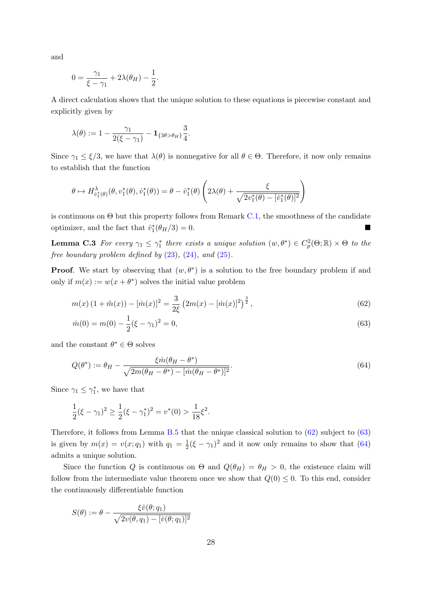and

$$
0 = \frac{\gamma_1}{\xi - \gamma_1} + 2\lambda(\theta_H) - \frac{1}{2}.
$$

A direct calculation shows that the unique solution to these equations is piecewise constant and explicitly given by

$$
\lambda(\theta):=1-\frac{\gamma_1}{2(\xi-\gamma_1)}-\mathbf{1}_{\{3\theta>\theta_H\}}\frac{3}{4}.
$$

Since  $\gamma_1 \leq \xi/3$ , we have that  $\lambda(\theta)$  is nonnegative for all  $\theta \in \Theta$ . Therefore, it now only remains to establish that the function

$$
\theta \mapsto H^{\lambda}_{\dot{v}_1^*(\theta)}(\theta, v_1^*(\theta), \dot{v}_1^*(\theta)) = \theta - \dot{v}_1^*(\theta) \left(2\lambda(\theta) + \frac{\xi}{\sqrt{2v_1^*(\theta) - [\dot{v}_1^*(\theta)]^2}}\right)
$$

is continuous on  $\Theta$  but this property follows from Remark [C.1,](#page-57-1) the smoothness of the candidate optimizer, and the fact that  $\dot{v}_1^*(\theta_H/3) = 0$ .

<span id="page-58-3"></span>**Lemma C.3** For every  $\gamma_1 \leq \gamma_1^*$  there exists a unique solution  $(w, \theta^*) \in C_p^2(\Theta; \mathbb{R}) \times \Theta$  to the free boundary problem defined by  $(23)$ ,  $(24)$ , and  $(25)$ .

**Proof.** We start by observing that  $(w, \theta^*)$  is a solution to the free boundary problem if and only if  $m(x) := w(x + \theta^*)$  solves the initial value problem

$$
m(x)\left(1+\ddot{m}(x)\right)-[\dot{m}(x)]^2=\frac{3}{2\xi}\left(2m(x)-[\dot{m}(x)]^2\right)^{\frac{3}{2}},\tag{62}
$$

<span id="page-58-1"></span><span id="page-58-0"></span>
$$
\dot{m}(0) = m(0) - \frac{1}{2}(\xi - \gamma_1)^2 = 0,\tag{63}
$$

and the constant  $\theta^* \in \Theta$  solves

<span id="page-58-2"></span>
$$
Q(\theta^*) := \theta_H - \frac{\xi \dot{m}(\theta_H - \theta^*)}{\sqrt{2m(\theta_H - \theta^*) - [\dot{m}(\theta_H - \theta^*)]^2}}.
$$
\n(64)

Since  $\gamma_1 \leq \gamma_1^*$ , we have that

$$
\frac{1}{2}(\xi - \gamma_1)^2 \ge \frac{1}{2}(\xi - \gamma_1^*)^2 = v^*(0) > \frac{1}{18}\xi^2.
$$

Therefore, it follows from Lemma [B.5](#page-41-4) that the unique classical solution to [\(62\)](#page-58-0) subject to [\(63\)](#page-58-1) is given by  $m(x) = v(x; q_1)$  with  $q_1 = \frac{1}{2}$  $\frac{1}{2}(\xi - \gamma_1)^2$  and it now only remains to show that [\(64\)](#page-58-2) admits a unique solution.

Since the function Q is continuous on  $\Theta$  and  $Q(\theta_H) = \theta_H > 0$ , the existence claim will follow from the intermediate value theorem once we show that  $Q(0) \leq 0$ . To this end, consider the continuously differentiable function

$$
S(\theta) := \theta - \frac{\xi \dot{v}(\theta; q_1)}{\sqrt{2v(\theta, q_1) - [v(\theta; q_1)]^2}}
$$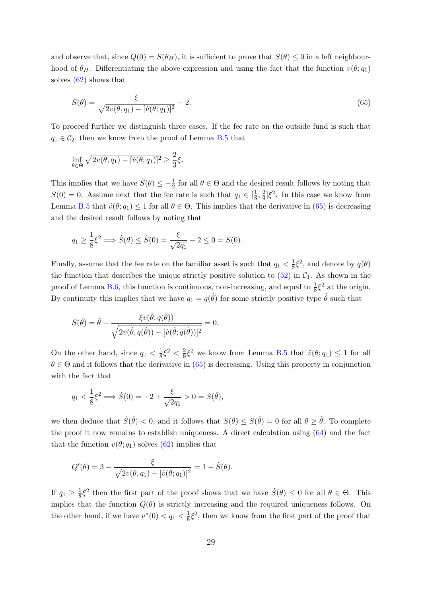and observe that, since  $Q(0) = S(\theta_H)$ , it is sufficient to prove that  $S(\theta) \leq 0$  in a left neighbourhood of  $\theta_H$ . Differentiating the above expression and using the fact that the function  $v(\theta; q_1)$ solves [\(62\)](#page-58-0) shows that

<span id="page-59-0"></span>
$$
\dot{S}(\theta) = \frac{\xi}{\sqrt{2v(\theta, q_1) - [v(\theta; q_1)]^2}} - 2.
$$
\n(65)

To proceed further we distinguish three cases. If the fee rate on the outside fund is such that  $q_1 \in C_2$ , then we know from the proof of Lemma [B.5](#page-41-4) that

$$
\inf_{\theta \in \Theta} \sqrt{2v(\theta, q_1) - [v(\theta; q_1)]^2} \ge \frac{2}{3}\xi.
$$

This implies that we have  $\dot{S}(\theta) \leq -\frac{1}{2}$  for all  $\theta \in \Theta$  and the desired result follows by noting that  $S(0) = 0$ . Assume next that the fee rate is such that  $q_1 \in \left[\frac{1}{8}\right]$  $\frac{1}{8}, \frac{2}{9}$  $\frac{2}{9}$ ] $\xi^2$ . In this case we know from Lemma [B.5](#page-41-4) that  $\ddot{v}(\theta; q_1) \leq 1$  for all  $\theta \in \Theta$ . This implies that the derivative in [\(65\)](#page-59-0) is decreasing and the desired result follows by noting that

$$
q_1 \ge \frac{1}{8} \xi^2 \Longrightarrow \dot{S}(\theta) \le \dot{S}(0) = \frac{\xi}{\sqrt{2q_1}} - 2 \le 0 = S(0).
$$

Finally, assume that the fee rate on the familiar asset is such that  $q_1 < \frac{1}{8}$  $\frac{1}{8}\xi^2$ , and denote by  $q(\theta)$ the function that describes the unique strictly positive solution to  $(52)$  in  $C<sub>1</sub>$ . As shown in the proof of Lemma [B.6,](#page-46-2) this function is continuous, non-increasing, and equal to  $\frac{1}{8}\xi^2$  at the origin. By continuity this implies that we have  $q_1 = q(\hat{\theta})$  for some strictly positive type  $\hat{\theta}$  such that

$$
S(\hat{\theta}) = \hat{\theta} - \frac{\xi \dot{v}(\hat{\theta}; q(\hat{\theta}))}{\sqrt{2v(\hat{\theta}, q(\hat{\theta})) - [\dot{v}(\hat{\theta}; q(\hat{\theta}))]^2}} = 0.
$$

On the other hand, since  $q_1 < \frac{1}{8}$  $\frac{1}{8}\xi^2 < \frac{2}{9}$  $\frac{2}{9}\xi^2$  we know from Lemma [B.5](#page-41-4) that  $\ddot{v}(\theta; q_1) \leq 1$  for all  $\theta \in \Theta$  and it follows that the derivative in [\(65\)](#page-59-0) is decreasing. Using this property in conjunction with the fact that

$$
q_1 < \frac{1}{8} \xi^2 \Longrightarrow \dot{S}(0) = -2 + \frac{\xi}{\sqrt{2q_1}} > 0 = S(\hat{\theta}),
$$

we then deduce that  $\dot{S}(\hat{\theta}) < 0$ , and it follows that  $S(\theta) \leq S(\hat{\theta}) = 0$  for all  $\theta \geq \hat{\theta}$ . To complete the proof it now remains to establish uniqueness. A direct calculation using [\(64\)](#page-58-2) and the fact that the function  $v(\theta; q_1)$  solves [\(62\)](#page-58-0) implies that

$$
Q'(\theta) = 3 - \frac{\xi}{\sqrt{2v(\theta, q_1) - [v(\theta, q_1)]^2}} = 1 - \dot{S}(\theta).
$$

If  $q_1 \geq \frac{1}{8}$  $\frac{1}{8}\xi^2$  then the first part of the proof shows that we have  $\dot{S}(\theta) \leq 0$  for all  $\theta \in \Theta$ . This implies that the function  $Q(\theta)$  is strictly increasing and the required uniqueness follows. On the other hand, if we have  $v^*(0) < q_1 < \frac{1}{8}$  $\frac{1}{8}\xi^2$ , then we know from the first part of the proof that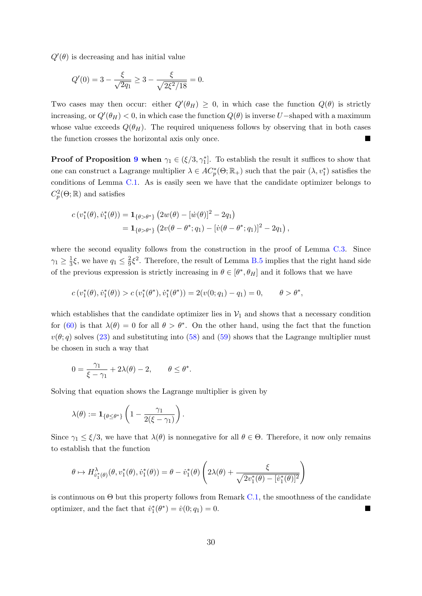$Q'(\theta)$  is decreasing and has initial value

$$
Q'(0) = 3 - \frac{\xi}{\sqrt{2q_1}} \ge 3 - \frac{\xi}{\sqrt{2\xi^2/18}} = 0.
$$

Two cases may then occur: either  $Q'(\theta_H) \geq 0$ , in which case the function  $Q(\theta)$  is strictly increasing, or  $Q'(\theta_H) < 0$ , in which case the function  $Q(\theta)$  is inverse U–shaped with a maximum whose value exceeds  $Q(\theta_H)$ . The required uniqueness follows by observing that in both cases the function crosses the horizontal axis only once.

**Proof of Proposition [9](#page-25-1) when**  $\gamma_1 \in (\xi/3, \gamma_1^*]$ . To establish the result it suffices to show that one can construct a Lagrange multiplier  $\lambda \in AC_p^*(\Theta;\mathbb{R}_+)$  such that the pair  $(\lambda, v_1^*)$  satisfies the conditions of Lemma [C.1.](#page-55-1) As is easily seen we have that the candidate optimizer belongs to  $C_p^2(\Theta;\mathbb{R})$  and satisfies

$$
c(v_1^*(\theta), \dot{v}_1^*(\theta)) = \mathbf{1}_{\{\theta > \theta^*\}} (2w(\theta) - [\dot{w}(\theta)]^2 - 2q_1)
$$
  
=  $\mathbf{1}_{\{\theta > \theta^*\}} (2v(\theta - \theta^*; q_1) - [\dot{v}(\theta - \theta^*; q_1)]^2 - 2q_1),$ 

where the second equality follows from the construction in the proof of Lemma [C.3.](#page-58-3) Since  $\gamma_1 \geq \frac{1}{3}$  $\frac{1}{3}\xi$ , we have  $q_1 \leq \frac{2}{9}$  $\frac{2}{9}\xi^2$ . Therefore, the result of Lemma [B.5](#page-41-4) implies that the right hand side of the previous expression is strictly increasing in  $\theta \in [\theta^*, \theta_H]$  and it follows that we have

$$
c(v_1^*(\theta), \dot{v}_1^*(\theta)) > c(v_1^*(\theta^*), \dot{v}_1^*(\theta^*)) = 2(v(0; q_1) - q_1) = 0, \qquad \theta > \theta^*,
$$

.

which establishes that the candidate optimizer lies in  $V_1$  and shows that a necessary condition for [\(60\)](#page-55-2) is that  $\lambda(\theta) = 0$  for all  $\theta > \theta^*$ . On the other hand, using the fact that the function  $v(\theta; q)$  solves [\(23\)](#page-26-4) and substituting into [\(58\)](#page-55-3) and [\(59\)](#page-55-4) shows that the Lagrange multiplier must be chosen in such a way that

$$
0 = \frac{\gamma_1}{\xi - \gamma_1} + 2\lambda(\theta) - 2, \qquad \theta \le \theta^*
$$

Solving that equation shows the Lagrange multiplier is given by

$$
\lambda(\theta) := \mathbf{1}_{\{\theta \le \theta^*\}} \left(1 - \frac{\gamma_1}{2(\xi - \gamma_1)}\right).
$$

Since  $\gamma_1 \leq \xi/3$ , we have that  $\lambda(\theta)$  is nonnegative for all  $\theta \in \Theta$ . Therefore, it now only remains to establish that the function

$$
\theta \mapsto H^{\lambda}_{\dot{v}_1^*(\theta)}(\theta, v_1^*(\theta), \dot{v}_1^*(\theta)) = \theta - \dot{v}_1^*(\theta) \left(2\lambda(\theta) + \frac{\xi}{\sqrt{2v_1^*(\theta) - [v_1^*(\theta)]^2}}\right)
$$

is continuous on  $\Theta$  but this property follows from Remark [C.1,](#page-57-1) the smoothness of the candidate optimizer, and the fact that  $\dot{v}_1^*(\theta^*) = \dot{v}(0; q_1) = 0$ .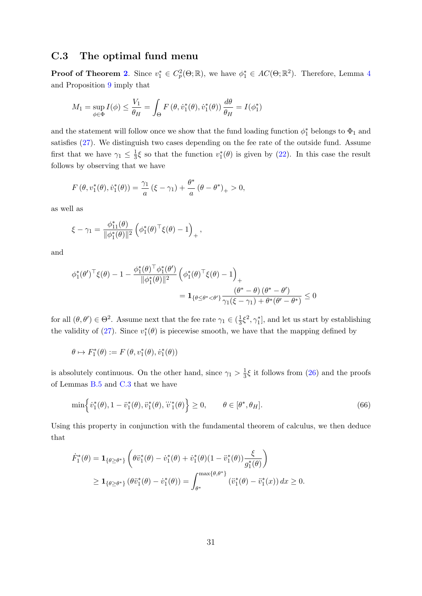# <span id="page-61-0"></span>C.3 The optimal fund menu

**Proof of Theorem [2](#page-26-1).** Since  $v_1^* \in C_p^2(\Theta;\mathbb{R})$ , we have  $\phi_1^* \in AC(\Theta;\mathbb{R}^2)$ . Therefore, Lemma [4](#page-24-4) and Proposition [9](#page-25-1) imply that

$$
M_1 = \sup_{\phi \in \Phi} I(\phi) \le \frac{V_1}{\theta_H} = \int_{\Theta} F(\theta, \dot{v}_1^*(\theta), \dot{v}_1^*(\theta)) \frac{d\theta}{\theta_H} = I(\phi_1^*)
$$

and the statement will follow once we show that the fund loading function  $\phi_1^*$  belongs to  $\Phi_1$  and satisfies [\(27\)](#page-26-7). We distinguish two cases depending on the fee rate of the outside fund. Assume first that we have  $\gamma_1 \leq \frac{1}{3}$  $\frac{1}{3}\xi$  so that the function  $v_1^*(\theta)$  is given by [\(22\)](#page-25-2). In this case the result follows by observing that we have

$$
F(\theta, v_1^*(\theta), \dot{v}_1^*(\theta)) = \frac{\gamma_1}{a} (\xi - \gamma_1) + \frac{\theta^*}{a} (\theta - \theta^*)_+ > 0,
$$

as well as

$$
\xi - \gamma_1 = \frac{\phi_{11}^*(\theta)}{\|\phi_1^*(\theta)\|^2} \left(\phi_1^*(\theta)^\top \xi(\theta) - 1\right)_+,
$$

and

$$
\begin{aligned} \phi_1^*(\theta')^\top \xi(\theta) - 1 - \frac{\phi_1^*(\theta)^\top \phi_1^*(\theta')}{\|\phi_1^*(\theta)\|^2} \left( \phi_1^*(\theta)^\top \xi(\theta) - 1 \right)_+ \\ &= \mathbf{1}_{\{\theta \le \theta^* < \theta'\}} \frac{(\theta^* - \theta) \left( \theta^* - \theta'\right)}{\gamma_1(\xi - \gamma_1) + \theta^*(\theta' - \theta^*)} \le 0 \end{aligned}
$$

for all  $(\theta, \theta') \in \Theta^2$ . Assume next that the fee rate  $\gamma_1 \in (\frac{1}{3})$  $\frac{1}{3}\xi^2, \gamma_1^*$ , and let us start by establishing the validity of [\(27\)](#page-26-7). Since  $v_1^*(\theta)$  is piecewise smooth, we have that the mapping defined by

$$
\theta \mapsto F_1^*(\theta) := F\left(\theta, v_1^*(\theta), \dot{v}_1^*(\theta)\right)
$$

is absolutely continuous. On the other hand, since  $\gamma_1 > \frac{1}{3}$  $\frac{1}{3}\xi$  it follows from [\(26\)](#page-26-2) and the proofs of Lemmas [B.5](#page-41-4) and [C.3](#page-58-3) that we have

<span id="page-61-1"></span>
$$
\min\left\{\dot{v}_1^*(\theta), 1 - \ddot{v}_1^*(\theta), \ddot{v}_1^*(\theta), \dddot{v}_1^*(\theta)\right\} \ge 0, \qquad \theta \in [\theta^*, \theta_H].\tag{66}
$$

Using this property in conjunction with the fundamental theorem of calculus, we then deduce that

$$
\dot{F}_{1}^{*}(\theta) = \mathbf{1}_{\{\theta \ge \theta^{*}\}} \left( \theta \ddot{v}_{1}^{*}(\theta) - \dot{v}_{1}^{*}(\theta) + \dot{v}_{1}^{*}(\theta)(1 - \ddot{v}_{1}^{*}(\theta)) \frac{\xi}{g_{1}^{*}(\theta)} \right)
$$
\n
$$
\ge \mathbf{1}_{\{\theta \ge \theta^{*}\}} \left( \theta \ddot{v}_{1}^{*}(\theta) - \dot{v}_{1}^{*}(\theta) \right) = \int_{\theta^{*}}^{\max\{\theta, \theta^{*}\}} (\ddot{v}_{1}^{*}(\theta) - \ddot{v}_{1}^{*}(x)) dx \ge 0.
$$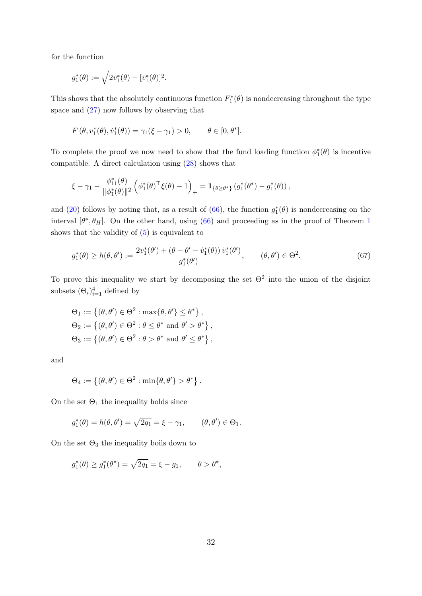for the function

$$
g_1^*(\theta) := \sqrt{2v_1^*(\theta) - [v_1^*(\theta)]^2}.
$$

This shows that the absolutely continuous function  $F_1^*(\theta)$  is nondecreasing throughout the type space and [\(27\)](#page-26-7) now follows by observing that

$$
F(\theta, v_1^*(\theta), \dot{v}_1^*(\theta)) = \gamma_1(\xi - \gamma_1) > 0, \qquad \theta \in [0, \theta^*].
$$

To complete the proof we now need to show that the fund loading function  $\phi_1^*(\theta)$  is incentive compatible. A direct calculation using [\(28\)](#page-26-3) shows that

$$
\xi - \gamma_1 - \frac{\phi_{11}^*(\theta)}{\|\phi_1^*(\theta)\|^2} \left( \phi_1^*(\theta)^\top \xi(\theta) - 1 \right)_+ = \mathbf{1}_{\{\theta \geq \theta^*\}} \left( g_1^*(\theta^*) - g_1^*(\theta) \right),
$$

and [\(20\)](#page-24-0) follows by noting that, as a result of [\(66\)](#page-61-1), the function  $g_1^*(\theta)$  is nondecreasing on the interval  $[\theta^*, \theta_H]$ . On the other hand, using [\(66\)](#page-61-1) and proceeding as in the proof of Theorem [1](#page-13-4) shows that the validity of [\(5\)](#page-10-0) is equivalent to

<span id="page-62-0"></span>
$$
g_1^*(\theta) \ge h(\theta, \theta') := \frac{2v_1^*(\theta') + (\theta - \theta' - \dot{v}_1^*(\theta))\,\dot{v}_1^*(\theta')}{g_1^*(\theta')}, \qquad (\theta, \theta') \in \Theta^2.
$$
 (67)

To prove this inequality we start by decomposing the set  $\Theta^2$  into the union of the disjoint subsets  $(\Theta_i)_{i=1}^4$  defined by

$$
\Theta_1 := \left\{ (\theta, \theta') \in \Theta^2 : \max\{\theta, \theta'\} \le \theta^* \right\},\
$$
  

$$
\Theta_2 := \left\{ (\theta, \theta') \in \Theta^2 : \theta \le \theta^* \text{ and } \theta' > \theta^* \right\},\
$$
  

$$
\Theta_3 := \left\{ (\theta, \theta') \in \Theta^2 : \theta > \theta^* \text{ and } \theta' \le \theta^* \right\},\
$$

and

$$
\Theta_4 := \left\{ (\theta, \theta') \in \Theta^2 : \min\{\theta, \theta'\} > \theta^* \right\}.
$$

On the set  $\Theta_1$  the inequality holds since

$$
g_1^*(\theta) = h(\theta, \theta') = \sqrt{2q_1} = \xi - \gamma_1,
$$
  $(\theta, \theta') \in \Theta_1.$ 

On the set  $\Theta_3$  the inequality boils down to

$$
g_1^*(\theta) \ge g_1^*(\theta^*) = \sqrt{2q_1} = \xi - g_1, \qquad \theta > \theta^*,
$$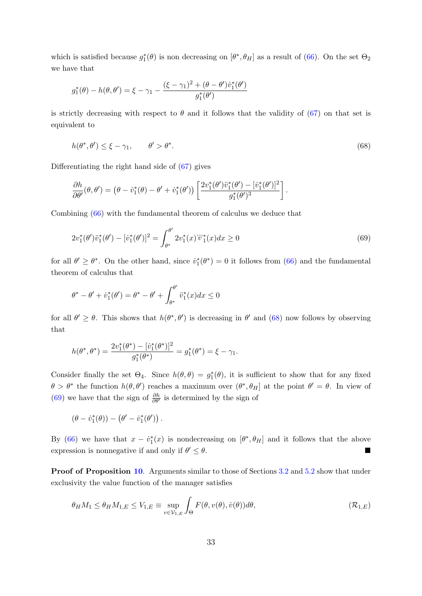which is satisfied because  $g_1^*(\theta)$  is non decreasing on  $[\theta^*, \theta_H]$  as a result of [\(66\)](#page-61-1). On the set  $\Theta_2$ we have that

$$
g_1^*(\theta) - h(\theta, \theta') = \xi - \gamma_1 - \frac{(\xi - \gamma_1)^2 + (\theta - \theta')\dot{v}_1^*(\theta')}{g_1^*(\theta')}
$$

is strictly decreasing with respect to  $\theta$  and it follows that the validity of [\(67\)](#page-62-0) on that set is equivalent to

<span id="page-63-0"></span>
$$
h(\theta^*, \theta') \le \xi - \gamma_1, \qquad \theta' > \theta^*.
$$
\n<sup>(68)</sup>

Differentiating the right hand side of [\(67\)](#page-62-0) gives

$$
\frac{\partial h}{\partial \theta'}(\theta, \theta') = (\theta - \dot{v}_1^*(\theta) - \theta' + \dot{v}_1^*(\theta')) \left[ \frac{2v_1^*(\theta')\ddot{v}_1^*(\theta') - [\dot{v}_1^*(\theta')]^2}{g_1^*(\theta')^3} \right].
$$

Combining [\(66\)](#page-61-1) with the fundamental theorem of calculus we deduce that

<span id="page-63-1"></span>
$$
2v_1^*(\theta')\ddot{v}_1^*(\theta') - [\dot{v}_1^*(\theta')]^2 = \int_{\theta^*}^{\theta'} 2v_1^*(x)\ddot{v}_1^*(x)dx \ge 0
$$
\n(69)

for all  $\theta' \geq \theta^*$ . On the other hand, since  $\dot{v}_1^*(\theta^*) = 0$  it follows from [\(66\)](#page-61-1) and the fundamental theorem of calculus that

$$
\theta^* - \theta' + \dot{v}_1^*(\theta') = \theta^* - \theta' + \int_{\theta^*}^{\theta'} \ddot{v}_1^*(x) dx \le 0
$$

for all  $\theta' \geq \theta$ . This shows that  $h(\theta^*, \theta')$  is decreasing in  $\theta'$  and [\(68\)](#page-63-0) now follows by observing that

$$
h(\theta^*, \theta^*) = \frac{2v_1^*(\theta^*) - [\dot{v}_1^*(\theta^*)]^2}{g_1^*(\theta^*)} = g_1^*(\theta^*) = \xi - \gamma_1.
$$

Consider finally the set  $\Theta_4$ . Since  $h(\theta, \theta) = g_1^*(\theta)$ , it is sufficient to show that for any fixed  $\theta > \theta^*$  the function  $h(\theta, \theta')$  reaches a maximum over  $(\theta^*, \theta_H]$  at the point  $\theta' = \theta$ . In view of [\(69\)](#page-63-1) we have that the sign of  $\frac{\partial h}{\partial \theta'}$  is determined by the sign of

$$
(\theta - \dot{v}_1^*(\theta)) - (\theta' - \dot{v}_1^*(\theta')).
$$

By [\(66\)](#page-61-1) we have that  $x - \dot{v}_1^*(x)$  is nondecreasing on  $[\theta^*, \theta_H]$  and it follows that the above expression is nonnegative if and only if  $\theta' \leq \theta$ .  $\ell \leq \theta$ .

Proof of Proposition [10](#page-27-0). Arguments similar to those of Sections [3.2](#page-11-1) and [5.2](#page-24-5) show that under exclusivity the value function of the manager satisfies

<span id="page-63-2"></span>
$$
\theta_H M_1 \le \theta_H M_{1,E} \le V_{1,E} \equiv \sup_{v \in \mathcal{V}_{1,E}} \int_{\Theta} F(\theta, v(\theta), \dot{v}(\theta)) d\theta, \tag{R_{1,E}}
$$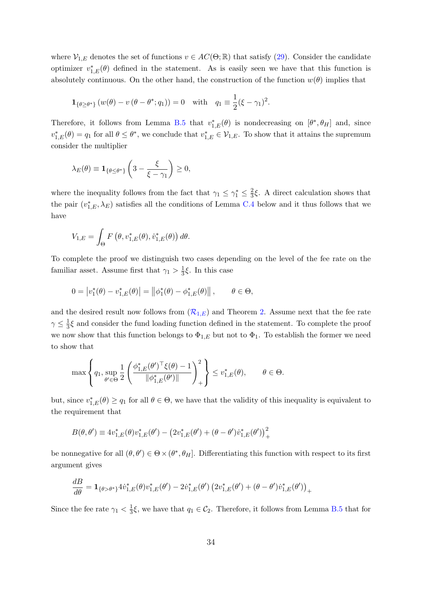where  $\mathcal{V}_{1,E}$  denotes the set of functions  $v \in AC(\Theta;\mathbb{R})$  that satisfy [\(29\)](#page-27-1). Consider the candidate optimizer  $v_{1,E}^*(\theta)$  defined in the statement. As is easily seen we have that this function is absolutely continuous. On the other hand, the construction of the function  $w(\theta)$  implies that

$$
\mathbf{1}_{\{\theta \ge \theta^*\}} (w(\theta) - v(\theta - \theta^*; q_1)) = 0 \text{ with } q_1 \equiv \frac{1}{2}(\xi - \gamma_1)^2.
$$

Therefore, it follows from Lemma [B.5](#page-41-4) that  $v_{1,E}^*(\theta)$  is nondecreasing on  $[\theta^*, \theta_H]$  and, since  $v_{1,E}^*(\theta) = q_1$  for all  $\theta \leq \theta^*$ , we conclude that  $v_{1,E}^* \in \mathcal{V}_{1,E}$ . To show that it attains the supremum consider the multiplier

$$
\lambda_E(\theta) \equiv \mathbf{1}_{\{\theta \le \theta^*\}} \left(3 - \frac{\xi}{\xi - \gamma_1}\right) \ge 0,
$$

where the inequality follows from the fact that  $\gamma_1 \leq \gamma_1^* \leq \frac{2}{3}$  $\frac{2}{3}\xi$ . A direct calculation shows that the pair  $(v_{1,E}^*, \lambda_E)$  satisfies all the conditions of Lemma [C.4](#page-66-4) below and it thus follows that we have

$$
V_{1,E} = \int_{\Theta} F(\theta, v_{1,E}^*(\theta), \dot{v}_{1,E}^*(\theta)) d\theta.
$$

To complete the proof we distinguish two cases depending on the level of the fee rate on the familiar asset. Assume first that  $\gamma_1 > \frac{1}{3}$  $\frac{1}{3}\xi$ . In this case

$$
0 = |v_1^*(\theta) - v_{1,E}^*(\theta)| = ||\phi_1^*(\theta) - \phi_{1,E}^*(\theta)||, \qquad \theta \in \Theta,
$$

and the desired result now follows from  $(R_{1,E})$  $(R_{1,E})$  $(R_{1,E})$  and Theorem [2.](#page-26-1) Assume next that the fee rate  $\gamma \leq \frac{1}{3}$  $\frac{1}{3}\xi$  and consider the fund loading function defined in the statement. To complete the proof we now show that this function belongs to  $\Phi_{1,E}$  but not to  $\Phi_1$ . To establish the former we need to show that

$$
\max\left\{q_1,\sup_{\theta'\in\Theta}\frac{1}{2}\left(\frac{\phi_{1,E}^*(\theta')^\top\xi(\theta)-1}{\|\phi_{1,E}^*(\theta')\|}\right)_+^2\right\}\leq v_{1,E}^*(\theta), \qquad \theta\in\Theta.
$$

but, since  $v_{1,E}^*(\theta) \ge q_1$  for all  $\theta \in \Theta$ , we have that the validity of this inequality is equivalent to the requirement that

$$
B(\theta, \theta') \equiv 4v_{1,E}^*(\theta)v_{1,E}^*(\theta') - (2v_{1,E}^*(\theta') + (\theta - \theta')\dot{v}_{1,E}^*(\theta'))_+^2
$$

be nonnegative for all  $(\theta, \theta') \in \Theta \times (\theta^*, \theta_H]$ . Differentiating this function with respect to its first argument gives

$$
\frac{dB}{d\theta} = \mathbf{1}_{\{\theta > \theta^*\}} 4 \dot{v}_{1,E}^*(\theta) v_{1,E}^*(\theta') - 2 \dot{v}_{1,E}^*(\theta') \left(2 v_{1,E}^*(\theta') + (\theta - \theta') \dot{v}_{1,E}^*(\theta')\right)_+
$$

Since the fee rate  $\gamma_1 < \frac{1}{3}$  $\frac{1}{3}\xi$ , we have that  $q_1 \in C_2$ . Therefore, it follows from Lemma [B.5](#page-41-4) that for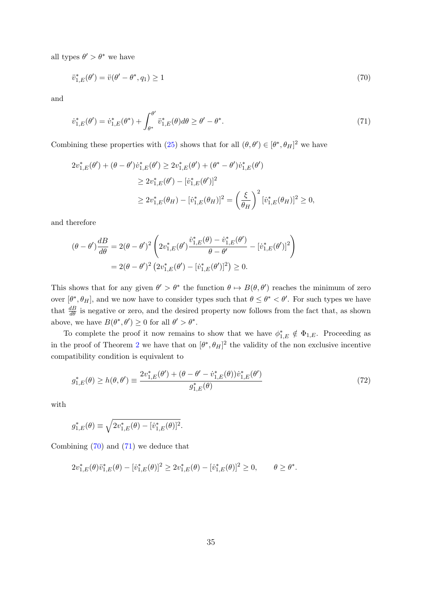all types  $\theta' > \theta^*$  we have

<span id="page-65-0"></span>
$$
\ddot{v}_{1,E}^*(\theta') = \ddot{v}(\theta' - \theta^*, q_1) \ge 1\tag{70}
$$

and

<span id="page-65-1"></span>
$$
\dot{v}_{1,E}^*(\theta') = \dot{v}_{1,E}^*(\theta^*) + \int_{\theta^*}^{\theta'} \ddot{v}_{1,E}^*(\theta) d\theta \ge \theta' - \theta^*.
$$
\n(71)

Combining these properties with [\(25\)](#page-26-6) shows that for all  $(\theta, \theta') \in [\theta^*, \theta_H]^2$  we have

$$
2v_{1,E}^*(\theta') + (\theta - \theta')\dot{v}_{1,E}^*(\theta') \ge 2v_{1,E}^*(\theta') + (\theta^* - \theta')\dot{v}_{1,E}^*(\theta')
$$
  
\n
$$
\ge 2v_{1,E}^*(\theta') - [\dot{v}_{1,E}^*(\theta')]^2
$$
  
\n
$$
\ge 2v_{1,E}^*(\theta_H) - [\dot{v}_{1,E}^*(\theta_H)]^2 = \left(\frac{\xi}{\theta_H}\right)^2 [\dot{v}_{1,E}^*(\theta_H)]^2 \ge 0,
$$

and therefore

$$
(\theta - \theta')\frac{dB}{d\theta} = 2(\theta - \theta')^{2} \left(2v_{1,E}^{*}(\theta')\frac{\dot{v}_{1,E}^{*}(\theta) - \dot{v}_{1,E}^{*}(\theta')}{\theta - \theta'} - [\dot{v}_{1,E}^{*}(\theta')]^{2}\right)
$$

$$
= 2(\theta - \theta')^{2} \left(2v_{1,E}^{*}(\theta') - [\dot{v}_{1,E}^{*}(\theta')]^{2}\right) \geq 0.
$$

This shows that for any given  $\theta' > \theta^*$  the function  $\theta \mapsto B(\theta, \theta')$  reaches the minimum of zero over  $[\theta^*, \theta_H]$ , and we now have to consider types such that  $\theta \leq \theta^* < \theta'$ . For such types we have that  $\frac{dB}{d\theta}$  is negative or zero, and the desired property now follows from the fact that, as shown above, we have  $B(\theta^*, \theta') \geq 0$  for all  $\theta' > \theta^*$ .

To complete the proof it now remains to show that we have  $\phi_{1,E}^* \notin \Phi_{1,E}$ . Proceeding as in the proof of Theorem [2](#page-26-1) we have that on  $[\theta^*, \theta_H]^2$  the validity of the non exclusive incentive compatibility condition is equivalent to

<span id="page-65-2"></span>
$$
g_{1,E}^*(\theta) \ge h(\theta,\theta') \equiv \frac{2v_{1,E}^*(\theta') + (\theta - \theta' - \dot{v}_{1,E}^*(\theta))\dot{v}_{1,E}^*(\theta')}{g_{1,E}^*(\theta)}
$$
(72)

with

$$
g_{1,E}^*(\theta) \equiv \sqrt{2v_{1,E}^*(\theta) - [v_{1,E}^*(\theta)]^2}.
$$

Combining [\(70\)](#page-65-0) and [\(71\)](#page-65-1) we deduce that

$$
2v_{1,E}^*(\theta)\ddot{v}_{1,E}^*(\theta) - [\dot{v}_{1,E}^*(\theta)]^2 \ge 2v_{1,E}^*(\theta) - [\dot{v}_{1,E}^*(\theta)]^2 \ge 0, \qquad \theta \ge \theta^*.
$$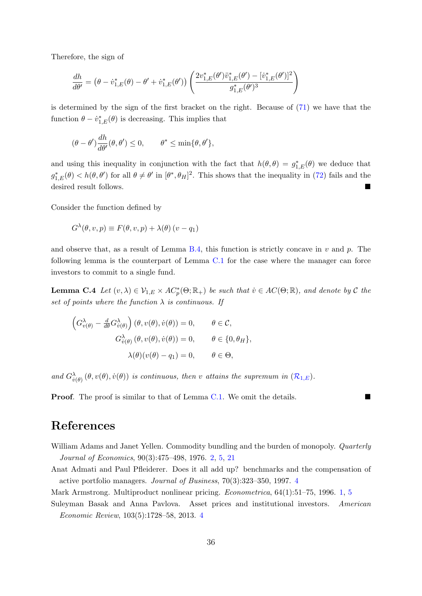Therefore, the sign of

$$
\frac{dh}{d\theta'} = (\theta - \dot{v}_{1,E}^*(\theta) - \theta' + \dot{v}_{1,E}^*(\theta')) \left( \frac{2v_{1,E}^*(\theta')\ddot{v}_{1,E}^*(\theta') - [\dot{v}_{1,E}^*(\theta')]^2}{g_{1,E}^*(\theta')^3} \right)
$$

is determined by the sign of the first bracket on the right. Because of [\(71\)](#page-65-1) we have that the function  $\theta - \dot{v}_{1,E}^*(\theta)$  is decreasing. This implies that

$$
(\theta - \theta')\frac{dh}{d\theta'}(\theta, \theta') \le 0, \qquad \theta^* \le \min{\theta, \theta'},
$$

and using this inequality in conjunction with the fact that  $h(\theta, \theta) = g_{1,E}^*(\theta)$  we deduce that  $g_{1,E}^*(\theta) < h(\theta, \theta')$  for all  $\theta \neq \theta'$  in  $[\theta^*, \theta_H]^2$ . This shows that the inequality in [\(72\)](#page-65-2) fails and the desired result follows.

Consider the function defined by

$$
G^{\lambda}(\theta, v, p) \equiv F(\theta, v, p) + \lambda(\theta) (v - q_1)
$$

and observe that, as a result of Lemma  $B.4$ , this function is strictly concave in v and p. The following lemma is the counterpart of Lemma [C.1](#page-55-1) for the case where the manager can force investors to commit to a single fund.

<span id="page-66-4"></span>**Lemma C.4** Let  $(v, \lambda) \in \mathcal{V}_{1,E} \times AC_p^*(\Theta; \mathbb{R}_+)$  be such that  $v \in AC(\Theta; \mathbb{R})$ , and denote by C the set of points where the function  $\lambda$  is continuous. If

$$
\left(G_{v(\theta)}^{\lambda} - \frac{d}{d\theta}G_{v(\theta)}^{\lambda}\right)(\theta, v(\theta), \dot{v}(\theta)) = 0, \qquad \theta \in \mathcal{C},
$$

$$
G_{v(\theta)}^{\lambda}(\theta, v(\theta), \dot{v}(\theta)) = 0, \qquad \theta \in \{0, \theta_H\},
$$

$$
\lambda(\theta)(v(\theta) - q_1) = 0, \qquad \theta \in \Theta,
$$

and  $G^{\lambda}_{\dot{v}(\theta)}(\theta, v(\theta), \dot{v}(\theta))$  is continuous, then v attains the supremum in  $(\mathcal{R}_{1,E})$  $(\mathcal{R}_{1,E})$  $(\mathcal{R}_{1,E})$ .

**Proof.** The proof is similar to that of Lemma [C.1.](#page-55-1) We omit the details.

# References

<span id="page-66-1"></span>William Adams and Janet Yellen. Commodity bundling and the burden of monopoly. Quarterly Journal of Economics, 90(3):475–498, 1976. [2,](#page-2-1) [5,](#page-5-0) [21](#page-21-2)

<span id="page-66-2"></span>Anat Admati and Paul Pfleiderer. Does it all add up? benchmarks and the compensation of active portfolio managers. Journal of Business, 70(3):323–350, 1997. [4](#page-4-0)

<span id="page-66-3"></span><span id="page-66-0"></span>Mark Armstrong. Multiproduct nonlinear pricing. Econometrica, 64(1):51–75, 1996. [1,](#page-0-0) [5](#page-5-0)

Suleyman Basak and Anna Pavlova. Asset prices and institutional investors. American Economic Review, 103(5):1728–58, 2013. [4](#page-4-0)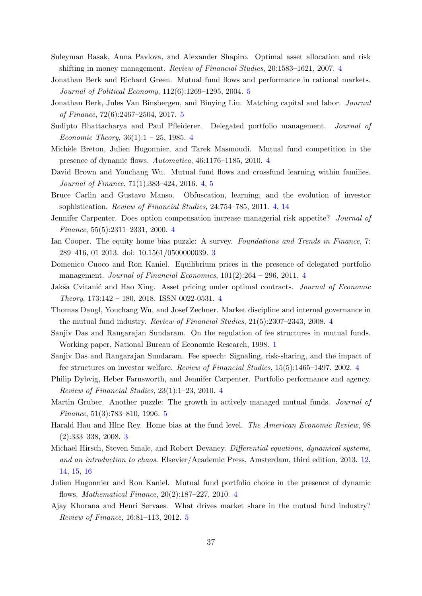- <span id="page-67-7"></span>Suleyman Basak, Anna Pavlova, and Alexander Shapiro. Optimal asset allocation and risk shifting in money management. Review of Financial Studies, 20:1583–1621, 2007. [4](#page-4-0)
- <span id="page-67-17"></span>Jonathan Berk and Richard Green. Mutual fund flows and performance in rational markets. Journal of Political Economy, 112(6):1269–1295, 2004. [5](#page-5-0)
- <span id="page-67-18"></span>Jonathan Berk, Jules Van Binsbergen, and Binying Liu. Matching capital and labor. Journal of Finance, 72(6):2467–2504, 2017. [5](#page-5-0)
- <span id="page-67-9"></span>Sudipto Bhattacharya and Paul Pfleiderer. Delegated portfolio management. *Journal of* Economic Theory,  $36(1):1 - 25$ , 1985. [4](#page-4-0)
- <span id="page-67-4"></span>Michèle Breton, Julien Hugonnier, and Tarek Masmoudi. Mutual fund competition in the presence of dynamic flows. Automatica, 46:1176–1185, 2010. [4](#page-4-0)
- <span id="page-67-14"></span>David Brown and Youchang Wu. Mutual fund flows and crossfund learning within families. Journal of Finance, 71(1):383–424, 2016. [4,](#page-4-0) [5](#page-5-0)
- <span id="page-67-13"></span>Bruce Carlin and Gustavo Manso. Obfuscation, learning, and the evolution of investor sophistication. Review of Financial Studies, 24:754–785, 2011. [4,](#page-4-0) [14](#page-14-3)
- <span id="page-67-5"></span>Jennifer Carpenter. Does option compensation increase managerial risk appetite? Journal of Finance, 55(5):2311–2331, 2000. [4](#page-4-0)
- <span id="page-67-1"></span>Ian Cooper. The equity home bias puzzle: A survey. Foundations and Trends in Finance, 7: 289–416, 01 2013. doi: 10.1561/0500000039. [3](#page-3-1)
- <span id="page-67-8"></span>Domenico Cuoco and Ron Kaniel. Equilibrium prices in the presence of delegated portfolio management. Journal of Financial Economics, 101(2):264 – 296, 2011. [4](#page-4-0)
- <span id="page-67-11"></span>Jakša Cvitanić and Hao Xing. Asset pricing under optimal contracts. *Journal of Economic* Theory, 173:142 – 180, 2018. ISSN 0022-0531. [4](#page-4-0)
- <span id="page-67-12"></span>Thomas Dangl, Youchang Wu, and Josef Zechner. Market discipline and internal governance in the mutual fund industry. Review of Financial Studies, 21(5):2307–2343, 2008. [4](#page-4-0)
- <span id="page-67-0"></span>Sanjiv Das and Rangarajan Sundaram. On the regulation of fee structures in mutual funds. Working paper, National Bureau of Economic Research, 1998. [1](#page-0-0)
- <span id="page-67-6"></span>Sanjiv Das and Rangarajan Sundaram. Fee speech: Signaling, risk-sharing, and the impact of fee structures on investor welfare. Review of Financial Studies, 15(5):1465–1497, 2002. [4](#page-4-0)
- <span id="page-67-10"></span>Philip Dybvig, Heber Farnsworth, and Jennifer Carpenter. Portfolio performance and agency. Review of Financial Studies, 23(1):1–23, 2010. [4](#page-4-0)
- <span id="page-67-15"></span>Martin Gruber. Another puzzle: The growth in actively managed mutual funds. *Journal of* Finance, 51(3):783–810, 1996. [5](#page-5-0)
- <span id="page-67-2"></span>Harald Hau and Hlne Rey. Home bias at the fund level. The American Economic Review, 98 (2):333–338, 2008. [3](#page-3-1)
- <span id="page-67-19"></span>Michael Hirsch, Steven Smale, and Robert Devaney. Differential equations, dynamical systems, and an introduction to chaos. Elsevier/Academic Press, Amsterdam, third edition, 2013. [12,](#page-12-5) [14,](#page-14-3) [15,](#page-15-0) [16](#page-16-3)
- <span id="page-67-3"></span>Julien Hugonnier and Ron Kaniel. Mutual fund portfolio choice in the presence of dynamic flows. Mathematical Finance, 20(2):187–227, 2010. [4](#page-4-0)
- <span id="page-67-16"></span>Ajay Khorana and Henri Servaes. What drives market share in the mutual fund industry? Review of Finance, 16:81–113, 2012. [5](#page-5-0)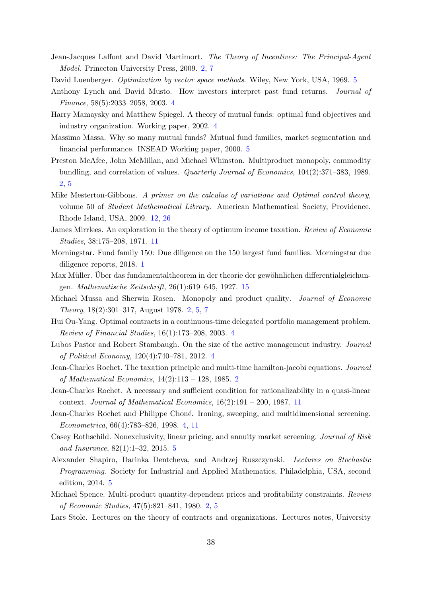- <span id="page-68-4"></span>Jean-Jacques Laffont and David Martimort. The Theory of Incentives: The Principal-Agent Model. Princeton University Press, 2009. [2,](#page-2-1) [7](#page-7-4)
- <span id="page-68-17"></span>David Luenberger. *Optimization by vector space methods*. Wiley, New York, USA, 1969. [5](#page-5-0)
- <span id="page-68-7"></span>Anthony Lynch and David Musto. How investors interpret past fund returns. Journal of Finance, 58(5):2033–2058, 2003. [4](#page-4-0)
- <span id="page-68-9"></span>Harry Mamaysky and Matthew Spiegel. A theory of mutual funds: optimal fund objectives and industry organization. Working paper, 2002. [4](#page-4-0)
- <span id="page-68-10"></span>Massimo Massa. Why so many mutual funds? Mutual fund families, market segmentation and financial performance. INSEAD Working paper, 2000. [5](#page-5-0)
- <span id="page-68-2"></span>Preston McAfee, John McMillan, and Michael Whinston. Multiproduct monopoly, commodity bundling, and correlation of values. Quarterly Journal of Economics, 104(2):371–383, 1989. [2,](#page-2-1) [5](#page-5-0)
- <span id="page-68-15"></span>Mike Mesterton-Gibbons. A primer on the calculus of variations and Optimal control theory, volume 50 of Student Mathematical Library. American Mathematical Society, Providence, Rhode Island, USA, 2009. [12,](#page-12-5) [26](#page-26-8)
- <span id="page-68-13"></span>James Mirrlees. An exploration in the theory of optimum income taxation. Review of Economic Studies, 38:175–208, 1971. [11](#page-11-2)
- <span id="page-68-0"></span>Morningstar. Fund family 150: Due diligence on the 150 largest fund families. Morningstar due diligence reports, 2018. [1](#page-0-0)
- <span id="page-68-19"></span>Max Müller. Über das fundamentaltheorem in der theorie der gewöhnlichen differentialgleichungen. Mathematische Zeitschrift, 26(1):619–645, 1927. [15](#page-15-0)
- <span id="page-68-3"></span>Michael Mussa and Sherwin Rosen. Monopoly and product quality. Journal of Economic Theory, 18(2):301–317, August 1978. [2,](#page-2-1) [5,](#page-5-0) [7](#page-7-4)
- <span id="page-68-6"></span>Hui Ou-Yang. Optimal contracts in a continuous-time delegated portfolio management problem. Review of Financial Studies, 16(1):173–208, 2003. [4](#page-4-0)
- <span id="page-68-8"></span>Lubos Pastor and Robert Stambaugh. On the size of the active management industry. Journal of Political Economy, 120(4):740–781, 2012. [4](#page-4-0)
- <span id="page-68-16"></span>Jean-Charles Rochet. The taxation principle and multi-time hamilton-jacobi equations. Journal of Mathematical Economics, 14(2):113 – 128, 1985. [2](#page-2-1)
- <span id="page-68-14"></span>Jean-Charles Rochet. A necessary and sufficient condition for rationalizability in a quasi-linear context. Journal of Mathematical Economics,  $16(2):191 - 200$ , 1987. [11](#page-11-2)
- <span id="page-68-5"></span>Jean-Charles Rochet and Philippe Choné. Ironing, sweeping, and multidimensional screening. Econometrica, 66(4):783–826, 1998. [4,](#page-4-0) [11](#page-11-2)
- <span id="page-68-12"></span>Casey Rothschild. Nonexclusivity, linear pricing, and annuity market screening. Journal of Risk and Insurance, 82(1):1–32, 2015. [5](#page-5-0)
- <span id="page-68-18"></span>Alexander Shapiro, Darinka Dentcheva, and Andrzej Ruszczynski. Lectures on Stochastic Programming. Society for Industrial and Applied Mathematics, Philadelphia, USA, second edition, 2014. [5](#page-5-0)
- <span id="page-68-1"></span>Michael Spence. Multi-product quantity-dependent prices and profitability constraints. Review of Economic Studies, 47(5):821–841, 1980. [2,](#page-2-1) [5](#page-5-0)
- <span id="page-68-11"></span>Lars Stole. Lectures on the theory of contracts and organizations. Lectures notes, University